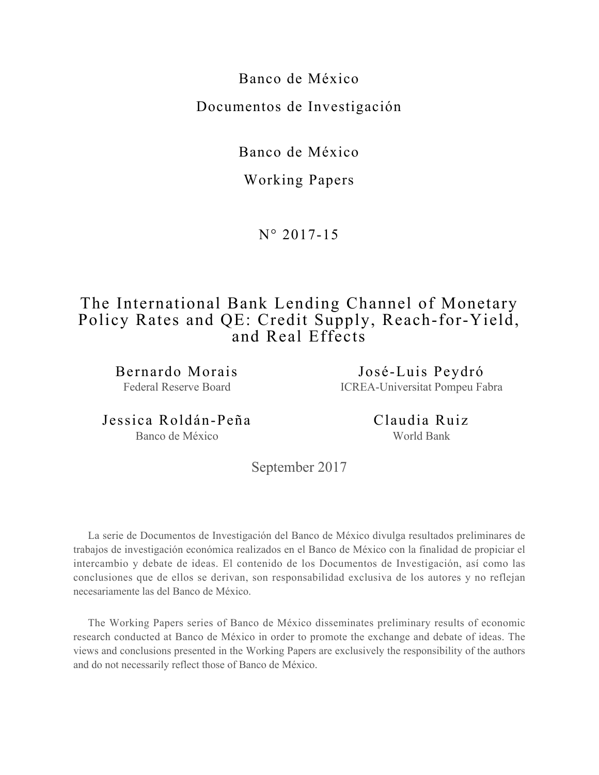Banco de México Documentos de Investigación

Banco de México

# Working Papers

N° 2017-15

# The International Bank Lending Channel of Monetary Policy Rates and QE: Credit Supply, Reach-for-Yield, and Real Effects

Bernardo Morais Federal Reserve Board

José-Luis Peydró ICREA-Universitat Pompeu Fabra

Jessica Roldán-Peña Banco de México

Claudia Ruiz World Bank

September 2017

La serie de Documentos de Investigación del Banco de México divulga resultados preliminares de trabajos de investigación económica realizados en el Banco de México con la finalidad de propiciar el intercambio y debate de ideas. El contenido de los Documentos de Investigación, así como las conclusiones que de ellos se derivan, son responsabilidad exclusiva de los autores y no reflejan necesariamente las del Banco de México.

The Working Papers series of Banco de México disseminates preliminary results of economic research conducted at Banco de México in order to promote the exchange and debate of ideas. The views and conclusions presented in the Working Papers are exclusively the responsibility of the authors and do not necessarily reflect those of Banco de México.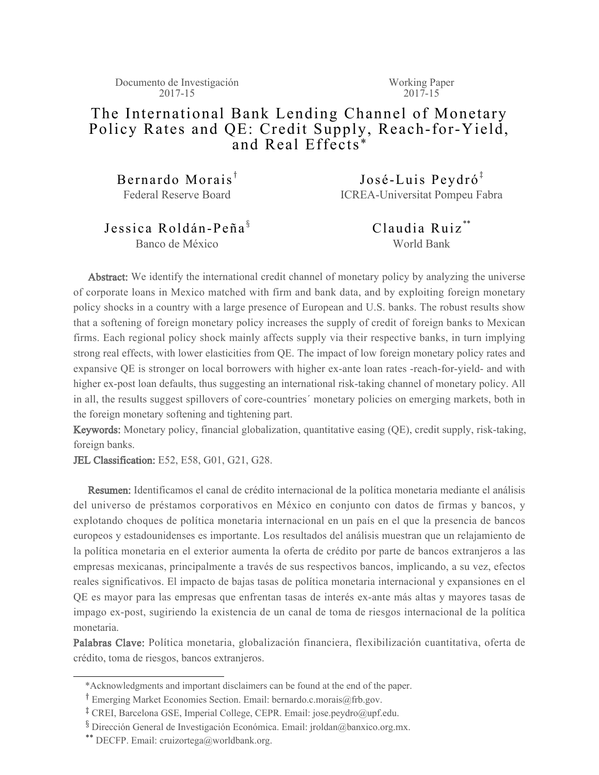Documento de Investigación 2017-15

Working Paper  $2017 - 15$ 

# The International Bank Lending Channel of Monetary Policy Rates and QE: Credit Supply, Reach-for-Yield, and Real Effects \*

Bernardo Morais<sup> $<sup>†</sup>$ </sup></sup> Federal Reserve Board

 $José-Luis Peydró<sup>‡</sup>$ ICREA-Universitat Pompeu Fabra

Jessica Roldán-Peña $\frac{1}{3}$ Banco de México

Claudia Ruiz \*\* World Bank

Abstract: We identify the international credit channel of monetary policy by analyzing the universe of corporate loans in Mexico matched with firm and bank data, and by exploiting foreign monetary policy shocks in a country with a large presence of European and U.S. banks. The robust results show that a softening of foreign monetary policy increases the supply of credit of foreign banks to Mexican firms. Each regional policy shock mainly affects supply via their respective banks, in turn implying strong real effects, with lower elasticities from QE. The impact of low foreign monetary policy rates and expansive QE is stronger on local borrowers with higher ex-ante loan rates -reach-for-yield- and with higher ex-post loan defaults, thus suggesting an international risk-taking channel of monetary policy. All in all, the results suggest spillovers of core-countries´ monetary policies on emerging markets, both in the foreign monetary softening and tightening part.

Keywords: Monetary policy, financial globalization, quantitative easing (QE), credit supply, risk-taking, foreign banks.

JEL Classification: E52, E58, G01, G21, G28.

Resumen: Identificamos el canal de crédito internacional de la política monetaria mediante el análisis del universo de préstamos corporativos en México en conjunto con datos de firmas y bancos, y explotando choques de política monetaria internacional en un país en el que la presencia de bancos europeos y estadounidenses es importante. Los resultados del análisis muestran que un relajamiento de la política monetaria en el exterior aumenta la oferta de crédito por parte de bancos extranjeros a las empresas mexicanas, principalmente a través de sus respectivos bancos, implicando, a su vez, efectos reales significativos. El impacto de bajas tasas de política monetaria internacional y expansiones en el QE es mayor para las empresas que enfrentan tasas de interés ex-ante más altas y mayores tasas de impago ex-post, sugiriendo la existencia de un canal de toma de riesgos internacional de la política monetaria.

Palabras Clave: Política monetaria, globalización financiera, flexibilización cuantitativa, oferta de crédito, toma de riesgos, bancos extranjeros.

 <sup>\*</sup>Acknowledgments and important disclaimers can be found at the end of the paper.

<sup>&</sup>lt;sup>†</sup> Emerging Market Economies Section. Email: bernardo.c.morais@frb.gov.

<sup>&</sup>lt;sup>‡</sup> CREI, Barcelona GSE, Imperial College, CEPR. Email: jose.peydro@upf.edu.

<sup>&</sup>lt;sup>8</sup> Dirección General de Investigación Económica. Email: jroldan@banxico.org.mx.

<sup>\*\*</sup> DECFP. Email: cruizortega@worldbank.org.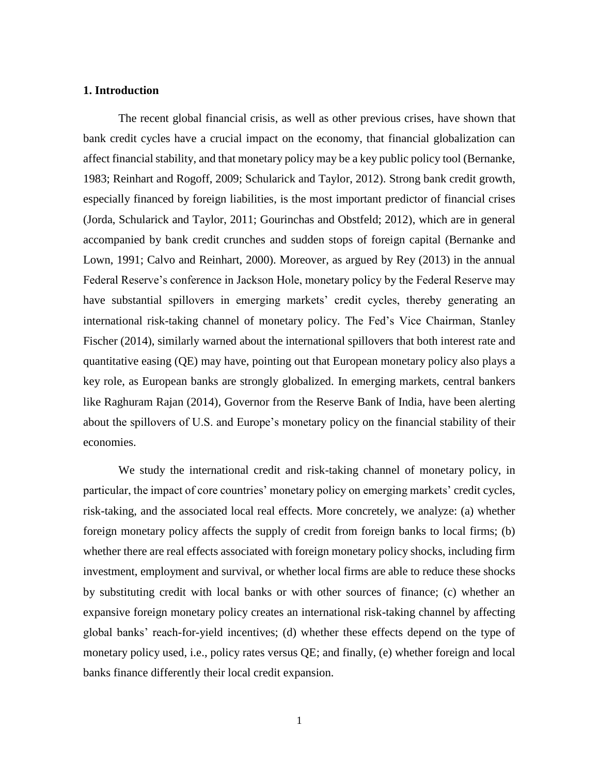## **1. Introduction**

The recent global financial crisis, as well as other previous crises, have shown that bank credit cycles have a crucial impact on the economy, that financial globalization can affect financial stability, and that monetary policy may be a key public policy tool (Bernanke, 1983; Reinhart and Rogoff, 2009; Schularick and Taylor, 2012). Strong bank credit growth, especially financed by foreign liabilities, is the most important predictor of financial crises (Jorda, Schularick and Taylor, 2011; Gourinchas and Obstfeld; 2012), which are in general accompanied by bank credit crunches and sudden stops of foreign capital (Bernanke and Lown, 1991; Calvo and Reinhart, 2000). Moreover, as argued by Rey (2013) in the annual Federal Reserve's conference in Jackson Hole, monetary policy by the Federal Reserve may have substantial spillovers in emerging markets' credit cycles, thereby generating an international risk-taking channel of monetary policy. The Fed's Vice Chairman, Stanley Fischer (2014), similarly warned about the international spillovers that both interest rate and quantitative easing (QE) may have, pointing out that European monetary policy also plays a key role, as European banks are strongly globalized. In emerging markets, central bankers like Raghuram Rajan (2014), Governor from the Reserve Bank of India, have been alerting about the spillovers of U.S. and Europe's monetary policy on the financial stability of their economies.

We study the international credit and risk-taking channel of monetary policy, in particular, the impact of core countries' monetary policy on emerging markets' credit cycles, risk-taking, and the associated local real effects. More concretely, we analyze: (a) whether foreign monetary policy affects the supply of credit from foreign banks to local firms; (b) whether there are real effects associated with foreign monetary policy shocks, including firm investment, employment and survival, or whether local firms are able to reduce these shocks by substituting credit with local banks or with other sources of finance; (c) whether an expansive foreign monetary policy creates an international risk-taking channel by affecting global banks' reach-for-yield incentives; (d) whether these effects depend on the type of monetary policy used, i.e., policy rates versus QE; and finally, (e) whether foreign and local banks finance differently their local credit expansion.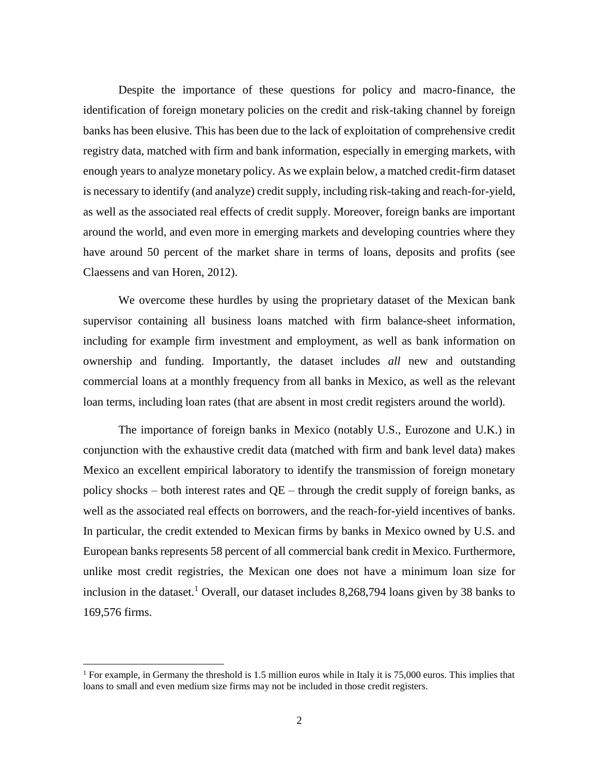Despite the importance of these questions for policy and macro-finance, the identification of foreign monetary policies on the credit and risk-taking channel by foreign banks has been elusive. This has been due to the lack of exploitation of comprehensive credit registry data, matched with firm and bank information, especially in emerging markets, with enough years to analyze monetary policy. As we explain below, a matched credit-firm dataset is necessary to identify (and analyze) credit supply, including risk-taking and reach-for-yield, as well as the associated real effects of credit supply. Moreover, foreign banks are important around the world, and even more in emerging markets and developing countries where they have around 50 percent of the market share in terms of loans, deposits and profits (see Claessens and van Horen, 2012).

We overcome these hurdles by using the proprietary dataset of the Mexican bank supervisor containing all business loans matched with firm balance-sheet information, including for example firm investment and employment, as well as bank information on ownership and funding. Importantly, the dataset includes *all* new and outstanding commercial loans at a monthly frequency from all banks in Mexico, as well as the relevant loan terms, including loan rates (that are absent in most credit registers around the world).

The importance of foreign banks in Mexico (notably U.S., Eurozone and U.K.) in conjunction with the exhaustive credit data (matched with firm and bank level data) makes Mexico an excellent empirical laboratory to identify the transmission of foreign monetary policy shocks – both interest rates and  $QE$  – through the credit supply of foreign banks, as well as the associated real effects on borrowers, and the reach-for-yield incentives of banks. In particular, the credit extended to Mexican firms by banks in Mexico owned by U.S. and European banks represents 58 percent of all commercial bank credit in Mexico. Furthermore, unlike most credit registries, the Mexican one does not have a minimum loan size for inclusion in the dataset.<sup>1</sup> Overall, our dataset includes 8,268,794 loans given by 38 banks to 169,576 firms.

<sup>&</sup>lt;sup>1</sup> For example, in Germany the threshold is 1.5 million euros while in Italy it is 75,000 euros. This implies that loans to small and even medium size firms may not be included in those credit registers.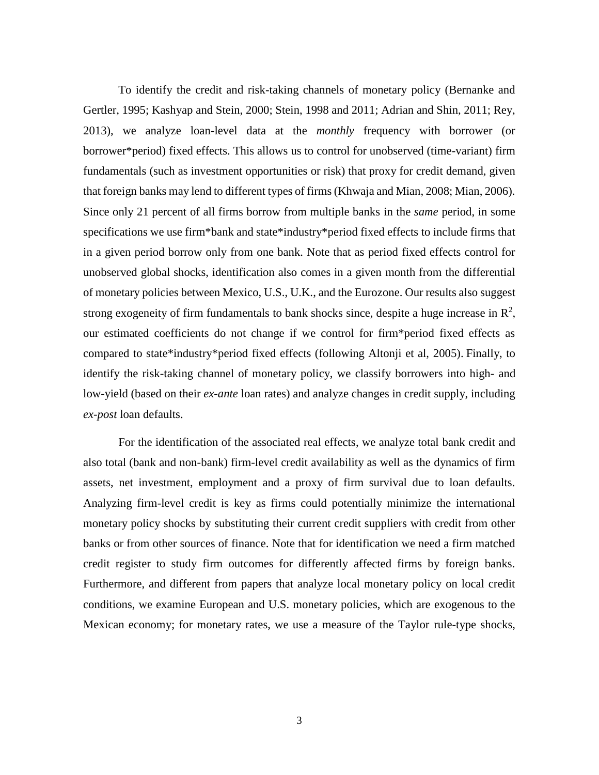To identify the credit and risk-taking channels of monetary policy (Bernanke and Gertler, 1995; Kashyap and Stein, 2000; Stein, 1998 and 2011; Adrian and Shin, 2011; Rey, 2013), we analyze loan-level data at the *monthly* frequency with borrower (or borrower\*period) fixed effects. This allows us to control for unobserved (time-variant) firm fundamentals (such as investment opportunities or risk) that proxy for credit demand, given that foreign banks may lend to different types of firms (Khwaja and Mian, 2008; Mian, 2006). Since only 21 percent of all firms borrow from multiple banks in the *same* period, in some specifications we use firm\*bank and state\*industry\*period fixed effects to include firms that in a given period borrow only from one bank. Note that as period fixed effects control for unobserved global shocks, identification also comes in a given month from the differential of monetary policies between Mexico, U.S., U.K., and the Eurozone. Our results also suggest strong exogeneity of firm fundamentals to bank shocks since, despite a huge increase in  $\mathbb{R}^2$ , our estimated coefficients do not change if we control for firm\*period fixed effects as compared to state\*industry\*period fixed effects (following Altonji et al, 2005). Finally, to identify the risk-taking channel of monetary policy, we classify borrowers into high- and low-yield (based on their *ex-ante* loan rates) and analyze changes in credit supply, including *ex-post* loan defaults.

For the identification of the associated real effects, we analyze total bank credit and also total (bank and non-bank) firm-level credit availability as well as the dynamics of firm assets, net investment, employment and a proxy of firm survival due to loan defaults. Analyzing firm-level credit is key as firms could potentially minimize the international monetary policy shocks by substituting their current credit suppliers with credit from other banks or from other sources of finance. Note that for identification we need a firm matched credit register to study firm outcomes for differently affected firms by foreign banks. Furthermore, and different from papers that analyze local monetary policy on local credit conditions, we examine European and U.S. monetary policies, which are exogenous to the Mexican economy; for monetary rates, we use a measure of the Taylor rule-type shocks,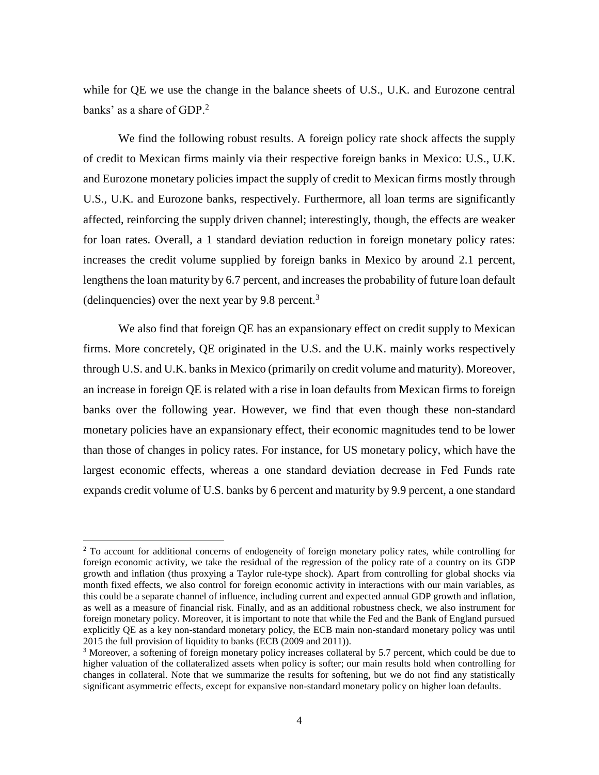while for QE we use the change in the balance sheets of U.S., U.K. and Eurozone central banks' as a share of GDP.<sup>2</sup>

We find the following robust results. A foreign policy rate shock affects the supply of credit to Mexican firms mainly via their respective foreign banks in Mexico: U.S., U.K. and Eurozone monetary policies impact the supply of credit to Mexican firms mostly through U.S., U.K. and Eurozone banks, respectively. Furthermore, all loan terms are significantly affected, reinforcing the supply driven channel; interestingly, though, the effects are weaker for loan rates. Overall, a 1 standard deviation reduction in foreign monetary policy rates: increases the credit volume supplied by foreign banks in Mexico by around 2.1 percent, lengthens the loan maturity by 6.7 percent, and increases the probability of future loan default (delinquencies) over the next year by 9.8 percent. $3$ 

We also find that foreign QE has an expansionary effect on credit supply to Mexican firms. More concretely, QE originated in the U.S. and the U.K. mainly works respectively through U.S. and U.K. banks in Mexico (primarily on credit volume and maturity). Moreover, an increase in foreign QE is related with a rise in loan defaults from Mexican firms to foreign banks over the following year. However, we find that even though these non-standard monetary policies have an expansionary effect, their economic magnitudes tend to be lower than those of changes in policy rates. For instance, for US monetary policy, which have the largest economic effects, whereas a one standard deviation decrease in Fed Funds rate expands credit volume of U.S. banks by 6 percent and maturity by 9.9 percent, a one standard

<sup>&</sup>lt;sup>2</sup> To account for additional concerns of endogeneity of foreign monetary policy rates, while controlling for foreign economic activity, we take the residual of the regression of the policy rate of a country on its GDP growth and inflation (thus proxying a Taylor rule-type shock). Apart from controlling for global shocks via month fixed effects, we also control for foreign economic activity in interactions with our main variables, as this could be a separate channel of influence, including current and expected annual GDP growth and inflation, as well as a measure of financial risk. Finally, and as an additional robustness check, we also instrument for foreign monetary policy. Moreover, it is important to note that while the Fed and the Bank of England pursued explicitly QE as a key non-standard monetary policy, the ECB main non-standard monetary policy was until 2015 the full provision of liquidity to banks (ECB (2009 and 2011)).

<sup>&</sup>lt;sup>3</sup> Moreover, a softening of foreign monetary policy increases collateral by 5.7 percent, which could be due to higher valuation of the collateralized assets when policy is softer; our main results hold when controlling for changes in collateral. Note that we summarize the results for softening, but we do not find any statistically significant asymmetric effects, except for expansive non-standard monetary policy on higher loan defaults.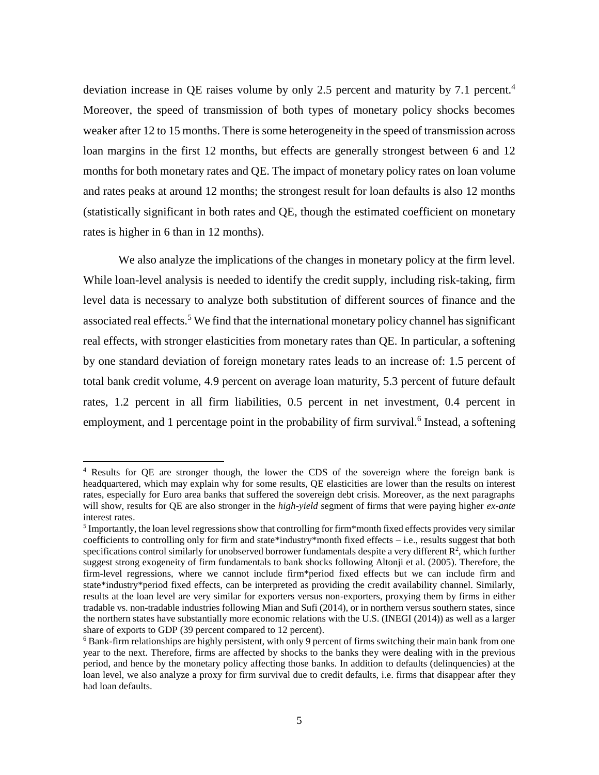deviation increase in QE raises volume by only 2.5 percent and maturity by 7.1 percent.<sup>4</sup> Moreover, the speed of transmission of both types of monetary policy shocks becomes weaker after 12 to 15 months. There is some heterogeneity in the speed of transmission across loan margins in the first 12 months, but effects are generally strongest between 6 and 12 months for both monetary rates and QE. The impact of monetary policy rates on loan volume and rates peaks at around 12 months; the strongest result for loan defaults is also 12 months (statistically significant in both rates and QE, though the estimated coefficient on monetary rates is higher in 6 than in 12 months).

We also analyze the implications of the changes in monetary policy at the firm level. While loan-level analysis is needed to identify the credit supply, including risk-taking, firm level data is necessary to analyze both substitution of different sources of finance and the associated real effects.<sup>5</sup> We find that the international monetary policy channel has significant real effects, with stronger elasticities from monetary rates than QE. In particular, a softening by one standard deviation of foreign monetary rates leads to an increase of: 1.5 percent of total bank credit volume, 4.9 percent on average loan maturity, 5.3 percent of future default rates, 1.2 percent in all firm liabilities, 0.5 percent in net investment, 0.4 percent in employment, and 1 percentage point in the probability of firm survival.<sup>6</sup> Instead, a softening

<sup>4</sup> Results for QE are stronger though, the lower the CDS of the sovereign where the foreign bank is headquartered, which may explain why for some results, QE elasticities are lower than the results on interest rates, especially for Euro area banks that suffered the sovereign debt crisis. Moreover, as the next paragraphs will show, results for QE are also stronger in the *high-yield* segment of firms that were paying higher *ex-ante*  interest rates.

<sup>&</sup>lt;sup>5</sup> Importantly, the loan level regressions show that controlling for firm\*month fixed effects provides very similar coefficients to controlling only for firm and state\*industry\*month fixed effects  $-i.e.,$  results suggest that both specifications control similarly for unobserved borrower fundamentals despite a very different  $\mathbb{R}^2$ , which further suggest strong exogeneity of firm fundamentals to bank shocks following Altonji et al. (2005). Therefore, the firm-level regressions, where we cannot include firm\*period fixed effects but we can include firm and state\*industry\*period fixed effects, can be interpreted as providing the credit availability channel. Similarly, results at the loan level are very similar for exporters versus non-exporters, proxying them by firms in either tradable vs. non-tradable industries following Mian and Sufi (2014), or in northern versus southern states, since the northern states have substantially more economic relations with the U.S. (INEGI (2014)) as well as a larger share of exports to GDP (39 percent compared to 12 percent).

<sup>&</sup>lt;sup>6</sup> Bank-firm relationships are highly persistent, with only 9 percent of firms switching their main bank from one year to the next. Therefore, firms are affected by shocks to the banks they were dealing with in the previous period, and hence by the monetary policy affecting those banks. In addition to defaults (delinquencies) at the loan level, we also analyze a proxy for firm survival due to credit defaults, i.e. firms that disappear after they had loan defaults.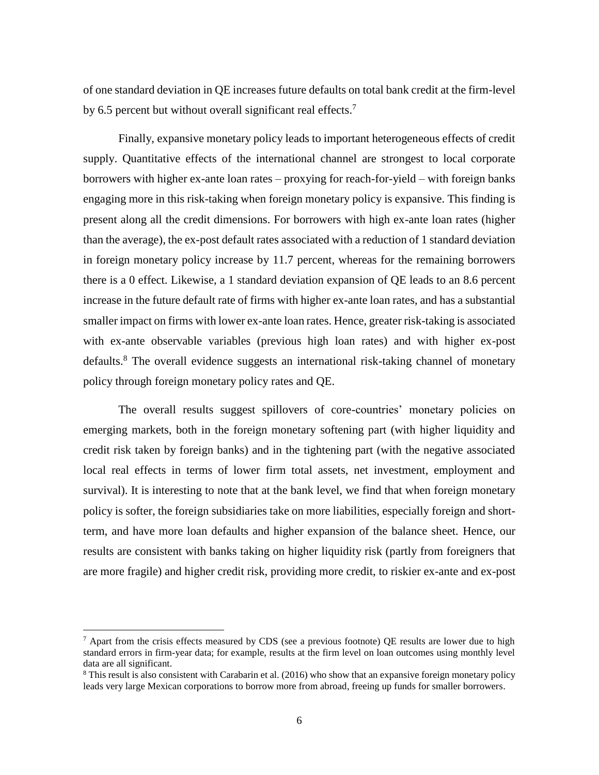of one standard deviation in QE increases future defaults on total bank credit at the firm-level by 6.5 percent but without overall significant real effects.<sup>7</sup>

Finally, expansive monetary policy leads to important heterogeneous effects of credit supply. Quantitative effects of the international channel are strongest to local corporate borrowers with higher ex-ante loan rates – proxying for reach-for-yield – with foreign banks engaging more in this risk-taking when foreign monetary policy is expansive. This finding is present along all the credit dimensions. For borrowers with high ex-ante loan rates (higher than the average), the ex-post default rates associated with a reduction of 1 standard deviation in foreign monetary policy increase by 11.7 percent, whereas for the remaining borrowers there is a 0 effect. Likewise, a 1 standard deviation expansion of QE leads to an 8.6 percent increase in the future default rate of firms with higher ex-ante loan rates, and has a substantial smaller impact on firms with lower ex-ante loan rates. Hence, greater risk-taking is associated with ex-ante observable variables (previous high loan rates) and with higher ex-post defaults.<sup>8</sup> The overall evidence suggests an international risk-taking channel of monetary policy through foreign monetary policy rates and QE.

The overall results suggest spillovers of core-countries' monetary policies on emerging markets, both in the foreign monetary softening part (with higher liquidity and credit risk taken by foreign banks) and in the tightening part (with the negative associated local real effects in terms of lower firm total assets, net investment, employment and survival). It is interesting to note that at the bank level, we find that when foreign monetary policy is softer, the foreign subsidiaries take on more liabilities, especially foreign and shortterm, and have more loan defaults and higher expansion of the balance sheet. Hence, our results are consistent with banks taking on higher liquidity risk (partly from foreigners that are more fragile) and higher credit risk, providing more credit, to riskier ex-ante and ex-post

 $7$  Apart from the crisis effects measured by CDS (see a previous footnote) QE results are lower due to high standard errors in firm-year data; for example, results at the firm level on loan outcomes using monthly level data are all significant.

 $8$  This result is also consistent with Carabarin et al. (2016) who show that an expansive foreign monetary policy leads very large Mexican corporations to borrow more from abroad, freeing up funds for smaller borrowers.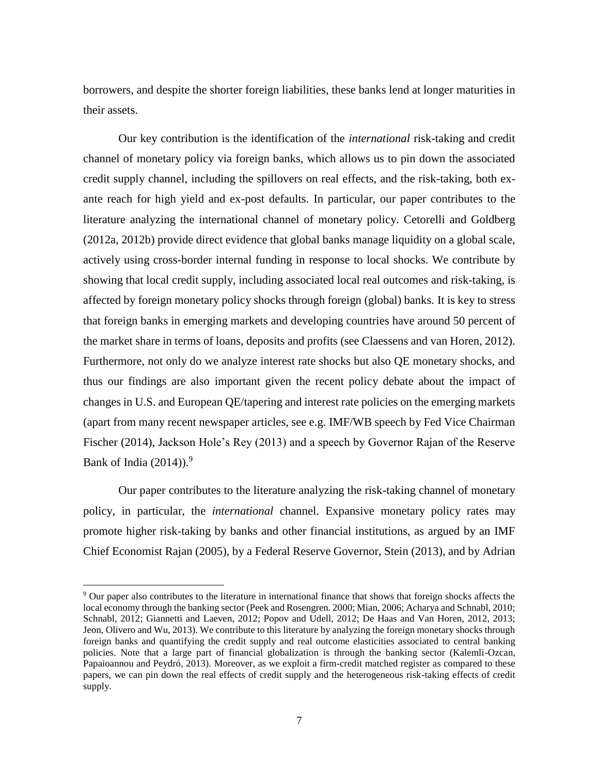borrowers, and despite the shorter foreign liabilities, these banks lend at longer maturities in their assets.

Our key contribution is the identification of the *international* risk-taking and credit channel of monetary policy via foreign banks, which allows us to pin down the associated credit supply channel, including the spillovers on real effects, and the risk-taking, both exante reach for high yield and ex-post defaults. In particular, our paper contributes to the literature analyzing the international channel of monetary policy. Cetorelli and Goldberg (2012a, 2012b) provide direct evidence that global banks manage liquidity on a global scale, actively using cross-border internal funding in response to local shocks. We contribute by showing that local credit supply, including associated local real outcomes and risk-taking, is affected by foreign monetary policy shocks through foreign (global) banks. It is key to stress that foreign banks in emerging markets and developing countries have around 50 percent of the market share in terms of loans, deposits and profits (see Claessens and van Horen, 2012). Furthermore, not only do we analyze interest rate shocks but also QE monetary shocks, and thus our findings are also important given the recent policy debate about the impact of changes in U.S. and European QE/tapering and interest rate policies on the emerging markets (apart from many recent newspaper articles, see e.g. IMF/WB speech by Fed Vice Chairman Fischer (2014), Jackson Hole's Rey (2013) and a speech by Governor Rajan of the Reserve Bank of India  $(2014)$ .<sup>9</sup>

Our paper contributes to the literature analyzing the risk-taking channel of monetary policy, in particular, the *international* channel. Expansive monetary policy rates may promote higher risk-taking by banks and other financial institutions, as argued by an IMF Chief Economist Rajan (2005), by a Federal Reserve Governor, Stein (2013), and by Adrian

<sup>9</sup> Our paper also contributes to the literature in international finance that shows that foreign shocks affects the local economy through the banking sector (Peek and Rosengren. 2000; Mian, 2006; Acharya and Schnabl, 2010; Schnabl, 2012; Giannetti and Laeven, 2012; Popov and Udell, 2012; De Haas and Van Horen, 2012, 2013; Jeon, Olivero and Wu, 2013). We contribute to this literature by analyzing the foreign monetary shocks through foreign banks and quantifying the credit supply and real outcome elasticities associated to central banking policies. Note that a large part of financial globalization is through the banking sector (Kalemli-Ozcan, Papaioannou and Peydró, 2013). Moreover, as we exploit a firm-credit matched register as compared to these papers, we can pin down the real effects of credit supply and the heterogeneous risk-taking effects of credit supply.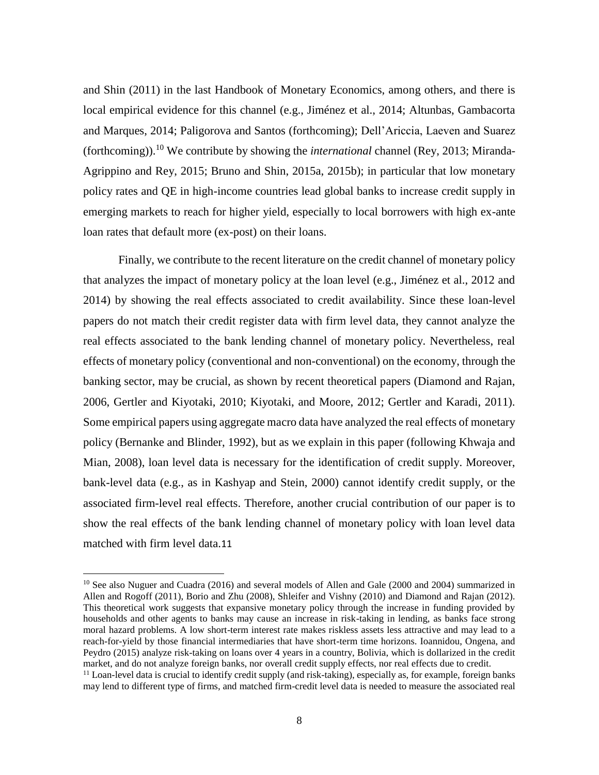and Shin (2011) in the last Handbook of Monetary Economics, among others, and there is local empirical evidence for this channel (e.g., Jiménez et al., 2014; Altunbas, Gambacorta and Marques, 2014; Paligorova and Santos (forthcoming); Dell'Ariccia, Laeven and Suarez (forthcoming)).<sup>10</sup> We contribute by showing the *international* channel (Rey, 2013; Miranda-Agrippino and Rey, 2015; Bruno and Shin, 2015a, 2015b); in particular that low monetary policy rates and QE in high-income countries lead global banks to increase credit supply in emerging markets to reach for higher yield, especially to local borrowers with high ex-ante loan rates that default more (ex-post) on their loans.

Finally, we contribute to the recent literature on the credit channel of monetary policy that analyzes the impact of monetary policy at the loan level (e.g., Jiménez et al., 2012 and 2014) by showing the real effects associated to credit availability. Since these loan-level papers do not match their credit register data with firm level data, they cannot analyze the real effects associated to the bank lending channel of monetary policy. Nevertheless, real effects of monetary policy (conventional and non-conventional) on the economy, through the banking sector, may be crucial, as shown by recent theoretical papers (Diamond and Rajan, 2006, Gertler and Kiyotaki, 2010; Kiyotaki, and Moore, 2012; Gertler and Karadi, 2011). Some empirical papers using aggregate macro data have analyzed the real effects of monetary policy (Bernanke and Blinder, 1992), but as we explain in this paper (following Khwaja and Mian, 2008), loan level data is necessary for the identification of credit supply. Moreover, bank-level data (e.g., as in Kashyap and Stein, 2000) cannot identify credit supply, or the associated firm-level real effects. Therefore, another crucial contribution of our paper is to show the real effects of the bank lending channel of monetary policy with loan level data matched with firm level data.11

<sup>&</sup>lt;sup>10</sup> See also Nuguer and Cuadra (2016) and several models of Allen and Gale (2000 and 2004) summarized in Allen and Rogoff (2011), Borio and Zhu (2008), Shleifer and Vishny (2010) and Diamond and Rajan (2012). This theoretical work suggests that expansive monetary policy through the increase in funding provided by households and other agents to banks may cause an increase in risk-taking in lending, as banks face strong moral hazard problems. A low short-term interest rate makes riskless assets less attractive and may lead to a reach-for-yield by those financial intermediaries that have short-term time horizons. Ioannidou, Ongena, and Peydro (2015) analyze risk-taking on loans over 4 years in a country, Bolivia, which is dollarized in the credit market, and do not analyze foreign banks, nor overall credit supply effects, nor real effects due to credit.

 $11$  Loan-level data is crucial to identify credit supply (and risk-taking), especially as, for example, foreign banks may lend to different type of firms, and matched firm-credit level data is needed to measure the associated real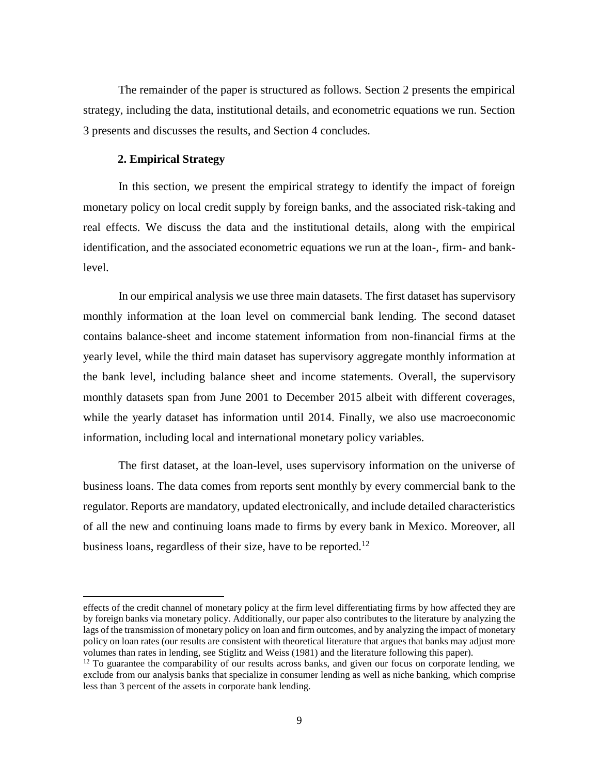The remainder of the paper is structured as follows. Section 2 presents the empirical strategy, including the data, institutional details, and econometric equations we run. Section 3 presents and discusses the results, and Section 4 concludes.

## **2. Empirical Strategy**

 $\overline{a}$ 

In this section, we present the empirical strategy to identify the impact of foreign monetary policy on local credit supply by foreign banks, and the associated risk-taking and real effects. We discuss the data and the institutional details, along with the empirical identification, and the associated econometric equations we run at the loan-, firm- and banklevel.

In our empirical analysis we use three main datasets. The first dataset has supervisory monthly information at the loan level on commercial bank lending. The second dataset contains balance-sheet and income statement information from non-financial firms at the yearly level, while the third main dataset has supervisory aggregate monthly information at the bank level, including balance sheet and income statements. Overall, the supervisory monthly datasets span from June 2001 to December 2015 albeit with different coverages, while the yearly dataset has information until 2014. Finally, we also use macroeconomic information, including local and international monetary policy variables.

The first dataset, at the loan-level, uses supervisory information on the universe of business loans. The data comes from reports sent monthly by every commercial bank to the regulator. Reports are mandatory, updated electronically, and include detailed characteristics of all the new and continuing loans made to firms by every bank in Mexico. Moreover, all business loans, regardless of their size, have to be reported.<sup>12</sup>

effects of the credit channel of monetary policy at the firm level differentiating firms by how affected they are by foreign banks via monetary policy. Additionally, our paper also contributes to the literature by analyzing the lags of the transmission of monetary policy on loan and firm outcomes, and by analyzing the impact of monetary policy on loan rates (our results are consistent with theoretical literature that argues that banks may adjust more volumes than rates in lending, see Stiglitz and Weiss (1981) and the literature following this paper).

<sup>&</sup>lt;sup>12</sup> To guarantee the comparability of our results across banks, and given our focus on corporate lending, we exclude from our analysis banks that specialize in consumer lending as well as niche banking, which comprise less than 3 percent of the assets in corporate bank lending.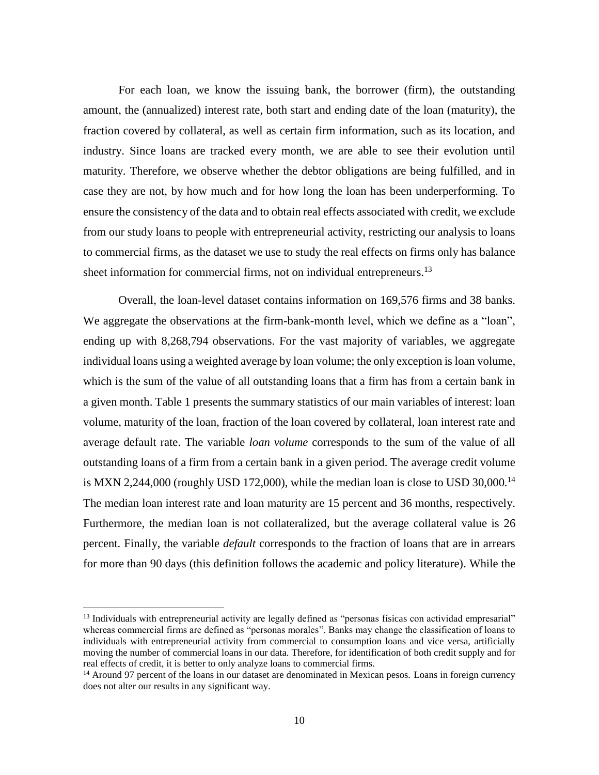For each loan, we know the issuing bank, the borrower (firm), the outstanding amount, the (annualized) interest rate, both start and ending date of the loan (maturity), the fraction covered by collateral, as well as certain firm information, such as its location, and industry. Since loans are tracked every month, we are able to see their evolution until maturity. Therefore, we observe whether the debtor obligations are being fulfilled, and in case they are not, by how much and for how long the loan has been underperforming. To ensure the consistency of the data and to obtain real effects associated with credit, we exclude from our study loans to people with entrepreneurial activity, restricting our analysis to loans to commercial firms, as the dataset we use to study the real effects on firms only has balance sheet information for commercial firms, not on individual entrepreneurs.<sup>13</sup>

Overall, the loan-level dataset contains information on 169,576 firms and 38 banks. We aggregate the observations at the firm-bank-month level, which we define as a "loan", ending up with 8,268,794 observations. For the vast majority of variables, we aggregate individual loans using a weighted average by loan volume; the only exception is loan volume, which is the sum of the value of all outstanding loans that a firm has from a certain bank in a given month. Table 1 presents the summary statistics of our main variables of interest: loan volume, maturity of the loan, fraction of the loan covered by collateral, loan interest rate and average default rate. The variable *loan volume* corresponds to the sum of the value of all outstanding loans of a firm from a certain bank in a given period. The average credit volume is MXN 2,244,000 (roughly USD 172,000), while the median loan is close to USD 30,000.<sup>14</sup> The median loan interest rate and loan maturity are 15 percent and 36 months, respectively. Furthermore, the median loan is not collateralized, but the average collateral value is 26 percent. Finally, the variable *default* corresponds to the fraction of loans that are in arrears for more than 90 days (this definition follows the academic and policy literature). While the

<sup>&</sup>lt;sup>13</sup> Individuals with entrepreneurial activity are legally defined as "personas físicas con actividad empresarial" whereas commercial firms are defined as "personas morales". Banks may change the classification of loans to individuals with entrepreneurial activity from commercial to consumption loans and vice versa, artificially moving the number of commercial loans in our data. Therefore, for identification of both credit supply and for real effects of credit, it is better to only analyze loans to commercial firms.

<sup>&</sup>lt;sup>14</sup> Around 97 percent of the loans in our dataset are denominated in Mexican pesos. Loans in foreign currency does not alter our results in any significant way.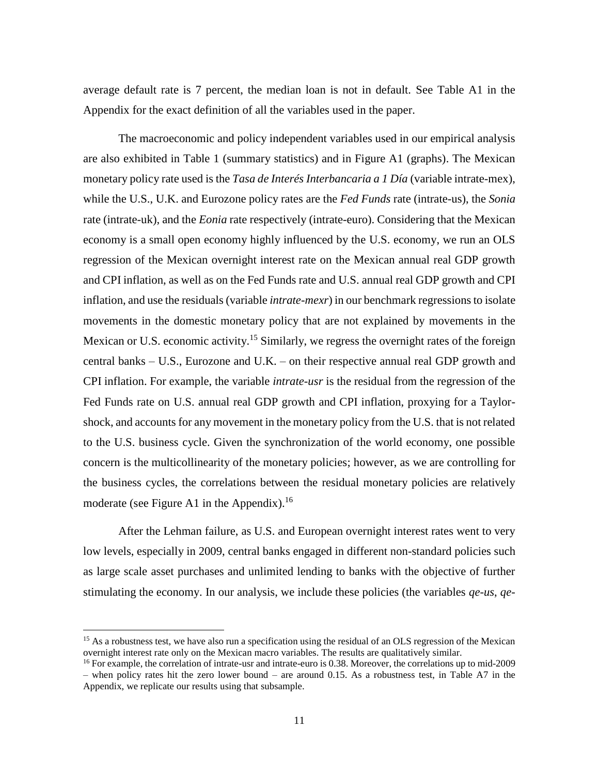average default rate is 7 percent, the median loan is not in default. See Table A1 in the Appendix for the exact definition of all the variables used in the paper.

The macroeconomic and policy independent variables used in our empirical analysis are also exhibited in Table 1 (summary statistics) and in Figure A1 (graphs). The Mexican monetary policy rate used is the *Tasa de Interés Interbancaria a 1 Día* (variable intrate-mex), while the U.S., U.K. and Eurozone policy rates are the *Fed Funds* rate (intrate-us), the *Sonia* rate (intrate-uk), and the *Eonia* rate respectively (intrate-euro). Considering that the Mexican economy is a small open economy highly influenced by the U.S. economy, we run an OLS regression of the Mexican overnight interest rate on the Mexican annual real GDP growth and CPI inflation, as well as on the Fed Funds rate and U.S. annual real GDP growth and CPI inflation, and use the residuals (variable *intrate-mexr*) in our benchmark regressions to isolate movements in the domestic monetary policy that are not explained by movements in the Mexican or U.S. economic activity.<sup>15</sup> Similarly, we regress the overnight rates of the foreign central banks – U.S., Eurozone and U.K. – on their respective annual real GDP growth and CPI inflation. For example, the variable *intrate-usr* is the residual from the regression of the Fed Funds rate on U.S. annual real GDP growth and CPI inflation, proxying for a Taylorshock, and accounts for any movement in the monetary policy from the U.S. that is not related to the U.S. business cycle. Given the synchronization of the world economy, one possible concern is the multicollinearity of the monetary policies; however, as we are controlling for the business cycles, the correlations between the residual monetary policies are relatively moderate (see Figure A1 in the Appendix).<sup>16</sup>

After the Lehman failure, as U.S. and European overnight interest rates went to very low levels, especially in 2009, central banks engaged in different non-standard policies such as large scale asset purchases and unlimited lending to banks with the objective of further stimulating the economy. In our analysis, we include these policies (the variables *qe-us*, *qe-*

<sup>&</sup>lt;sup>15</sup> As a robustness test, we have also run a specification using the residual of an OLS regression of the Mexican overnight interest rate only on the Mexican macro variables. The results are qualitatively similar.

<sup>&</sup>lt;sup>16</sup> For example, the correlation of intrate-usr and intrate-euro is 0.38. Moreover, the correlations up to mid-2009 – when policy rates hit the zero lower bound – are around 0.15. As a robustness test, in Table A7 in the Appendix, we replicate our results using that subsample.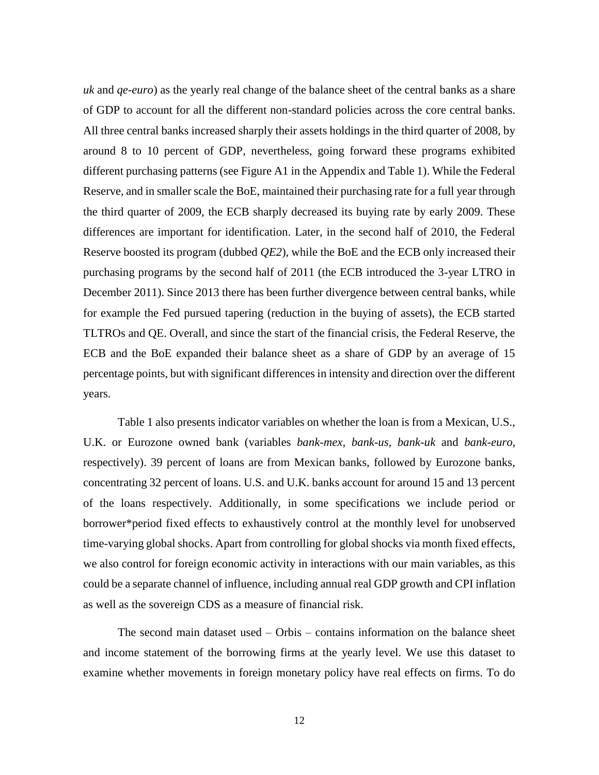*uk* and *qe-euro*) as the yearly real change of the balance sheet of the central banks as a share of GDP to account for all the different non-standard policies across the core central banks. All three central banks increased sharply their assets holdings in the third quarter of 2008, by around 8 to 10 percent of GDP, nevertheless, going forward these programs exhibited different purchasing patterns (see Figure A1 in the Appendix and Table 1). While the Federal Reserve, and in smaller scale the BoE, maintained their purchasing rate for a full year through the third quarter of 2009, the ECB sharply decreased its buying rate by early 2009. These differences are important for identification. Later, in the second half of 2010, the Federal Reserve boosted its program (dubbed *QE2*), while the BoE and the ECB only increased their purchasing programs by the second half of 2011 (the ECB introduced the 3-year LTRO in December 2011). Since 2013 there has been further divergence between central banks, while for example the Fed pursued tapering (reduction in the buying of assets), the ECB started TLTROs and QE. Overall, and since the start of the financial crisis, the Federal Reserve, the ECB and the BoE expanded their balance sheet as a share of GDP by an average of 15 percentage points, but with significant differences in intensity and direction over the different years.

Table 1 also presents indicator variables on whether the loan is from a Mexican, U.S., U.K. or Eurozone owned bank (variables *bank-mex, bank-us, bank-uk* and *bank-euro*, respectively). 39 percent of loans are from Mexican banks, followed by Eurozone banks, concentrating 32 percent of loans. U.S. and U.K. banks account for around 15 and 13 percent of the loans respectively. Additionally, in some specifications we include period or borrower\*period fixed effects to exhaustively control at the monthly level for unobserved time-varying global shocks. Apart from controlling for global shocks via month fixed effects, we also control for foreign economic activity in interactions with our main variables, as this could be a separate channel of influence, including annual real GDP growth and CPI inflation as well as the sovereign CDS as a measure of financial risk.

The second main dataset used – Orbis – contains information on the balance sheet and income statement of the borrowing firms at the yearly level. We use this dataset to examine whether movements in foreign monetary policy have real effects on firms. To do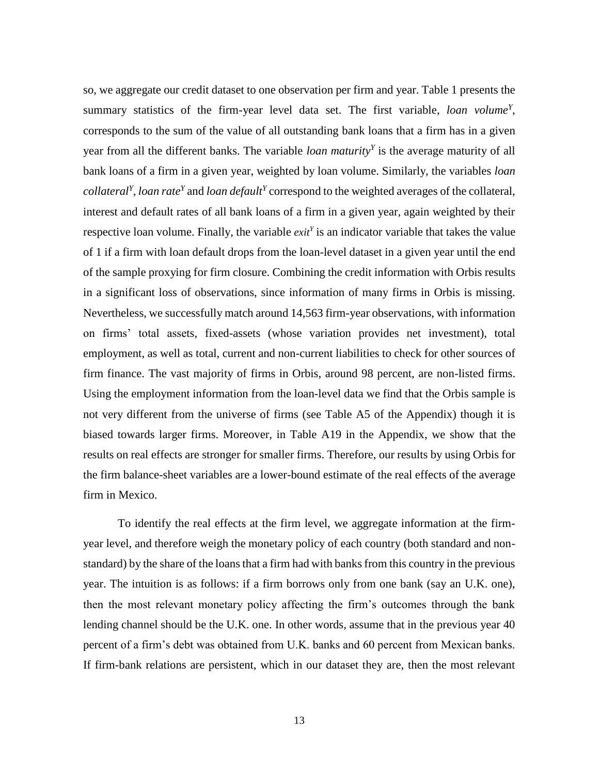so, we aggregate our credit dataset to one observation per firm and year. Table 1 presents the summary statistics of the firm-year level data set. The first variable, *loan volume<sup>Y</sup>* , corresponds to the sum of the value of all outstanding bank loans that a firm has in a given year from all the different banks. The variable *loan maturity<sup>Y</sup>* is the average maturity of all bank loans of a firm in a given year, weighted by loan volume. Similarly, the variables *loan collateral<sup>Y</sup>*, *loan rate<sup>Y</sup>* and *loan default<sup>Y</sup>* correspond to the weighted averages of the collateral, interest and default rates of all bank loans of a firm in a given year, again weighted by their respective loan volume. Finally, the variable *exit<sup>Y</sup>* is an indicator variable that takes the value of 1 if a firm with loan default drops from the loan-level dataset in a given year until the end of the sample proxying for firm closure. Combining the credit information with Orbis results in a significant loss of observations, since information of many firms in Orbis is missing. Nevertheless, we successfully match around 14,563 firm-year observations, with information on firms' total assets, fixed-assets (whose variation provides net investment), total employment, as well as total, current and non-current liabilities to check for other sources of firm finance. The vast majority of firms in Orbis, around 98 percent, are non-listed firms. Using the employment information from the loan-level data we find that the Orbis sample is not very different from the universe of firms (see Table A5 of the Appendix) though it is biased towards larger firms. Moreover, in Table A19 in the Appendix, we show that the results on real effects are stronger for smaller firms. Therefore, our results by using Orbis for the firm balance-sheet variables are a lower-bound estimate of the real effects of the average firm in Mexico.

To identify the real effects at the firm level, we aggregate information at the firmyear level, and therefore weigh the monetary policy of each country (both standard and nonstandard) by the share of the loans that a firm had with banks from this country in the previous year. The intuition is as follows: if a firm borrows only from one bank (say an U.K. one), then the most relevant monetary policy affecting the firm's outcomes through the bank lending channel should be the U.K. one. In other words, assume that in the previous year 40 percent of a firm's debt was obtained from U.K. banks and 60 percent from Mexican banks. If firm-bank relations are persistent, which in our dataset they are, then the most relevant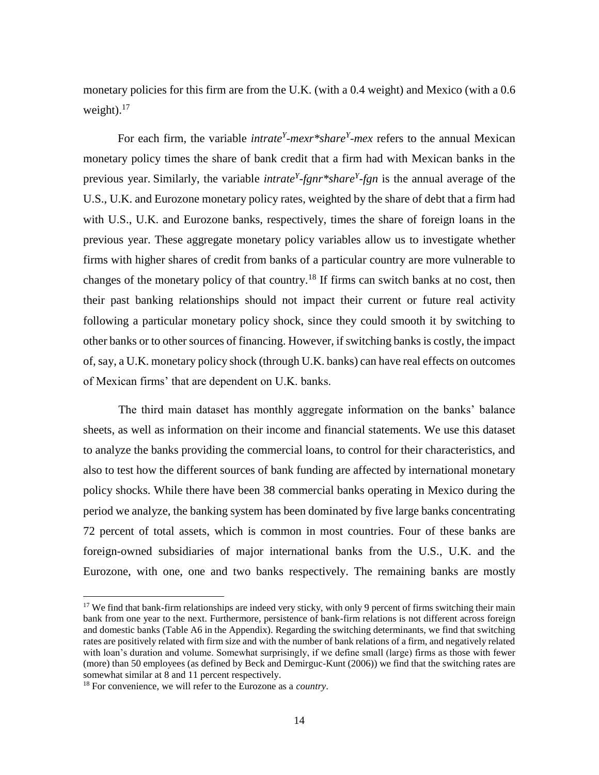monetary policies for this firm are from the U.K. (with a 0.4 weight) and Mexico (with a 0.6 weight). $17$ 

For each firm, the variable *intrate<sup>Y</sup>-mexr\*share<sup>Y</sup>-mex* refers to the annual Mexican monetary policy times the share of bank credit that a firm had with Mexican banks in the previous year. Similarly, the variable *intrate<sup>Y</sup> -fgnr\*share<sup>Y</sup> -fgn* is the annual average of the U.S., U.K. and Eurozone monetary policy rates, weighted by the share of debt that a firm had with U.S., U.K. and Eurozone banks, respectively, times the share of foreign loans in the previous year. These aggregate monetary policy variables allow us to investigate whether firms with higher shares of credit from banks of a particular country are more vulnerable to changes of the monetary policy of that country.<sup>18</sup> If firms can switch banks at no cost, then their past banking relationships should not impact their current or future real activity following a particular monetary policy shock, since they could smooth it by switching to other banks or to other sources of financing. However, if switching banks is costly, the impact of, say, a U.K. monetary policy shock (through U.K. banks) can have real effects on outcomes of Mexican firms' that are dependent on U.K. banks.

The third main dataset has monthly aggregate information on the banks' balance sheets, as well as information on their income and financial statements. We use this dataset to analyze the banks providing the commercial loans, to control for their characteristics, and also to test how the different sources of bank funding are affected by international monetary policy shocks. While there have been 38 commercial banks operating in Mexico during the period we analyze, the banking system has been dominated by five large banks concentrating 72 percent of total assets, which is common in most countries. Four of these banks are foreign-owned subsidiaries of major international banks from the U.S., U.K. and the Eurozone, with one, one and two banks respectively. The remaining banks are mostly

<sup>&</sup>lt;sup>17</sup> We find that bank-firm relationships are indeed very sticky, with only 9 percent of firms switching their main bank from one year to the next. Furthermore, persistence of bank-firm relations is not different across foreign and domestic banks (Table A6 in the Appendix). Regarding the switching determinants, we find that switching rates are positively related with firm size and with the number of bank relations of a firm, and negatively related with loan's duration and volume. Somewhat surprisingly, if we define small (large) firms as those with fewer (more) than 50 employees (as defined by Beck and Demirguc-Kunt (2006)) we find that the switching rates are somewhat similar at 8 and 11 percent respectively.

<sup>18</sup> For convenience, we will refer to the Eurozone as a *country*.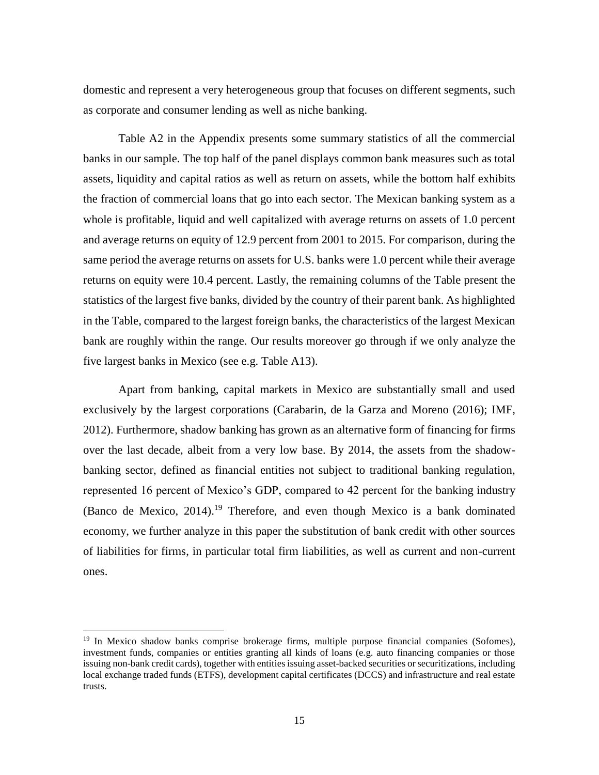domestic and represent a very heterogeneous group that focuses on different segments, such as corporate and consumer lending as well as niche banking.

Table A2 in the Appendix presents some summary statistics of all the commercial banks in our sample. The top half of the panel displays common bank measures such as total assets, liquidity and capital ratios as well as return on assets, while the bottom half exhibits the fraction of commercial loans that go into each sector. The Mexican banking system as a whole is profitable, liquid and well capitalized with average returns on assets of 1.0 percent and average returns on equity of 12.9 percent from 2001 to 2015. For comparison, during the same period the average returns on assets for U.S. banks were 1.0 percent while their average returns on equity were 10.4 percent. Lastly, the remaining columns of the Table present the statistics of the largest five banks, divided by the country of their parent bank. As highlighted in the Table, compared to the largest foreign banks, the characteristics of the largest Mexican bank are roughly within the range. Our results moreover go through if we only analyze the five largest banks in Mexico (see e.g. Table A13).

Apart from banking, capital markets in Mexico are substantially small and used exclusively by the largest corporations (Carabarin, de la Garza and Moreno (2016); IMF, 2012). Furthermore, shadow banking has grown as an alternative form of financing for firms over the last decade, albeit from a very low base. By 2014, the assets from the shadowbanking sector, defined as financial entities not subject to traditional banking regulation, represented 16 percent of Mexico's GDP, compared to 42 percent for the banking industry (Banco de Mexico,  $2014$ ).<sup>19</sup> Therefore, and even though Mexico is a bank dominated economy, we further analyze in this paper the substitution of bank credit with other sources of liabilities for firms, in particular total firm liabilities, as well as current and non-current ones.

<sup>&</sup>lt;sup>19</sup> In Mexico shadow banks comprise brokerage firms, multiple purpose financial companies (Sofomes), investment funds, companies or entities granting all kinds of loans (e.g. auto financing companies or those issuing non-bank credit cards), together with entities issuing asset-backed securities or securitizations, including local exchange traded funds (ETFS), development capital certificates (DCCS) and infrastructure and real estate trusts.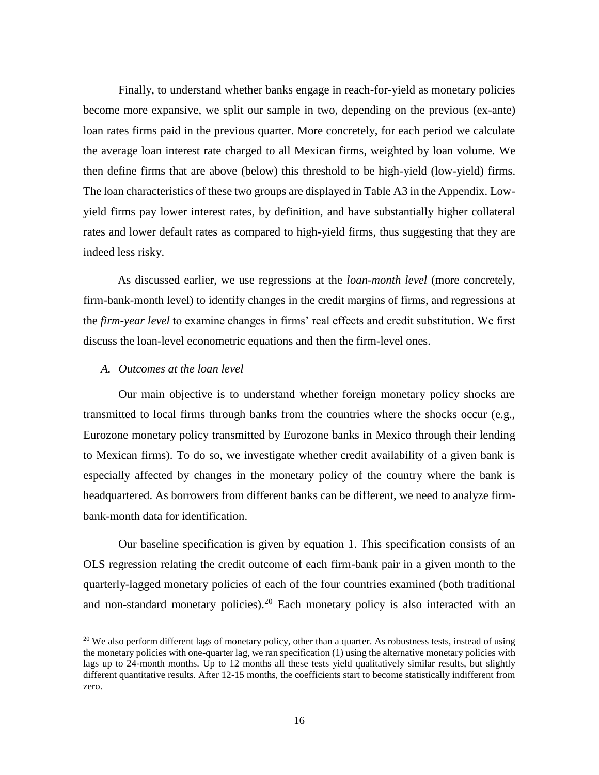Finally, to understand whether banks engage in reach-for-yield as monetary policies become more expansive, we split our sample in two, depending on the previous (ex-ante) loan rates firms paid in the previous quarter. More concretely, for each period we calculate the average loan interest rate charged to all Mexican firms, weighted by loan volume. We then define firms that are above (below) this threshold to be high-yield (low-yield) firms. The loan characteristics of these two groups are displayed in Table A3 in the Appendix. Lowyield firms pay lower interest rates, by definition, and have substantially higher collateral rates and lower default rates as compared to high-yield firms, thus suggesting that they are indeed less risky.

As discussed earlier, we use regressions at the *loan-month level* (more concretely, firm-bank-month level) to identify changes in the credit margins of firms, and regressions at the *firm-year level* to examine changes in firms' real effects and credit substitution. We first discuss the loan-level econometric equations and then the firm-level ones.

#### *A. Outcomes at the loan level*

 $\overline{a}$ 

Our main objective is to understand whether foreign monetary policy shocks are transmitted to local firms through banks from the countries where the shocks occur (e.g., Eurozone monetary policy transmitted by Eurozone banks in Mexico through their lending to Mexican firms). To do so, we investigate whether credit availability of a given bank is especially affected by changes in the monetary policy of the country where the bank is headquartered. As borrowers from different banks can be different, we need to analyze firmbank-month data for identification.

Our baseline specification is given by equation 1. This specification consists of an OLS regression relating the credit outcome of each firm-bank pair in a given month to the quarterly-lagged monetary policies of each of the four countries examined (both traditional and non-standard monetary policies).<sup>20</sup> Each monetary policy is also interacted with an

<sup>&</sup>lt;sup>20</sup> We also perform different lags of monetary policy, other than a quarter. As robustness tests, instead of using the monetary policies with one-quarter lag, we ran specification (1) using the alternative monetary policies with lags up to 24-month months. Up to 12 months all these tests yield qualitatively similar results, but slightly different quantitative results. After 12-15 months, the coefficients start to become statistically indifferent from zero.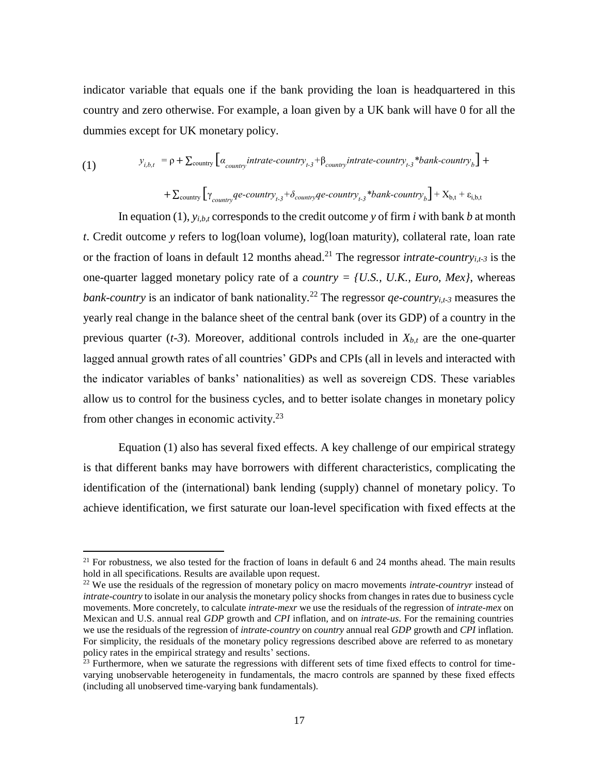indicator variable that equals one if the bank providing the loan is headquartered in this country and zero otherwise. For example, a loan given by a UK bank will have 0 for all the dummies except for UK monetary policy.

(1) 
$$
y_{i,b,t} = \rho + \sum_{\text{country}} \left[ a_{\text{country}} \text{ intracti} + \beta_{\text{country}} \text{ intracti} + \beta_{\text{country}} \text{ intracti} + \beta_{\text{country}} \text{ intracti} + \beta_{\text{country}} \right] +
$$

$$
+\sum_{\text{country}}\Big[\gamma_{\text{country}}q\text{e-}country_{t\text{-}3}+\delta_{\text{country}}q\text{e-}country_{t\text{-}3}*\text{bank-}country_{b}\Big]+X_{b,t}+\epsilon_{i,b,t}
$$

In equation (1), *yi,b,t* corresponds to the credit outcome *y* of firm *i* with bank *b* at month *t*. Credit outcome *y* refers to log(loan volume), log(loan maturity), collateral rate, loan rate or the fraction of loans in default 12 months ahead. <sup>21</sup> The regressor *intrate-countryi,t-3* is the one-quarter lagged monetary policy rate of a *country = {U.S., U.K., Euro, Mex}*, whereas *bank-country* is an indicator of bank nationality.<sup>22</sup> The regressor *qe-country*<sub>*i*,t-3</sub> measures the yearly real change in the balance sheet of the central bank (over its GDP) of a country in the previous quarter  $(t-3)$ . Moreover, additional controls included in  $X_{b,t}$  are the one-quarter lagged annual growth rates of all countries' GDPs and CPIs (all in levels and interacted with the indicator variables of banks' nationalities) as well as sovereign CDS. These variables allow us to control for the business cycles, and to better isolate changes in monetary policy from other changes in economic activity.<sup>23</sup>

Equation (1) also has several fixed effects. A key challenge of our empirical strategy is that different banks may have borrowers with different characteristics, complicating the identification of the (international) bank lending (supply) channel of monetary policy. To achieve identification, we first saturate our loan-level specification with fixed effects at the

<sup>&</sup>lt;sup>21</sup> For robustness, we also tested for the fraction of loans in default 6 and 24 months ahead. The main results hold in all specifications. Results are available upon request.

<sup>&</sup>lt;sup>22</sup> We use the residuals of the regression of monetary policy on macro movements *intrate-countryr* instead of *intrate-country* to isolate in our analysis the monetary policy shocks from changes in rates due to business cycle movements. More concretely, to calculate *intrate-mexr* we use the residuals of the regression of *intrate-mex* on Mexican and U.S. annual real *GDP* growth and *CPI* inflation*,* and on *intrate-us*. For the remaining countries we use the residuals of the regression of *intrate-country* on *country* annual real *GDP* growth and *CPI* inflation. For simplicity, the residuals of the monetary policy regressions described above are referred to as monetary policy rates in the empirical strategy and results' sections.

 $^{23}$  Furthermore, when we saturate the regressions with different sets of time fixed effects to control for timevarying unobservable heterogeneity in fundamentals, the macro controls are spanned by these fixed effects (including all unobserved time-varying bank fundamentals).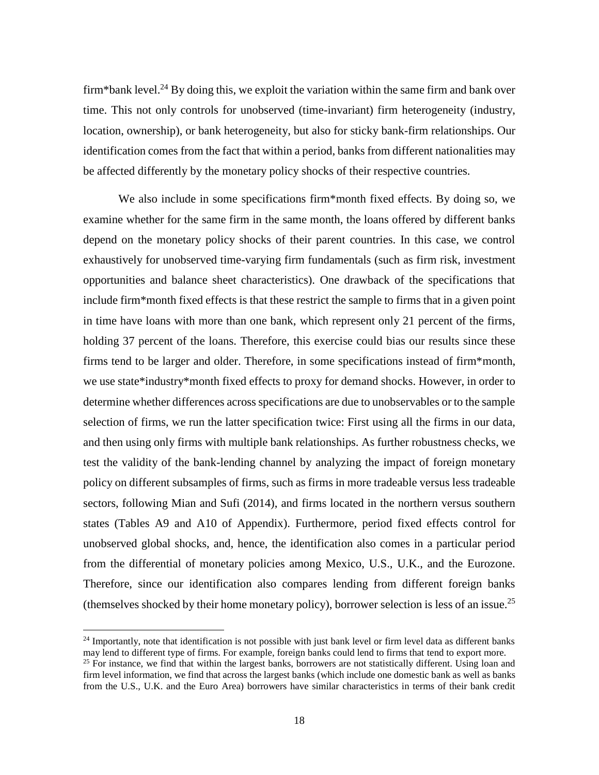firm\*bank level.<sup>24</sup> By doing this, we exploit the variation within the same firm and bank over time. This not only controls for unobserved (time-invariant) firm heterogeneity (industry, location, ownership), or bank heterogeneity, but also for sticky bank-firm relationships. Our identification comes from the fact that within a period, banks from different nationalities may be affected differently by the monetary policy shocks of their respective countries.

We also include in some specifications firm\*month fixed effects. By doing so, we examine whether for the same firm in the same month, the loans offered by different banks depend on the monetary policy shocks of their parent countries. In this case, we control exhaustively for unobserved time-varying firm fundamentals (such as firm risk, investment opportunities and balance sheet characteristics). One drawback of the specifications that include firm\*month fixed effects is that these restrict the sample to firms that in a given point in time have loans with more than one bank, which represent only 21 percent of the firms, holding 37 percent of the loans. Therefore, this exercise could bias our results since these firms tend to be larger and older. Therefore, in some specifications instead of firm\*month, we use state\*industry\*month fixed effects to proxy for demand shocks. However, in order to determine whether differences across specifications are due to unobservables or to the sample selection of firms, we run the latter specification twice: First using all the firms in our data, and then using only firms with multiple bank relationships. As further robustness checks, we test the validity of the bank-lending channel by analyzing the impact of foreign monetary policy on different subsamples of firms, such as firms in more tradeable versus less tradeable sectors, following Mian and Sufi (2014), and firms located in the northern versus southern states (Tables A9 and A10 of Appendix). Furthermore, period fixed effects control for unobserved global shocks, and, hence, the identification also comes in a particular period from the differential of monetary policies among Mexico, U.S., U.K., and the Eurozone. Therefore, since our identification also compares lending from different foreign banks (themselves shocked by their home monetary policy), borrower selection is less of an issue.<sup>25</sup>

<sup>&</sup>lt;sup>24</sup> Importantly, note that identification is not possible with just bank level or firm level data as different banks may lend to different type of firms. For example, foreign banks could lend to firms that tend to export more.

 $25$  For instance, we find that within the largest banks, borrowers are not statistically different. Using loan and firm level information, we find that across the largest banks (which include one domestic bank as well as banks from the U.S., U.K. and the Euro Area) borrowers have similar characteristics in terms of their bank credit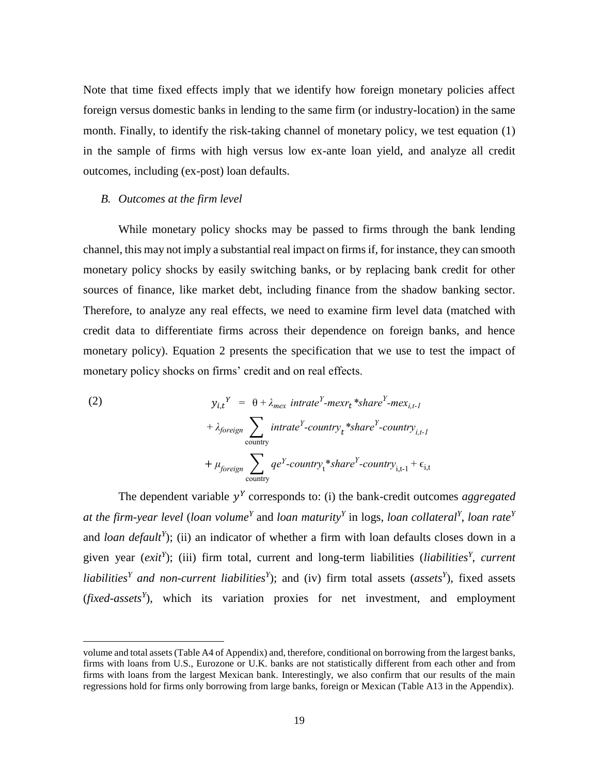Note that time fixed effects imply that we identify how foreign monetary policies affect foreign versus domestic banks in lending to the same firm (or industry-location) in the same month. Finally, to identify the risk-taking channel of monetary policy, we test equation (1) in the sample of firms with high versus low ex-ante loan yield, and analyze all credit outcomes, including (ex-post) loan defaults.

### *B. Outcomes at the firm level*

 $\overline{a}$ 

While monetary policy shocks may be passed to firms through the bank lending channel, this may not imply a substantial real impact on firms if, for instance, they can smooth monetary policy shocks by easily switching banks, or by replacing bank credit for other sources of finance, like market debt, including finance from the shadow banking sector. Therefore, to analyze any real effects, we need to examine firm level data (matched with credit data to differentiate firms across their dependence on foreign banks, and hence monetary policy). Equation 2 presents the specification that we use to test the impact of monetary policy shocks on firms' credit and on real effects.

(2) 
$$
y_{i,t}^{Y} = \theta + \lambda_{max} \text{ intrate}^{Y} - \text{mex}_{t} \cdot \text{*share}^{Y} - \text{mex}_{i,t-1}
$$

$$
+ \lambda_{foreign} \sum_{country} \text{ intrate}^{Y} - \text{country}_{t} \cdot \text{*share}^{Y} - \text{country}_{i,t-1}
$$

$$
+ \mu_{foreign} \sum_{country} q e^{Y} - \text{country}_{t} \cdot \text{*share}^{Y} - \text{country}_{i,t-1} + \epsilon_{i,t}
$$

The dependent variable  $y<sup>Y</sup>$  corresponds to: (i) the bank-credit outcomes *aggregated at the firm-year level* (*loan volume<sup>Y</sup>* and *loan maturity<sup>Y</sup>* in logs, *loan collateral<sup>Y</sup>* , *loan rate<sup>Y</sup>* and *loan default<sup>Y</sup>* ); (ii) an indicator of whether a firm with loan defaults closes down in a given year (*exit<sup>Y</sup>* ); (iii) firm total, current and long-term liabilities (*liabilities<sup>Y</sup>* , *current liabilities<sup>Y</sup> and non-current liabilities<sup>Y</sup>* ); and (iv) firm total assets (*assets<sup>Y</sup>* ), fixed assets (*fixed-assets<sup>Y</sup>* ), which its variation proxies for net investment, and employment

volume and total assets (Table A4 of Appendix) and, therefore, conditional on borrowing from the largest banks, firms with loans from U.S., Eurozone or U.K. banks are not statistically different from each other and from firms with loans from the largest Mexican bank. Interestingly, we also confirm that our results of the main regressions hold for firms only borrowing from large banks, foreign or Mexican (Table A13 in the Appendix).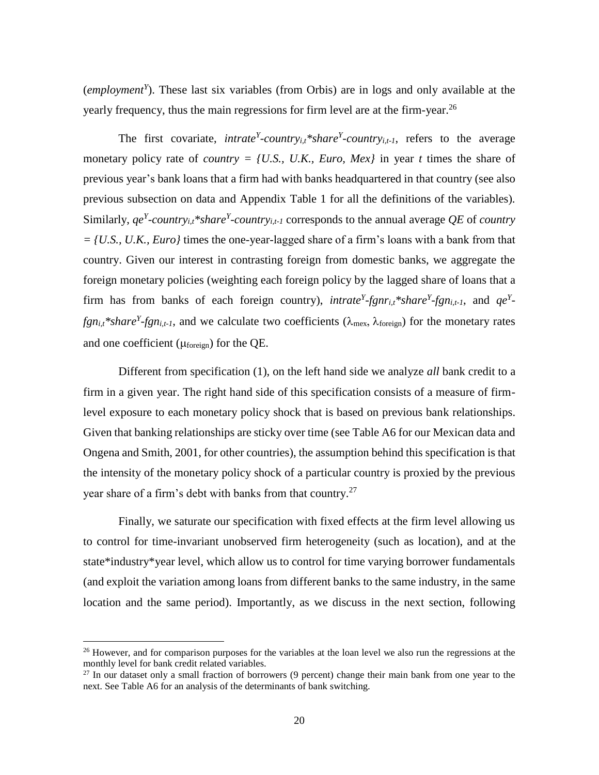(*employment<sup>Y</sup>* ). These last six variables (from Orbis) are in logs and only available at the yearly frequency, thus the main regressions for firm level are at the firm-year.<sup>26</sup>

The first covariate, *intrate*<sup>*Y*</sup>-country<sub>*i*,*t*</sub><sup>\*</sup>*share*<sup>*Y*</sup>-country<sub>*i*</sub>, $t$ <sub>-1</sub>, refers to the average monetary policy rate of *country = {U.S., U.K., Euro, Mex}* in year *t* times the share of previous year's bank loans that a firm had with banks headquartered in that country (see also previous subsection on data and Appendix Table 1 for all the definitions of the variables). Similarly, *qe<sup>Y</sup>-country<sub>i,t</sub>\*share<sup>Y</sup>-country<sub>i,t-1</sub></sup> corresponds to the annual average <i>QE* of *country = {U.S., U.K., Euro}* times the one-year-lagged share of a firm's loans with a bank from that country. Given our interest in contrasting foreign from domestic banks, we aggregate the foreign monetary policies (weighting each foreign policy by the lagged share of loans that a firm has from banks of each foreign country), *intrate*<sup>*Y*</sup>-fgnr<sub>*i*</sub>,t\*share<sup>*Y*</sup>-fgn<sub>*i*</sub>,t<sub>-1</sub>, and  $qe^{Y}$ *fgn*<sub>*i*</sub>,*t*<sup>\*</sup>*share*<sup>*Y*</sup>-*fgn*<sub>*i*</sub>,*t*<sub>-1</sub>, and we calculate two coefficients ( $\lambda_{\text{max}}$ ,  $\lambda_{\text{foreign}}$ ) for the monetary rates and one coefficient ( $\mu$ <sub>foreign</sub>) for the QE.

Different from specification (1), on the left hand side we analyze *all* bank credit to a firm in a given year. The right hand side of this specification consists of a measure of firmlevel exposure to each monetary policy shock that is based on previous bank relationships. Given that banking relationships are sticky over time (see Table A6 for our Mexican data and Ongena and Smith, 2001, for other countries), the assumption behind this specification is that the intensity of the monetary policy shock of a particular country is proxied by the previous year share of a firm's debt with banks from that country.<sup>27</sup>

Finally, we saturate our specification with fixed effects at the firm level allowing us to control for time-invariant unobserved firm heterogeneity (such as location), and at the state\*industry\*year level, which allow us to control for time varying borrower fundamentals (and exploit the variation among loans from different banks to the same industry, in the same location and the same period). Importantly, as we discuss in the next section, following

<sup>&</sup>lt;sup>26</sup> However, and for comparison purposes for the variables at the loan level we also run the regressions at the monthly level for bank credit related variables.

<sup>&</sup>lt;sup>27</sup> In our dataset only a small fraction of borrowers (9 percent) change their main bank from one year to the next. See Table A6 for an analysis of the determinants of bank switching.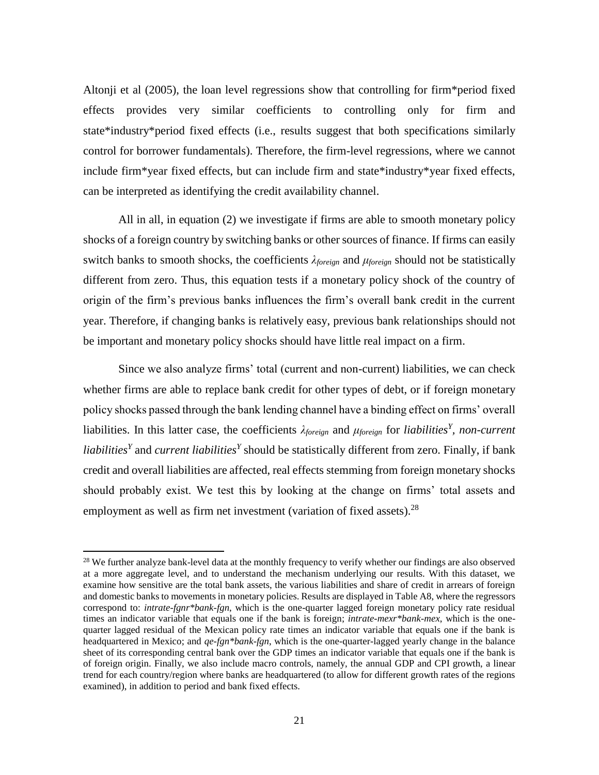Altonji et al (2005), the loan level regressions show that controlling for firm\*period fixed effects provides very similar coefficients to controlling only for firm and state\*industry\*period fixed effects (i.e., results suggest that both specifications similarly control for borrower fundamentals). Therefore, the firm-level regressions, where we cannot include firm\*year fixed effects, but can include firm and state\*industry\*year fixed effects, can be interpreted as identifying the credit availability channel.

All in all, in equation (2) we investigate if firms are able to smooth monetary policy shocks of a foreign country by switching banks or other sources of finance. If firms can easily switch banks to smooth shocks, the coefficients *λforeign* and *μforeign* should not be statistically different from zero. Thus, this equation tests if a monetary policy shock of the country of origin of the firm's previous banks influences the firm's overall bank credit in the current year. Therefore, if changing banks is relatively easy, previous bank relationships should not be important and monetary policy shocks should have little real impact on a firm.

Since we also analyze firms' total (current and non-current) liabilities, we can check whether firms are able to replace bank credit for other types of debt, or if foreign monetary policy shocks passed through the bank lending channel have a binding effect on firms' overall liabilities. In this latter case, the coefficients *λforeign* and *μforeign* for *liabilities<sup>Y</sup> , non-current liabilities<sup>Y</sup>* and *current liabilities<sup>Y</sup>* should be statistically different from zero. Finally, if bank credit and overall liabilities are affected, real effects stemming from foreign monetary shocks should probably exist. We test this by looking at the change on firms' total assets and employment as well as firm net investment (variation of fixed assets).<sup>28</sup>

<sup>&</sup>lt;sup>28</sup> We further analyze bank-level data at the monthly frequency to verify whether our findings are also observed at a more aggregate level, and to understand the mechanism underlying our results. With this dataset, we examine how sensitive are the total bank assets, the various liabilities and share of credit in arrears of foreign and domestic banks to movements in monetary policies. Results are displayed in Table A8, where the regressors correspond to: *intrate-fgnr\*bank-fgn*, which is the one-quarter lagged foreign monetary policy rate residual times an indicator variable that equals one if the bank is foreign; *intrate-mexr\*bank-mex*, which is the onequarter lagged residual of the Mexican policy rate times an indicator variable that equals one if the bank is headquartered in Mexico; and *qe-fgn\*bank-fgn*, which is the one-quarter-lagged yearly change in the balance sheet of its corresponding central bank over the GDP times an indicator variable that equals one if the bank is of foreign origin. Finally, we also include macro controls, namely, the annual GDP and CPI growth, a linear trend for each country/region where banks are headquartered (to allow for different growth rates of the regions examined), in addition to period and bank fixed effects.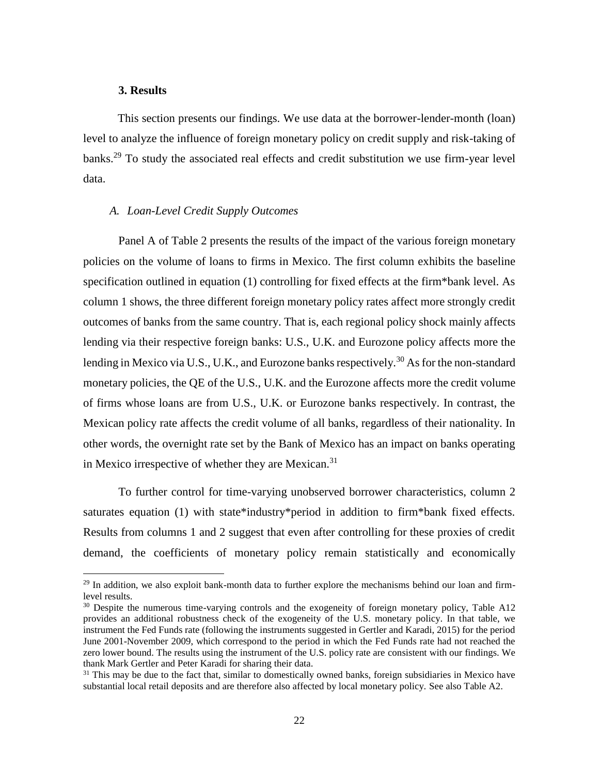#### **3. Results**

 $\overline{a}$ 

This section presents our findings. We use data at the borrower-lender-month (loan) level to analyze the influence of foreign monetary policy on credit supply and risk-taking of banks.<sup>29</sup> To study the associated real effects and credit substitution we use firm-year level data.

#### *A. Loan-Level Credit Supply Outcomes*

Panel A of Table 2 presents the results of the impact of the various foreign monetary policies on the volume of loans to firms in Mexico. The first column exhibits the baseline specification outlined in equation (1) controlling for fixed effects at the firm\*bank level. As column 1 shows, the three different foreign monetary policy rates affect more strongly credit outcomes of banks from the same country. That is, each regional policy shock mainly affects lending via their respective foreign banks: U.S., U.K. and Eurozone policy affects more the lending in Mexico via U.S., U.K., and Eurozone banks respectively.<sup>30</sup> As for the non-standard monetary policies, the QE of the U.S., U.K. and the Eurozone affects more the credit volume of firms whose loans are from U.S., U.K. or Eurozone banks respectively. In contrast, the Mexican policy rate affects the credit volume of all banks, regardless of their nationality. In other words, the overnight rate set by the Bank of Mexico has an impact on banks operating in Mexico irrespective of whether they are Mexican.<sup>31</sup>

To further control for time-varying unobserved borrower characteristics, column 2 saturates equation (1) with state\*industry\*period in addition to firm\*bank fixed effects. Results from columns 1 and 2 suggest that even after controlling for these proxies of credit demand, the coefficients of monetary policy remain statistically and economically

 $29$  In addition, we also exploit bank-month data to further explore the mechanisms behind our loan and firmlevel results.

<sup>&</sup>lt;sup>30</sup> Despite the numerous time-varying controls and the exogeneity of foreign monetary policy, Table A12 provides an additional robustness check of the exogeneity of the U.S. monetary policy. In that table, we instrument the Fed Funds rate (following the instruments suggested in Gertler and Karadi, 2015) for the period June 2001-November 2009, which correspond to the period in which the Fed Funds rate had not reached the zero lower bound. The results using the instrument of the U.S. policy rate are consistent with our findings. We thank Mark Gertler and Peter Karadi for sharing their data.

 $31$  This may be due to the fact that, similar to domestically owned banks, foreign subsidiaries in Mexico have substantial local retail deposits and are therefore also affected by local monetary policy. See also Table A2.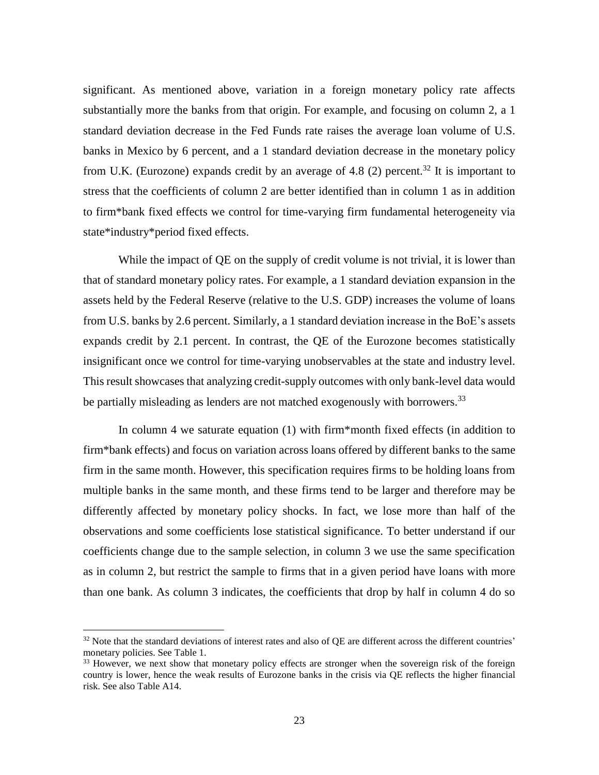significant. As mentioned above, variation in a foreign monetary policy rate affects substantially more the banks from that origin. For example, and focusing on column 2, a 1 standard deviation decrease in the Fed Funds rate raises the average loan volume of U.S. banks in Mexico by 6 percent, and a 1 standard deviation decrease in the monetary policy from U.K. (Eurozone) expands credit by an average of 4.8 (2) percent.<sup>32</sup> It is important to stress that the coefficients of column 2 are better identified than in column 1 as in addition to firm\*bank fixed effects we control for time-varying firm fundamental heterogeneity via state\*industry\*period fixed effects.

While the impact of QE on the supply of credit volume is not trivial, it is lower than that of standard monetary policy rates. For example, a 1 standard deviation expansion in the assets held by the Federal Reserve (relative to the U.S. GDP) increases the volume of loans from U.S. banks by 2.6 percent. Similarly, a 1 standard deviation increase in the BoE's assets expands credit by 2.1 percent. In contrast, the QE of the Eurozone becomes statistically insignificant once we control for time-varying unobservables at the state and industry level. This result showcases that analyzing credit-supply outcomes with only bank-level data would be partially misleading as lenders are not matched exogenously with borrowers.<sup>33</sup>

In column 4 we saturate equation (1) with firm\*month fixed effects (in addition to firm\*bank effects) and focus on variation across loans offered by different banks to the same firm in the same month. However, this specification requires firms to be holding loans from multiple banks in the same month, and these firms tend to be larger and therefore may be differently affected by monetary policy shocks. In fact, we lose more than half of the observations and some coefficients lose statistical significance. To better understand if our coefficients change due to the sample selection, in column 3 we use the same specification as in column 2, but restrict the sample to firms that in a given period have loans with more than one bank. As column 3 indicates, the coefficients that drop by half in column 4 do so

<sup>&</sup>lt;sup>32</sup> Note that the standard deviations of interest rates and also of QE are different across the different countries' monetary policies. See Table 1.

<sup>&</sup>lt;sup>33</sup> However, we next show that monetary policy effects are stronger when the sovereign risk of the foreign country is lower, hence the weak results of Eurozone banks in the crisis via QE reflects the higher financial risk. See also Table A14.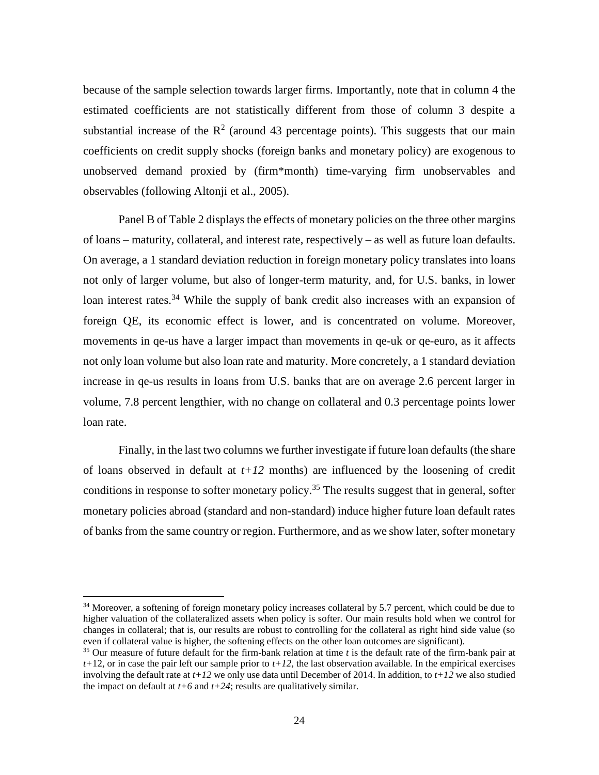because of the sample selection towards larger firms. Importantly, note that in column 4 the estimated coefficients are not statistically different from those of column 3 despite a substantial increase of the  $\mathbb{R}^2$  (around 43 percentage points). This suggests that our main coefficients on credit supply shocks (foreign banks and monetary policy) are exogenous to unobserved demand proxied by (firm\*month) time-varying firm unobservables and observables (following Altonji et al., 2005).

Panel B of Table 2 displays the effects of monetary policies on the three other margins of loans – maturity, collateral, and interest rate, respectively – as well as future loan defaults. On average, a 1 standard deviation reduction in foreign monetary policy translates into loans not only of larger volume, but also of longer-term maturity, and, for U.S. banks, in lower loan interest rates.<sup>34</sup> While the supply of bank credit also increases with an expansion of foreign QE, its economic effect is lower, and is concentrated on volume. Moreover, movements in qe-us have a larger impact than movements in qe-uk or qe-euro, as it affects not only loan volume but also loan rate and maturity. More concretely, a 1 standard deviation increase in qe-us results in loans from U.S. banks that are on average 2.6 percent larger in volume, 7.8 percent lengthier, with no change on collateral and 0.3 percentage points lower loan rate.

Finally, in the last two columns we further investigate if future loan defaults (the share of loans observed in default at *t+12* months) are influenced by the loosening of credit conditions in response to softer monetary policy.<sup>35</sup> The results suggest that in general, softer monetary policies abroad (standard and non-standard) induce higher future loan default rates of banks from the same country or region. Furthermore, and as we show later, softer monetary

<sup>&</sup>lt;sup>34</sup> Moreover, a softening of foreign monetary policy increases collateral by 5.7 percent, which could be due to higher valuation of the collateralized assets when policy is softer. Our main results hold when we control for changes in collateral; that is, our results are robust to controlling for the collateral as right hind side value (so even if collateral value is higher, the softening effects on the other loan outcomes are significant).

<sup>35</sup> Our measure of future default for the firm-bank relation at time *t* is the default rate of the firm-bank pair at  $t+12$ , or in case the pair left our sample prior to  $t+12$ , the last observation available. In the empirical exercises involving the default rate at  $t+12$  we only use data until December of 2014. In addition, to  $t+12$  we also studied the impact on default at  $t+6$  and  $t+24$ ; results are qualitatively similar.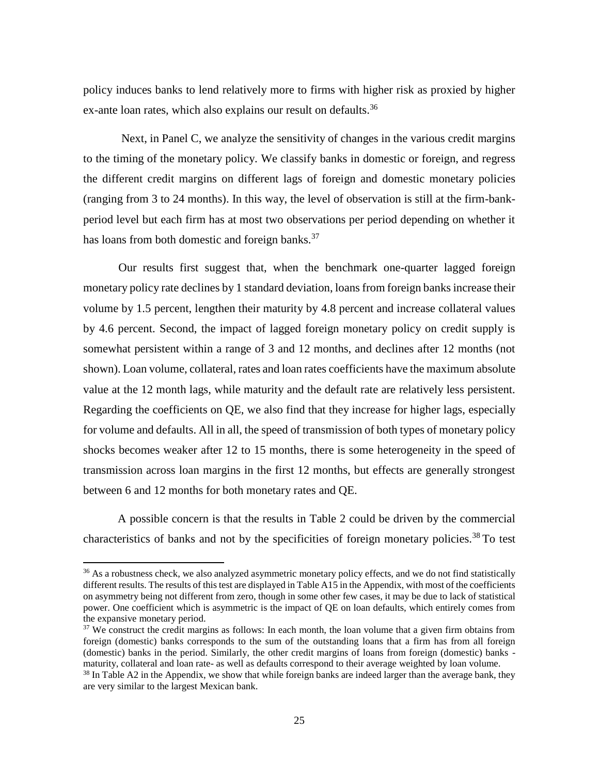policy induces banks to lend relatively more to firms with higher risk as proxied by higher ex-ante loan rates, which also explains our result on defaults.<sup>36</sup>

Next, in Panel C, we analyze the sensitivity of changes in the various credit margins to the timing of the monetary policy. We classify banks in domestic or foreign, and regress the different credit margins on different lags of foreign and domestic monetary policies (ranging from 3 to 24 months). In this way, the level of observation is still at the firm-bankperiod level but each firm has at most two observations per period depending on whether it has loans from both domestic and foreign banks.<sup>37</sup>

Our results first suggest that, when the benchmark one-quarter lagged foreign monetary policy rate declines by 1 standard deviation, loans from foreign banks increase their volume by 1.5 percent, lengthen their maturity by 4.8 percent and increase collateral values by 4.6 percent. Second, the impact of lagged foreign monetary policy on credit supply is somewhat persistent within a range of 3 and 12 months, and declines after 12 months (not shown). Loan volume, collateral, rates and loan rates coefficients have the maximum absolute value at the 12 month lags, while maturity and the default rate are relatively less persistent. Regarding the coefficients on QE, we also find that they increase for higher lags, especially for volume and defaults. All in all, the speed of transmission of both types of monetary policy shocks becomes weaker after 12 to 15 months, there is some heterogeneity in the speed of transmission across loan margins in the first 12 months, but effects are generally strongest between 6 and 12 months for both monetary rates and QE.

A possible concern is that the results in Table 2 could be driven by the commercial characteristics of banks and not by the specificities of foreign monetary policies.<sup>38</sup> To test

<sup>&</sup>lt;sup>36</sup> As a robustness check, we also analyzed asymmetric monetary policy effects, and we do not find statistically different results. The results of this test are displayed in Table A15 in the Appendix, with most of the coefficients on asymmetry being not different from zero, though in some other few cases, it may be due to lack of statistical power. One coefficient which is asymmetric is the impact of QE on loan defaults, which entirely comes from the expansive monetary period.

<sup>&</sup>lt;sup>37</sup> We construct the credit margins as follows: In each month, the loan volume that a given firm obtains from foreign (domestic) banks corresponds to the sum of the outstanding loans that a firm has from all foreign (domestic) banks in the period. Similarly, the other credit margins of loans from foreign (domestic) banks maturity, collateral and loan rate- as well as defaults correspond to their average weighted by loan volume.

<sup>&</sup>lt;sup>38</sup> In Table A2 in the Appendix, we show that while foreign banks are indeed larger than the average bank, they are very similar to the largest Mexican bank.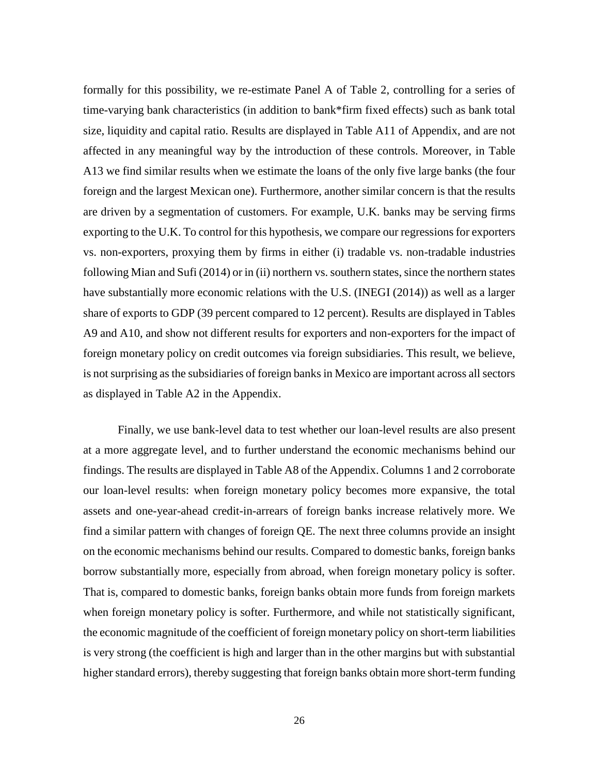formally for this possibility, we re-estimate Panel A of Table 2, controlling for a series of time-varying bank characteristics (in addition to bank\*firm fixed effects) such as bank total size, liquidity and capital ratio. Results are displayed in Table A11 of Appendix, and are not affected in any meaningful way by the introduction of these controls. Moreover, in Table A13 we find similar results when we estimate the loans of the only five large banks (the four foreign and the largest Mexican one). Furthermore, another similar concern is that the results are driven by a segmentation of customers. For example, U.K. banks may be serving firms exporting to the U.K. To control for this hypothesis, we compare our regressions for exporters vs. non-exporters, proxying them by firms in either (i) tradable vs. non-tradable industries following Mian and Sufi (2014) or in (ii) northern vs. southern states, since the northern states have substantially more economic relations with the U.S. (INEGI (2014)) as well as a larger share of exports to GDP (39 percent compared to 12 percent). Results are displayed in Tables A9 and A10, and show not different results for exporters and non-exporters for the impact of foreign monetary policy on credit outcomes via foreign subsidiaries. This result, we believe, is not surprising as the subsidiaries of foreign banks in Mexico are important across all sectors as displayed in Table A2 in the Appendix.

Finally, we use bank-level data to test whether our loan-level results are also present at a more aggregate level, and to further understand the economic mechanisms behind our findings. The results are displayed in Table A8 of the Appendix. Columns 1 and 2 corroborate our loan-level results: when foreign monetary policy becomes more expansive, the total assets and one-year-ahead credit-in-arrears of foreign banks increase relatively more. We find a similar pattern with changes of foreign QE. The next three columns provide an insight on the economic mechanisms behind our results. Compared to domestic banks, foreign banks borrow substantially more, especially from abroad, when foreign monetary policy is softer. That is, compared to domestic banks, foreign banks obtain more funds from foreign markets when foreign monetary policy is softer. Furthermore, and while not statistically significant, the economic magnitude of the coefficient of foreign monetary policy on short-term liabilities is very strong (the coefficient is high and larger than in the other margins but with substantial higher standard errors), thereby suggesting that foreign banks obtain more short-term funding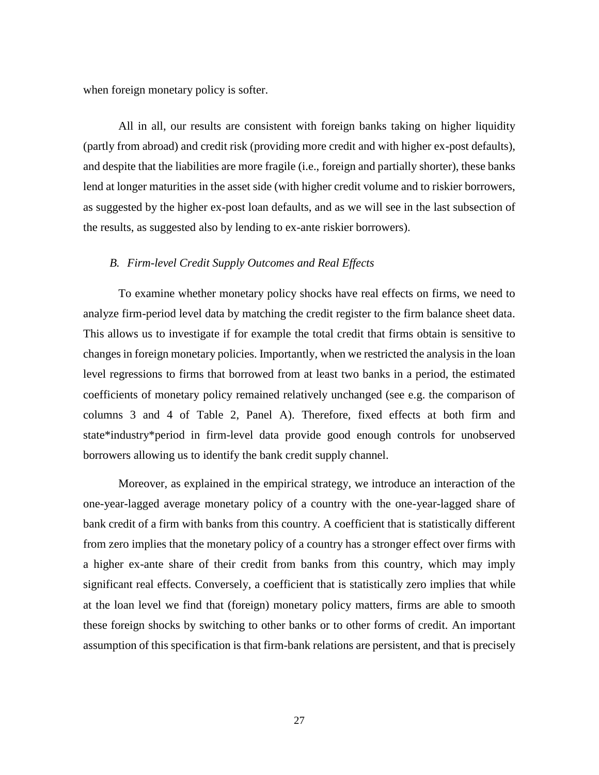when foreign monetary policy is softer.

All in all, our results are consistent with foreign banks taking on higher liquidity (partly from abroad) and credit risk (providing more credit and with higher ex-post defaults), and despite that the liabilities are more fragile (i.e., foreign and partially shorter), these banks lend at longer maturities in the asset side (with higher credit volume and to riskier borrowers, as suggested by the higher ex-post loan defaults, and as we will see in the last subsection of the results, as suggested also by lending to ex-ante riskier borrowers).

### *B. Firm-level Credit Supply Outcomes and Real Effects*

To examine whether monetary policy shocks have real effects on firms, we need to analyze firm-period level data by matching the credit register to the firm balance sheet data. This allows us to investigate if for example the total credit that firms obtain is sensitive to changes in foreign monetary policies. Importantly, when we restricted the analysis in the loan level regressions to firms that borrowed from at least two banks in a period, the estimated coefficients of monetary policy remained relatively unchanged (see e.g. the comparison of columns 3 and 4 of Table 2, Panel A). Therefore, fixed effects at both firm and state\*industry\*period in firm-level data provide good enough controls for unobserved borrowers allowing us to identify the bank credit supply channel.

Moreover, as explained in the empirical strategy, we introduce an interaction of the one-year-lagged average monetary policy of a country with the one-year-lagged share of bank credit of a firm with banks from this country. A coefficient that is statistically different from zero implies that the monetary policy of a country has a stronger effect over firms with a higher ex-ante share of their credit from banks from this country, which may imply significant real effects. Conversely, a coefficient that is statistically zero implies that while at the loan level we find that (foreign) monetary policy matters, firms are able to smooth these foreign shocks by switching to other banks or to other forms of credit. An important assumption of this specification is that firm-bank relations are persistent, and that is precisely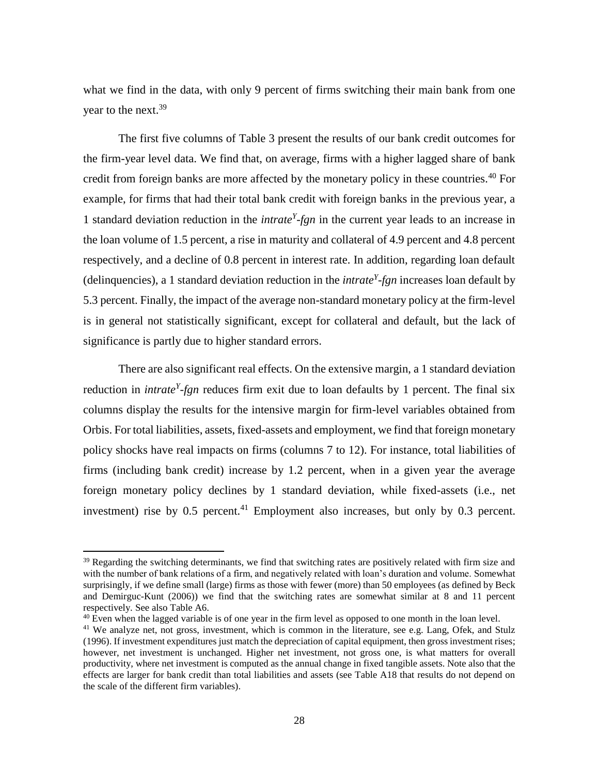what we find in the data, with only 9 percent of firms switching their main bank from one year to the next.<sup>39</sup>

The first five columns of Table 3 present the results of our bank credit outcomes for the firm-year level data. We find that, on average, firms with a higher lagged share of bank credit from foreign banks are more affected by the monetary policy in these countries.<sup>40</sup> For example, for firms that had their total bank credit with foreign banks in the previous year, a 1 standard deviation reduction in the *intrate<sup>Y</sup> -fgn* in the current year leads to an increase in the loan volume of 1.5 percent, a rise in maturity and collateral of 4.9 percent and 4.8 percent respectively, and a decline of 0.8 percent in interest rate. In addition, regarding loan default (delinquencies), a 1 standard deviation reduction in the *intrate<sup>Y</sup> -fgn* increases loan default by 5.3 percent. Finally, the impact of the average non-standard monetary policy at the firm-level is in general not statistically significant, except for collateral and default, but the lack of significance is partly due to higher standard errors.

There are also significant real effects. On the extensive margin, a 1 standard deviation reduction in *intrate<sup>Y</sup> -fgn* reduces firm exit due to loan defaults by 1 percent. The final six columns display the results for the intensive margin for firm-level variables obtained from Orbis. For total liabilities, assets, fixed-assets and employment, we find that foreign monetary policy shocks have real impacts on firms (columns 7 to 12). For instance, total liabilities of firms (including bank credit) increase by 1.2 percent, when in a given year the average foreign monetary policy declines by 1 standard deviation, while fixed-assets (i.e., net investment) rise by  $0.5$  percent.<sup>41</sup> Employment also increases, but only by  $0.3$  percent.

<sup>&</sup>lt;sup>39</sup> Regarding the switching determinants, we find that switching rates are positively related with firm size and with the number of bank relations of a firm, and negatively related with loan's duration and volume. Somewhat surprisingly, if we define small (large) firms as those with fewer (more) than 50 employees (as defined by Beck and Demirguc-Kunt (2006)) we find that the switching rates are somewhat similar at 8 and 11 percent respectively. See also Table A6.

 $40$  Even when the lagged variable is of one year in the firm level as opposed to one month in the loan level.

<sup>&</sup>lt;sup>41</sup> We analyze net, not gross, investment, which is common in the literature, see e.g. Lang, Ofek, and Stulz (1996). If investment expenditures just match the depreciation of capital equipment, then gross investment rises; however, net investment is unchanged. Higher net investment, not gross one, is what matters for overall productivity, where net investment is computed as the annual change in fixed tangible assets. Note also that the effects are larger for bank credit than total liabilities and assets (see Table A18 that results do not depend on the scale of the different firm variables).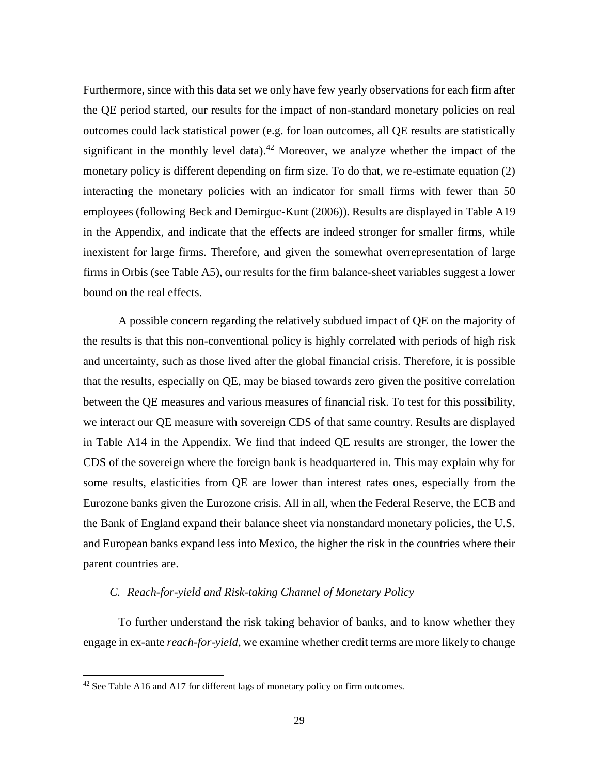Furthermore, since with this data set we only have few yearly observations for each firm after the QE period started, our results for the impact of non-standard monetary policies on real outcomes could lack statistical power (e.g. for loan outcomes, all QE results are statistically significant in the monthly level data).<sup>42</sup> Moreover, we analyze whether the impact of the monetary policy is different depending on firm size. To do that, we re-estimate equation (2) interacting the monetary policies with an indicator for small firms with fewer than 50 employees (following Beck and Demirguc-Kunt (2006)). Results are displayed in Table A19 in the Appendix, and indicate that the effects are indeed stronger for smaller firms, while inexistent for large firms. Therefore, and given the somewhat overrepresentation of large firms in Orbis (see Table A5), our results for the firm balance-sheet variables suggest a lower bound on the real effects.

A possible concern regarding the relatively subdued impact of QE on the majority of the results is that this non-conventional policy is highly correlated with periods of high risk and uncertainty, such as those lived after the global financial crisis. Therefore, it is possible that the results, especially on QE, may be biased towards zero given the positive correlation between the QE measures and various measures of financial risk. To test for this possibility, we interact our QE measure with sovereign CDS of that same country. Results are displayed in Table A14 in the Appendix. We find that indeed QE results are stronger, the lower the CDS of the sovereign where the foreign bank is headquartered in. This may explain why for some results, elasticities from QE are lower than interest rates ones, especially from the Eurozone banks given the Eurozone crisis. All in all, when the Federal Reserve, the ECB and the Bank of England expand their balance sheet via nonstandard monetary policies, the U.S. and European banks expand less into Mexico, the higher the risk in the countries where their parent countries are.

# *C. Reach-for-yield and Risk-taking Channel of Monetary Policy*

To further understand the risk taking behavior of banks, and to know whether they engage in ex-ante *reach-for-yield*, we examine whether credit terms are more likely to change

 $42$  See Table A16 and A17 for different lags of monetary policy on firm outcomes.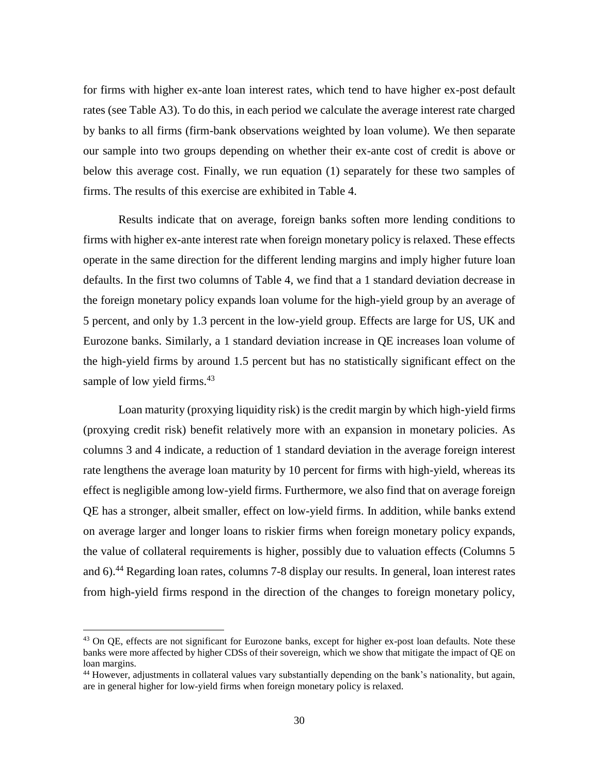for firms with higher ex-ante loan interest rates, which tend to have higher ex-post default rates (see Table A3). To do this, in each period we calculate the average interest rate charged by banks to all firms (firm-bank observations weighted by loan volume). We then separate our sample into two groups depending on whether their ex-ante cost of credit is above or below this average cost. Finally, we run equation (1) separately for these two samples of firms. The results of this exercise are exhibited in Table 4.

Results indicate that on average, foreign banks soften more lending conditions to firms with higher ex-ante interest rate when foreign monetary policy is relaxed. These effects operate in the same direction for the different lending margins and imply higher future loan defaults. In the first two columns of Table 4, we find that a 1 standard deviation decrease in the foreign monetary policy expands loan volume for the high-yield group by an average of 5 percent, and only by 1.3 percent in the low-yield group. Effects are large for US, UK and Eurozone banks. Similarly, a 1 standard deviation increase in QE increases loan volume of the high-yield firms by around 1.5 percent but has no statistically significant effect on the sample of low yield firms.<sup>43</sup>

Loan maturity (proxying liquidity risk) is the credit margin by which high-yield firms (proxying credit risk) benefit relatively more with an expansion in monetary policies. As columns 3 and 4 indicate, a reduction of 1 standard deviation in the average foreign interest rate lengthens the average loan maturity by 10 percent for firms with high-yield, whereas its effect is negligible among low-yield firms. Furthermore, we also find that on average foreign QE has a stronger, albeit smaller, effect on low-yield firms. In addition, while banks extend on average larger and longer loans to riskier firms when foreign monetary policy expands, the value of collateral requirements is higher, possibly due to valuation effects (Columns 5 and 6).<sup>44</sup> Regarding loan rates, columns 7-8 display our results. In general, loan interest rates from high-yield firms respond in the direction of the changes to foreign monetary policy,

<sup>&</sup>lt;sup>43</sup> On QE, effects are not significant for Eurozone banks, except for higher ex-post loan defaults. Note these banks were more affected by higher CDSs of their sovereign, which we show that mitigate the impact of QE on loan margins.

<sup>44</sup> However, adjustments in collateral values vary substantially depending on the bank's nationality, but again, are in general higher for low-yield firms when foreign monetary policy is relaxed.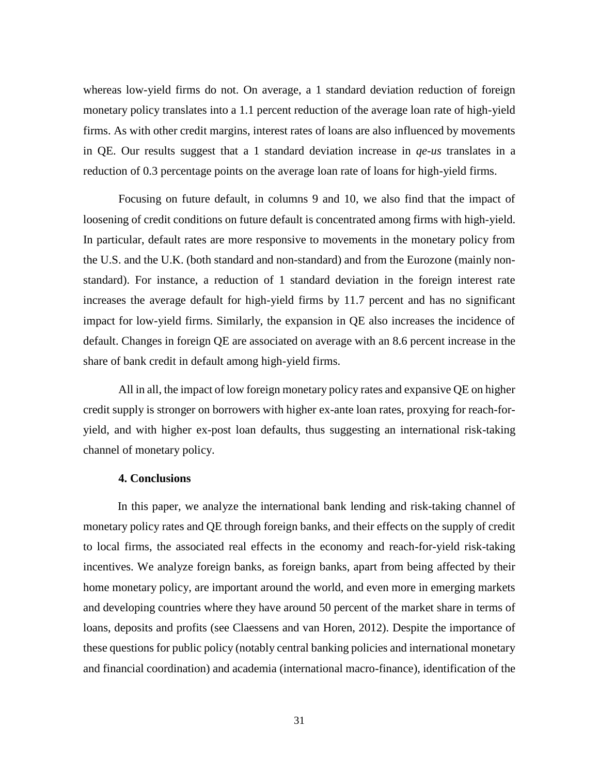whereas low-yield firms do not. On average, a 1 standard deviation reduction of foreign monetary policy translates into a 1.1 percent reduction of the average loan rate of high-yield firms. As with other credit margins, interest rates of loans are also influenced by movements in QE. Our results suggest that a 1 standard deviation increase in *qe-us* translates in a reduction of 0.3 percentage points on the average loan rate of loans for high-yield firms.

Focusing on future default, in columns 9 and 10, we also find that the impact of loosening of credit conditions on future default is concentrated among firms with high-yield. In particular, default rates are more responsive to movements in the monetary policy from the U.S. and the U.K. (both standard and non-standard) and from the Eurozone (mainly nonstandard). For instance, a reduction of 1 standard deviation in the foreign interest rate increases the average default for high-yield firms by 11.7 percent and has no significant impact for low-yield firms. Similarly, the expansion in QE also increases the incidence of default. Changes in foreign QE are associated on average with an 8.6 percent increase in the share of bank credit in default among high-yield firms.

All in all, the impact of low foreign monetary policy rates and expansive QE on higher credit supply is stronger on borrowers with higher ex-ante loan rates, proxying for reach-foryield, and with higher ex-post loan defaults, thus suggesting an international risk-taking channel of monetary policy.

## **4. Conclusions**

In this paper, we analyze the international bank lending and risk-taking channel of monetary policy rates and QE through foreign banks, and their effects on the supply of credit to local firms, the associated real effects in the economy and reach-for-yield risk-taking incentives. We analyze foreign banks, as foreign banks, apart from being affected by their home monetary policy, are important around the world, and even more in emerging markets and developing countries where they have around 50 percent of the market share in terms of loans, deposits and profits (see Claessens and van Horen, 2012). Despite the importance of these questions for public policy (notably central banking policies and international monetary and financial coordination) and academia (international macro-finance), identification of the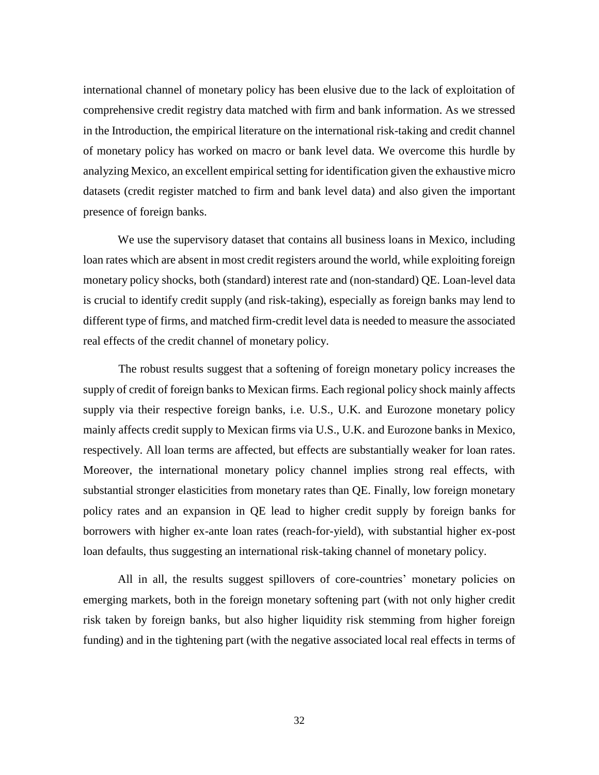international channel of monetary policy has been elusive due to the lack of exploitation of comprehensive credit registry data matched with firm and bank information. As we stressed in the Introduction, the empirical literature on the international risk-taking and credit channel of monetary policy has worked on macro or bank level data. We overcome this hurdle by analyzing Mexico, an excellent empirical setting for identification given the exhaustive micro datasets (credit register matched to firm and bank level data) and also given the important presence of foreign banks.

We use the supervisory dataset that contains all business loans in Mexico, including loan rates which are absent in most credit registers around the world, while exploiting foreign monetary policy shocks, both (standard) interest rate and (non-standard) QE. Loan-level data is crucial to identify credit supply (and risk-taking), especially as foreign banks may lend to different type of firms, and matched firm-credit level data is needed to measure the associated real effects of the credit channel of monetary policy.

The robust results suggest that a softening of foreign monetary policy increases the supply of credit of foreign banks to Mexican firms. Each regional policy shock mainly affects supply via their respective foreign banks, i.e. U.S., U.K. and Eurozone monetary policy mainly affects credit supply to Mexican firms via U.S., U.K. and Eurozone banks in Mexico, respectively. All loan terms are affected, but effects are substantially weaker for loan rates. Moreover, the international monetary policy channel implies strong real effects, with substantial stronger elasticities from monetary rates than QE. Finally, low foreign monetary policy rates and an expansion in QE lead to higher credit supply by foreign banks for borrowers with higher ex-ante loan rates (reach-for-yield), with substantial higher ex-post loan defaults, thus suggesting an international risk-taking channel of monetary policy.

All in all, the results suggest spillovers of core-countries' monetary policies on emerging markets, both in the foreign monetary softening part (with not only higher credit risk taken by foreign banks, but also higher liquidity risk stemming from higher foreign funding) and in the tightening part (with the negative associated local real effects in terms of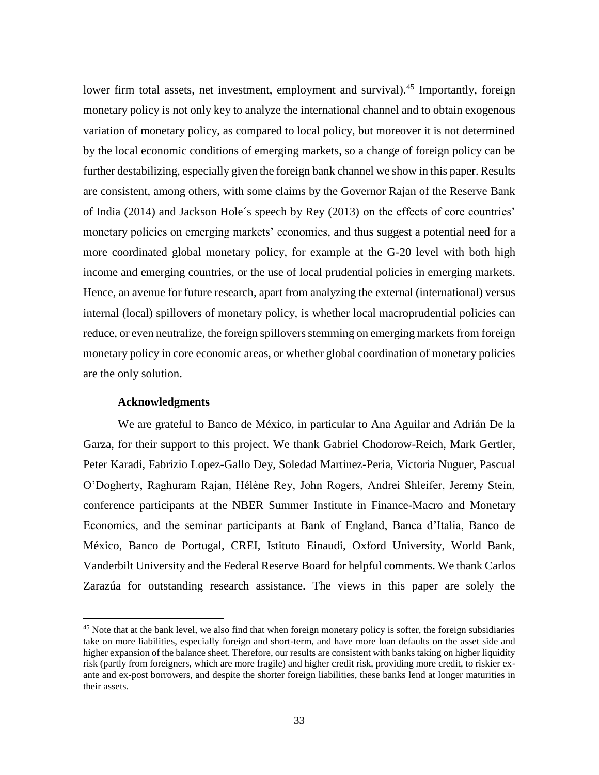lower firm total assets, net investment, employment and survival).<sup>45</sup> Importantly, foreign monetary policy is not only key to analyze the international channel and to obtain exogenous variation of monetary policy, as compared to local policy, but moreover it is not determined by the local economic conditions of emerging markets, so a change of foreign policy can be further destabilizing, especially given the foreign bank channel we show in this paper. Results are consistent, among others, with some claims by the Governor Rajan of the Reserve Bank of India (2014) and Jackson Hole´s speech by Rey (2013) on the effects of core countries' monetary policies on emerging markets' economies, and thus suggest a potential need for a more coordinated global monetary policy, for example at the G-20 level with both high income and emerging countries, or the use of local prudential policies in emerging markets. Hence, an avenue for future research, apart from analyzing the external (international) versus internal (local) spillovers of monetary policy, is whether local macroprudential policies can reduce, or even neutralize, the foreign spillovers stemming on emerging markets from foreign monetary policy in core economic areas, or whether global coordination of monetary policies are the only solution.

#### **Acknowledgments**

 $\overline{a}$ 

We are grateful to Banco de México, in particular to Ana Aguilar and Adrián De la Garza, for their support to this project. We thank Gabriel Chodorow-Reich, Mark Gertler, Peter Karadi, Fabrizio Lopez-Gallo Dey, Soledad Martinez-Peria, Victoria Nuguer, Pascual O'Dogherty, Raghuram Rajan, Hélène Rey, John Rogers, Andrei Shleifer, Jeremy Stein, conference participants at the NBER Summer Institute in Finance-Macro and Monetary Economics, and the seminar participants at Bank of England, Banca d'Italia, Banco de México, Banco de Portugal, CREI, Istituto Einaudi, Oxford University, World Bank, Vanderbilt University and the Federal Reserve Board for helpful comments. We thank Carlos Zarazúa for outstanding research assistance. The views in this paper are solely the

<sup>&</sup>lt;sup>45</sup> Note that at the bank level, we also find that when foreign monetary policy is softer, the foreign subsidiaries take on more liabilities, especially foreign and short-term, and have more loan defaults on the asset side and higher expansion of the balance sheet. Therefore, our results are consistent with banks taking on higher liquidity risk (partly from foreigners, which are more fragile) and higher credit risk, providing more credit, to riskier exante and ex-post borrowers, and despite the shorter foreign liabilities, these banks lend at longer maturities in their assets.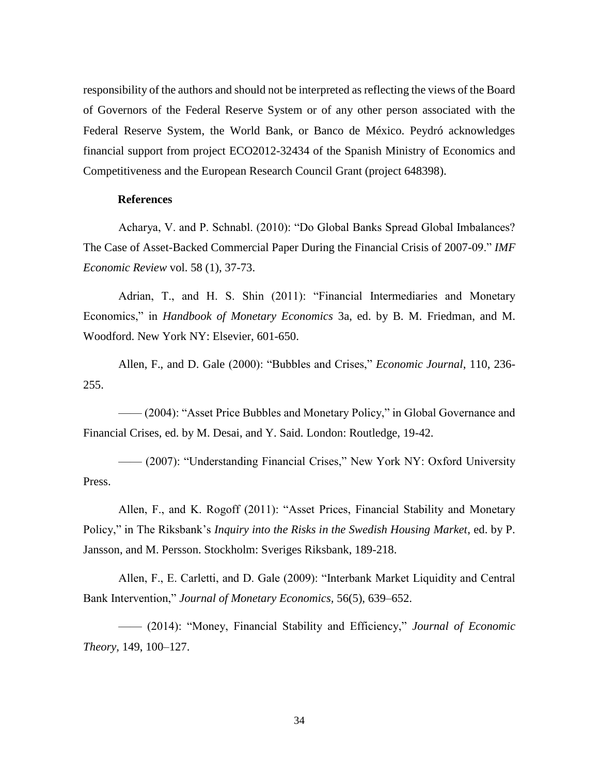responsibility of the authors and should not be interpreted as reflecting the views of the Board of Governors of the Federal Reserve System or of any other person associated with the Federal Reserve System, the World Bank, or Banco de México. Peydró acknowledges financial support from project ECO2012-32434 of the Spanish Ministry of Economics and Competitiveness and the European Research Council Grant (project 648398).

### **References**

Acharya, V. and P. Schnabl. (2010): "Do Global Banks Spread Global Imbalances? The Case of Asset-Backed Commercial Paper During the Financial Crisis of 2007-09." *IMF Economic Review* vol. 58 (1), 37-73.

Adrian, T., and H. S. Shin (2011): "Financial Intermediaries and Monetary Economics," in *Handbook of Monetary Economics* 3a, ed. by B. M. Friedman, and M. Woodford. New York NY: Elsevier, 601-650.

Allen, F., and D. Gale (2000): "Bubbles and Crises," *Economic Journal*, 110, 236- 255.

—— (2004): "Asset Price Bubbles and Monetary Policy," in Global Governance and Financial Crises, ed. by M. Desai, and Y. Said. London: Routledge, 19-42.

—— (2007): "Understanding Financial Crises," New York NY: Oxford University Press.

Allen, F., and K. Rogoff (2011): "Asset Prices, Financial Stability and Monetary Policy," in The Riksbank's *Inquiry into the Risks in the Swedish Housing Market*, ed. by P. Jansson, and M. Persson. Stockholm: Sveriges Riksbank, 189-218.

Allen, F., E. Carletti, and D. Gale (2009): "Interbank Market Liquidity and Central Bank Intervention," *Journal of Monetary Economics,* 56(5), 639–652.

—— (2014): "Money, Financial Stability and Efficiency," *Journal of Economic Theory,* 149, 100–127.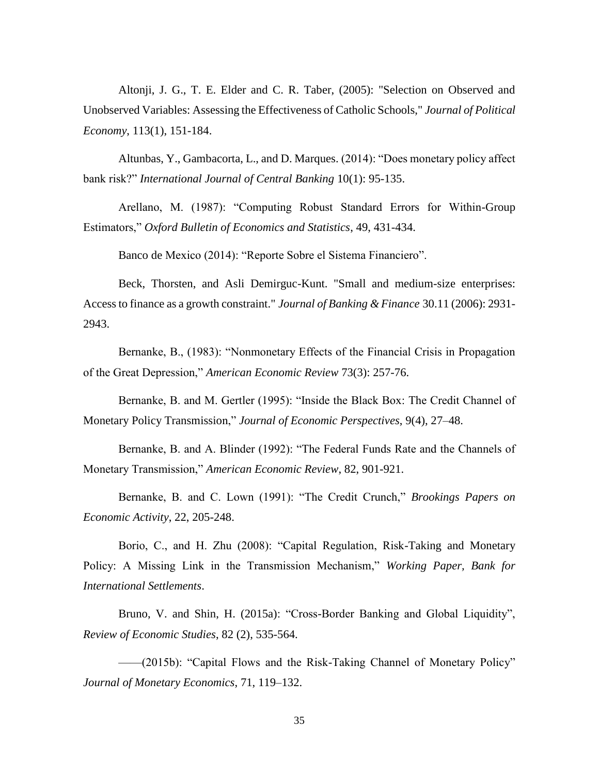Altonji, J. G., T. E. Elder and C. R. Taber, (2005): "Selection on Observed and Unobserved Variables: Assessing the Effectiveness of Catholic Schools," *Journal of Political Economy*, 113(1), 151-184.

Altunbas, Y., Gambacorta, L., and D. Marques. (2014): "Does monetary policy affect bank risk?" *International Journal of Central Banking* 10(1): 95-135.

Arellano, M. (1987): "Computing Robust Standard Errors for Within-Group Estimators," *Oxford Bulletin of Economics and Statistics*, 49, 431-434.

Banco de Mexico (2014): "Reporte Sobre el Sistema Financiero".

Beck, Thorsten, and Asli Demirguc-Kunt. "Small and medium-size enterprises: Access to finance as a growth constraint." *Journal of Banking & Finance* 30.11 (2006): 2931- 2943.

Bernanke, B., (1983): "Nonmonetary Effects of the Financial Crisis in Propagation of the Great Depression," *American Economic Review* 73(3): 257-76.

Bernanke, B. and M. Gertler (1995): "Inside the Black Box: The Credit Channel of Monetary Policy Transmission," *Journal of Economic Perspectives*, 9(4), 27–48.

Bernanke, B. and A. Blinder (1992): "The Federal Funds Rate and the Channels of Monetary Transmission," *American Economic Review*, 82, 901-921.

Bernanke, B. and C. Lown (1991): "The Credit Crunch," *Brookings Papers on Economic Activity*, 22, 205-248.

Borio, C., and H. Zhu (2008): "Capital Regulation, Risk-Taking and Monetary Policy: A Missing Link in the Transmission Mechanism," *Working Paper, Bank for International Settlements*.

Bruno, V. and Shin, H. (2015a): "Cross-Border Banking and Global Liquidity", *Review of Economic Studies*, 82 (2), 535-564.

——(2015b): "Capital Flows and the Risk-Taking Channel of Monetary Policy" *Journal of Monetary Economics*, 71, 119–132.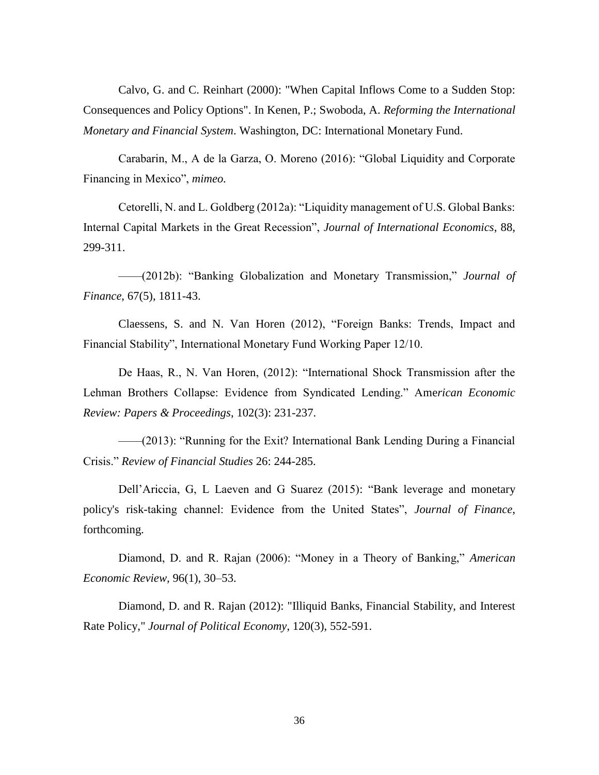Calvo, G. and C. Reinhart (2000): ["When Capital Inflows Come to a Sudden Stop:](http://mpra.ub.uni-muenchen.de/6982/)  [Consequences and Policy Options".](http://mpra.ub.uni-muenchen.de/6982/) In Kenen, P.; Swoboda, A. *Reforming the International Monetary and Financial System*. Washington, DC: International Monetary Fund.

Carabarin, M., A de la Garza, O. Moreno (2016): "Global Liquidity and Corporate Financing in Mexico", *mimeo.*

Cetorelli, N. and L. Goldberg (2012a): "Liquidity management of U.S. Global Banks: Internal Capital Markets in the Great Recession", *Journal of International Economics*, 88, 299-311.

——(2012b): "Banking Globalization and Monetary Transmission," *Journal of Finance*, 67(5), 1811-43.

Claessens, S. and N. Van Horen (2012), "Foreign Banks: Trends, Impact and Financial Stability", International Monetary Fund Working Paper 12/10.

De Haas, R., N. Van Horen, (2012): "International Shock Transmission after the Lehman Brothers Collapse: Evidence from Syndicated Lending." Ame*rican Economic Review: Papers & Proceedings*, 102(3): 231-237.

——(2013): "Running for the Exit? International Bank Lending During a Financial Crisis." *Review of Financial Studies* 26: 244-285.

Dell'Ariccia, G, L Laeven and G Suarez (2015): "Bank leverage and monetary policy's risk-taking channel: Evidence from the United States", *Journal of Finance*, forthcoming.

Diamond, D. and R. Rajan (2006): "Money in a Theory of Banking," *American Economic Review,* 96(1), 30–53.

Diamond, D. and R. Rajan (2012): "Illiquid Banks, Financial Stability, and Interest Rate Policy," *Journal of Political Economy*, 120(3), 552-591.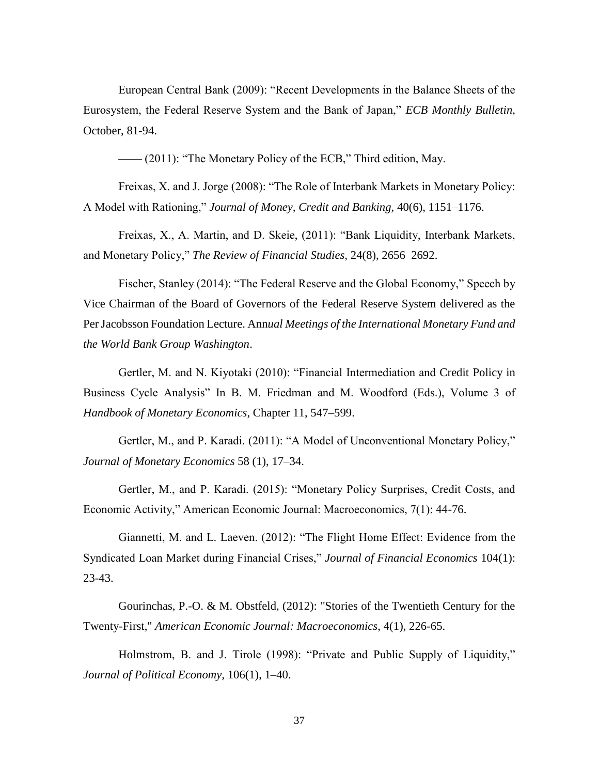European Central Bank (2009): "Recent Developments in the Balance Sheets of the Eurosystem, the Federal Reserve System and the Bank of Japan," *ECB Monthly Bulletin*, October, 81-94.

—— (2011): "The Monetary Policy of the ECB," Third edition, May.

Freixas, X. and J. Jorge (2008): "The Role of Interbank Markets in Monetary Policy: A Model with Rationing," *Journal of Money, Credit and Banking,* 40(6), 1151–1176.

Freixas, X., A. Martin, and D. Skeie, (2011): "Bank Liquidity, Interbank Markets, and Monetary Policy," *The Review of Financial Studies,* 24(8), 2656–2692.

Fischer, Stanley (2014): "The Federal Reserve and the Global Economy," Speech by Vice Chairman of the Board of Governors of the Federal Reserve System delivered as the Per Jacobsson Foundation Lecture. Ann*ual Meetings of the International Monetary Fund and the World Bank Group Washington*.

Gertler, M. and N. Kiyotaki (2010): "Financial Intermediation and Credit Policy in Business Cycle Analysis" In B. M. Friedman and M. Woodford (Eds.), Volume 3 of *Handbook of Monetary Economics*, Chapter 11, 547–599.

Gertler, M., and P. Karadi. (2011): "A Model of Unconventional Monetary Policy," *Journal of Monetary Economics* 58 (1), 17–34.

Gertler, M., and P. Karadi. (2015): "Monetary Policy Surprises, Credit Costs, and Economic Activity," American Economic Journal: Macroeconomics, 7(1): 44-76.

Giannetti, M. and L. Laeven. (2012): "The Flight Home Effect: Evidence from the Syndicated Loan Market during Financial Crises," *Journal of Financial Economics* 104(1): 23-43.

Gourinchas, P.-O. & M. Obstfeld, (2012): "Stories of the Twentieth Century for the Twenty-First," *American Economic Journal: Macroeconomics*, 4(1), 226-65.

Holmstrom, B. and J. Tirole (1998): "Private and Public Supply of Liquidity," *Journal of Political Economy,* 106(1), 1–40.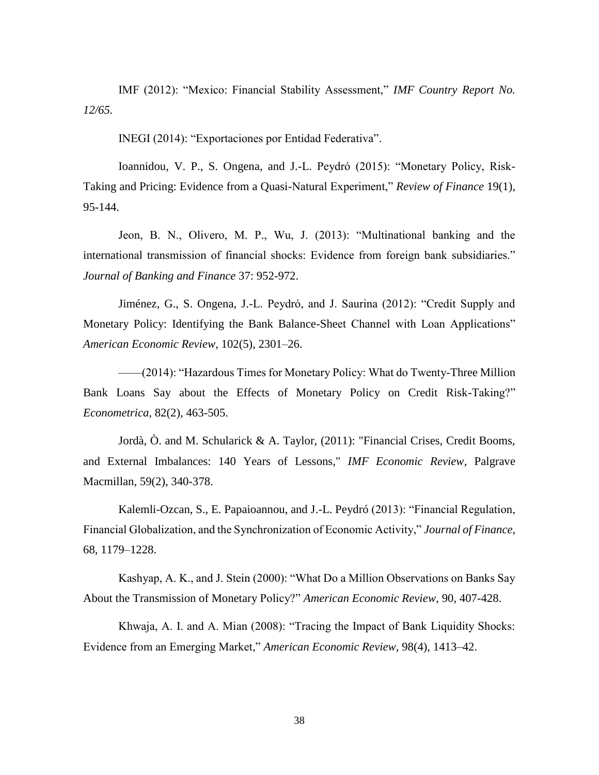IMF (2012): "Mexico: Financial Stability Assessment," *IMF Country Report No. 12/65.*

INEGI (2014): "Exportaciones por Entidad Federativa".

Ioannidou, V. P., S. Ongena, and J.-L. Peydró (2015): "Monetary Policy, Risk-Taking and Pricing: Evidence from a Quasi-Natural Experiment," *Review of Finance* 19(1), 95-144.

Jeon, B. N., Olivero, M. P., Wu, J. (2013): "Multinational banking and the international transmission of financial shocks: Evidence from foreign bank subsidiaries." *Journal of Banking and Finance* 37: 952-972.

Jiménez, G., S. Ongena, J.-L. Peydró, and J. Saurina (2012): "Credit Supply and Monetary Policy: Identifying the Bank Balance-Sheet Channel with Loan Applications" *American Economic Review,* 102(5), 2301–26.

——(2014): "Hazardous Times for Monetary Policy: What do Twenty-Three Million Bank Loans Say about the Effects of Monetary Policy on Credit Risk-Taking?" *Econometrica,* 82(2), 463-505.

Jordà, Ò. and M. Schularick & A. Taylor, (2011): "Financial Crises, Credit Booms, and External Imbalances: 140 Years of Lessons," *IMF Economic Review*, Palgrave Macmillan, 59(2), 340-378.

Kalemli-Ozcan, S., E. Papaioannou, and J.-L. Peydró (2013): "Financial Regulation, Financial Globalization, and the Synchronization of Economic Activity," *Journal of Finance*, 68, 1179–1228.

Kashyap, A. K., and J. Stein (2000): "What Do a Million Observations on Banks Say About the Transmission of Monetary Policy?" *American Economic Review*, 90, 407-428.

Khwaja, A. I. and A. Mian (2008): "Tracing the Impact of Bank Liquidity Shocks: Evidence from an Emerging Market," *American Economic Review,* 98(4), 1413–42.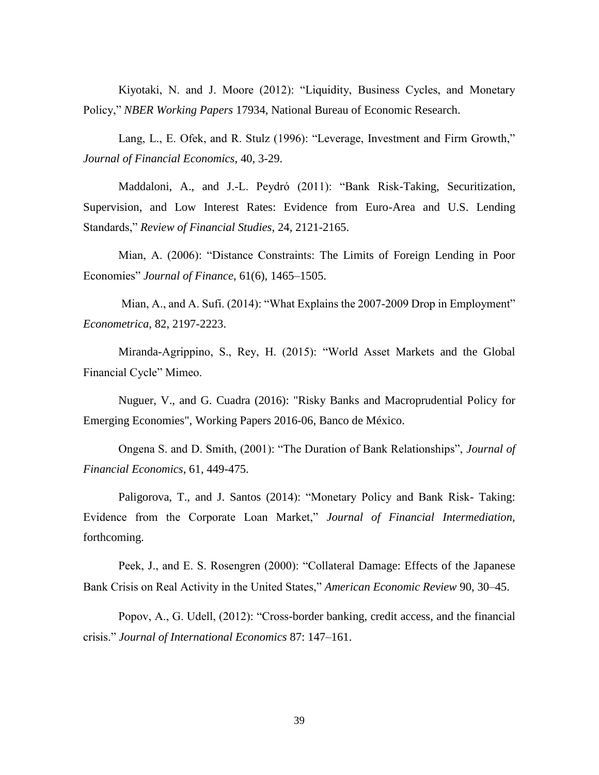Kiyotaki, N. and J. Moore (2012): "Liquidity, Business Cycles, and Monetary Policy," *NBER Working Papers* 17934, National Bureau of Economic Research.

Lang, L., E. Ofek, and R. Stulz (1996): "Leverage, Investment and Firm Growth," *Journal of Financial Economics*, 40, 3-29.

Maddaloni, A., and J.-L. Peydró (2011): "Bank Risk-Taking, Securitization, Supervision, and Low Interest Rates: Evidence from Euro-Area and U.S. Lending Standards," *Review of Financial Studies*, 24, 2121-2165.

Mian, A. (2006): "Distance Constraints: The Limits of Foreign Lending in Poor Economies" *Journal of Finance*, 61(6), 1465–1505.

Mian, A., and A. Sufi. (2014): "What Explains the 2007-2009 Drop in Employment" *Econometrica*, 82, 2197-2223.

Miranda-Agrippino, S., Rey, H. (2015): "World Asset Markets and the Global Financial Cycle" Mimeo.

Nuguer, V., and G. Cuadra (2016): "Risky Banks and Macroprudential Policy for Emerging Economies", Working Papers 2016-06, Banco de México.

Ongena S. and D. Smith, (2001): "The Duration of Bank Relationships", *Journal of Financial Economics*, 61, 449-475.

Paligorova, T., and J. Santos (2014): "Monetary Policy and Bank Risk- Taking: Evidence from the Corporate Loan Market," *Journal of Financial Intermediation,*  forthcoming.

Peek, J., and E. S. Rosengren (2000): "Collateral Damage: Effects of the Japanese Bank Crisis on Real Activity in the United States," *American Economic Review* 90, 30–45.

Popov, A., G. Udell, (2012): "Cross-border banking, credit access, and the financial crisis." *Journal of International Economics* 87: 147–161.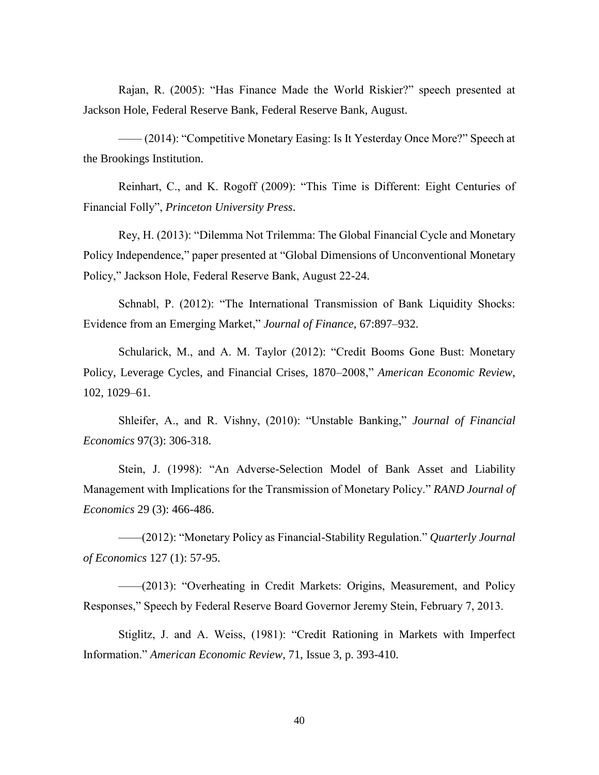Rajan, R. (2005): "Has Finance Made the World Riskier?" speech presented at Jackson Hole, Federal Reserve Bank, Federal Reserve Bank, August.

—— (2014): "Competitive Monetary Easing: Is It Yesterday Once More?" Speech at the Brookings Institution.

Reinhart, C., and K. Rogoff (2009): "This Time is Different: Eight Centuries of Financial Folly", *Princeton University Press*.

Rey, H. (2013): "Dilemma Not Trilemma: The Global Financial Cycle and Monetary Policy Independence," paper presented at "Global Dimensions of Unconventional Monetary Policy," Jackson Hole, Federal Reserve Bank, August 22-24.

Schnabl, P. (2012): "The International Transmission of Bank Liquidity Shocks: Evidence from an Emerging Market," *Journal of Finance*, 67:897–932.

Schularick, M., and A. M. Taylor (2012): "Credit Booms Gone Bust: Monetary Policy, Leverage Cycles, and Financial Crises, 1870–2008," *American Economic Review*, 102, 1029–61.

Shleifer, A., and R. Vishny, (2010): "Unstable Banking," *Journal of Financial Economics* 97(3): 306-318.

Stein, J. (1998): "An Adverse-Selection Model of Bank Asset and Liability Management with Implications for the Transmission of Monetary Policy." *RAND Journal of Economics* 29 (3): 466-486.

——(2012): "Monetary Policy as Financial-Stability Regulation." *Quarterly Journal of Economics* 127 (1): 57-95.

——(2013): "Overheating in Credit Markets: Origins, Measurement, and Policy Responses," Speech by Federal Reserve Board Governor Jeremy Stein, February 7, 2013.

Stiglitz, J. and A. Weiss, (1981): "Credit Rationing in Markets with Imperfect Information." *American Economic Review*, 71, Issue 3, p. 393-410.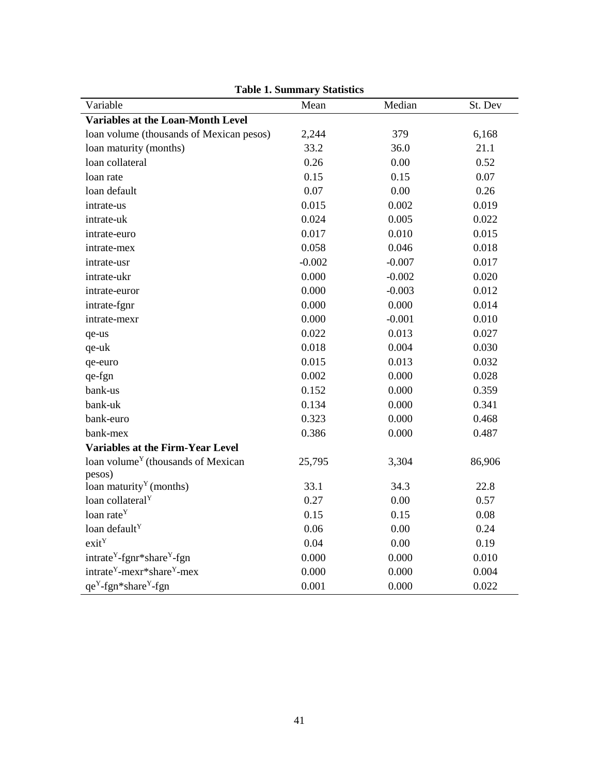| Variable                                           | Mean     | Median   | St. Dev |
|----------------------------------------------------|----------|----------|---------|
| Variables at the Loan-Month Level                  |          |          |         |
| loan volume (thousands of Mexican pesos)           | 2,244    | 379      | 6,168   |
| loan maturity (months)                             | 33.2     | 36.0     | 21.1    |
| loan collateral                                    | 0.26     | 0.00     | 0.52    |
| loan rate                                          | 0.15     | 0.15     | 0.07    |
| loan default                                       | 0.07     | 0.00     | 0.26    |
| intrate-us                                         | 0.015    | 0.002    | 0.019   |
| intrate-uk                                         | 0.024    | 0.005    | 0.022   |
| intrate-euro                                       | 0.017    | 0.010    | 0.015   |
| intrate-mex                                        | 0.058    | 0.046    | 0.018   |
| intrate-usr                                        | $-0.002$ | $-0.007$ | 0.017   |
| intrate-ukr                                        | 0.000    | $-0.002$ | 0.020   |
| intrate-euror                                      | 0.000    | $-0.003$ | 0.012   |
| intrate-fgnr                                       | 0.000    | 0.000    | 0.014   |
| intrate-mexr                                       | 0.000    | $-0.001$ | 0.010   |
| qe-us                                              | 0.022    | 0.013    | 0.027   |
| qe-uk                                              | 0.018    | 0.004    | 0.030   |
| qe-euro                                            | 0.015    | 0.013    | 0.032   |
| qe-fgn                                             | 0.002    | 0.000    | 0.028   |
| bank-us                                            | 0.152    | 0.000    | 0.359   |
| bank-uk                                            | 0.134    | 0.000    | 0.341   |
| bank-euro                                          | 0.323    | 0.000    | 0.468   |
| bank-mex                                           | 0.386    | 0.000    | 0.487   |
| <b>Variables at the Firm-Year Level</b>            |          |          |         |
| loan volume <sup>Y</sup> (thousands of Mexican     | 25,795   | 3,304    | 86,906  |
| pesos)                                             |          |          |         |
| loan maturity <sup>Y</sup> (months)                | 33.1     | 34.3     | 22.8    |
| loan collateral <sup>Y</sup>                       | 0.27     | 0.00     | 0.57    |
| loan rate <sup>Y</sup>                             | 0.15     | 0.15     | 0.08    |
| loan default <sup>Y</sup>                          | 0.06     | 0.00     | 0.24    |
| exit <sup>Y</sup>                                  | 0.04     | 0.00     | 0.19    |
| intrate <sup>Y</sup> -fgnr*share <sup>Y</sup> -fgn | 0.000    | 0.000    | 0.010   |
| intrate <sup>Y</sup> -mexr*share <sup>Y</sup> -mex | 0.000    | 0.000    | 0.004   |
| qe <sup>Y</sup> -fgn*share <sup>Y</sup> -fgn       | 0.001    | 0.000    | 0.022   |

**Table 1. Summary Statistics**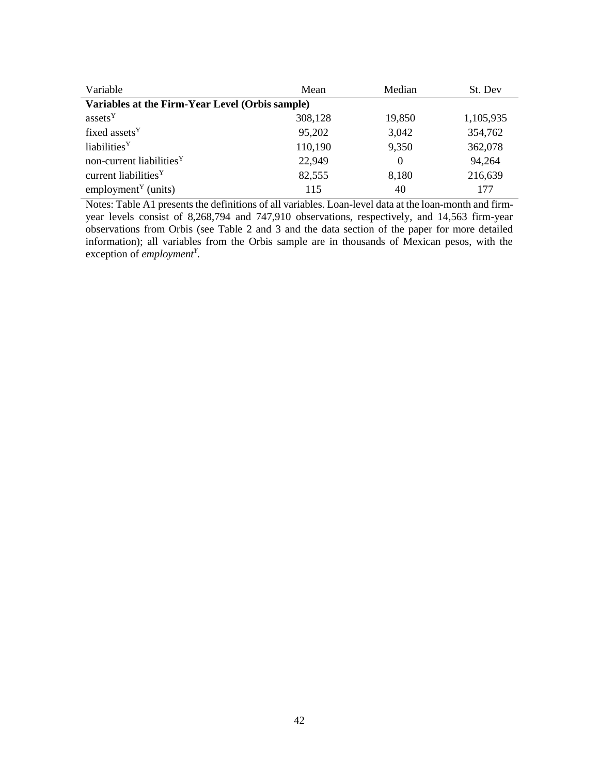| Variable                                        | Mean    | Median   | St. Dev   |
|-------------------------------------------------|---------|----------|-----------|
| Variables at the Firm-Year Level (Orbis sample) |         |          |           |
| assets <sup>Y</sup>                             | 308,128 | 19,850   | 1,105,935 |
| fixed assets <sup>Y</sup>                       | 95,202  | 3,042    | 354,762   |
| liabilities <sup>Y</sup>                        | 110,190 | 9,350    | 362,078   |
| non-current liabilities <sup>Y</sup>            | 22,949  | $\theta$ | 94,264    |
| current liabilities <sup>Y</sup>                | 82,555  | 8,180    | 216,639   |
| employment <sup><math>Y</math></sup> (units)    | 115     | 40       | 177       |

Notes: Table A1 presents the definitions of all variables. Loan-level data at the loan-month and firmyear levels consist of 8,268,794 and 747,910 observations, respectively, and 14,563 firm-year observations from Orbis (see Table 2 and 3 and the data section of the paper for more detailed information); all variables from the Orbis sample are in thousands of Mexican pesos, with the exception of *employment<sup>Y</sup> .*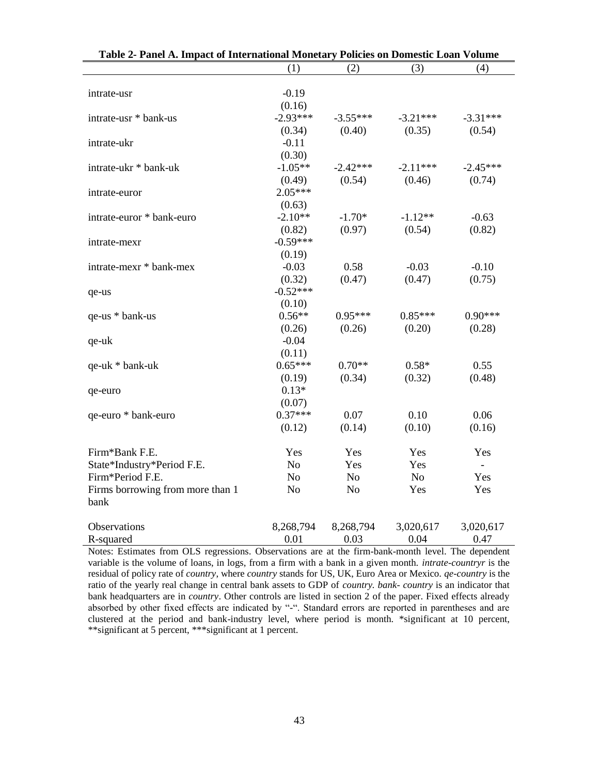| Table 2- Panel A. Impact of International Monetary Policies on Domestic Loan Volume |                |                |            |                |  |  |  |  |  |
|-------------------------------------------------------------------------------------|----------------|----------------|------------|----------------|--|--|--|--|--|
|                                                                                     | (1)            | (2)            | (3)        | (4)            |  |  |  |  |  |
| intrate-usr                                                                         | $-0.19$        |                |            |                |  |  |  |  |  |
|                                                                                     | (0.16)         |                |            |                |  |  |  |  |  |
| intrate-usr * bank-us                                                               | $-2.93***$     | $-3.55***$     | $-3.21***$ | $-3.31***$     |  |  |  |  |  |
|                                                                                     | (0.34)         | (0.40)         | (0.35)     | (0.54)         |  |  |  |  |  |
| intrate-ukr                                                                         | $-0.11$        |                |            |                |  |  |  |  |  |
|                                                                                     | (0.30)         |                |            |                |  |  |  |  |  |
| intrate-ukr * bank-uk                                                               | $-1.05**$      | $-2.42***$     | $-2.11***$ | $-2.45***$     |  |  |  |  |  |
|                                                                                     | (0.49)         | (0.54)         | (0.46)     | (0.74)         |  |  |  |  |  |
| intrate-euror                                                                       | $2.05***$      |                |            |                |  |  |  |  |  |
|                                                                                     | (0.63)         |                |            |                |  |  |  |  |  |
| intrate-euror * bank-euro                                                           | $-2.10**$      | $-1.70*$       | $-1.12**$  | $-0.63$        |  |  |  |  |  |
|                                                                                     | (0.82)         | (0.97)         | (0.54)     | (0.82)         |  |  |  |  |  |
| intrate-mexr                                                                        | $-0.59***$     |                |            |                |  |  |  |  |  |
|                                                                                     | (0.19)         |                |            |                |  |  |  |  |  |
| intrate-mexr * bank-mex                                                             | $-0.03$        | 0.58           | $-0.03$    | $-0.10$        |  |  |  |  |  |
|                                                                                     | (0.32)         | (0.47)         | (0.47)     | (0.75)         |  |  |  |  |  |
| qe-us                                                                               | $-0.52***$     |                |            |                |  |  |  |  |  |
|                                                                                     | (0.10)         |                |            |                |  |  |  |  |  |
| qe-us * bank-us                                                                     | $0.56**$       | $0.95***$      | $0.85***$  | $0.90***$      |  |  |  |  |  |
|                                                                                     | (0.26)         | (0.26)         | (0.20)     | (0.28)         |  |  |  |  |  |
| qe-uk                                                                               | $-0.04$        |                |            |                |  |  |  |  |  |
|                                                                                     | (0.11)         |                |            |                |  |  |  |  |  |
| qe-uk * bank-uk                                                                     | $0.65***$      | $0.70**$       | $0.58*$    | 0.55           |  |  |  |  |  |
|                                                                                     | (0.19)         | (0.34)         | (0.32)     | (0.48)         |  |  |  |  |  |
| qe-euro                                                                             | $0.13*$        |                |            |                |  |  |  |  |  |
|                                                                                     | (0.07)         |                |            |                |  |  |  |  |  |
| qe-euro * bank-euro                                                                 | $0.37***$      | 0.07           | 0.10       | 0.06           |  |  |  |  |  |
|                                                                                     | (0.12)         | (0.14)         | (0.10)     | (0.16)         |  |  |  |  |  |
|                                                                                     |                |                |            |                |  |  |  |  |  |
| Firm*Bank F.E.                                                                      | Yes            | Yes            | Yes        | Yes            |  |  |  |  |  |
| State*Industry*Period F.E.                                                          | No             | Yes            | Yes        | $\overline{a}$ |  |  |  |  |  |
| Firm*Period F.E.                                                                    | No             | No             | No         | Yes            |  |  |  |  |  |
| Firms borrowing from more than 1                                                    | N <sub>o</sub> | N <sub>o</sub> | Yes        | Yes            |  |  |  |  |  |
| bank                                                                                |                |                |            |                |  |  |  |  |  |
| Observations                                                                        | 8,268,794      | 8,268,794      | 3,020,617  | 3,020,617      |  |  |  |  |  |
| R-squared                                                                           | 0.01           | 0.03           | 0.04       | 0.47           |  |  |  |  |  |
|                                                                                     |                |                |            |                |  |  |  |  |  |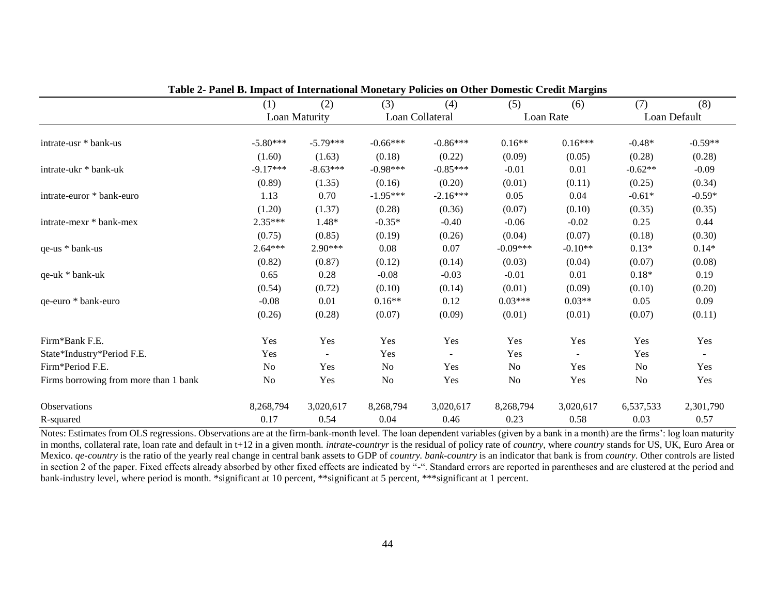|                                       |                |               |            |                 |            | -         |                |              |  |
|---------------------------------------|----------------|---------------|------------|-----------------|------------|-----------|----------------|--------------|--|
|                                       | (1)            | (2)           | (3)        | (4)             | (5)        | (6)       | (7)            | (8)          |  |
|                                       |                | Loan Maturity |            | Loan Collateral |            | Loan Rate |                | Loan Default |  |
|                                       |                |               |            |                 |            |           |                |              |  |
| intrate-usr * bank-us                 | $-5.80***$     | $-5.79***$    | $-0.66***$ | $-0.86***$      | $0.16**$   | $0.16***$ | $-0.48*$       | $-0.59**$    |  |
|                                       | (1.60)         | (1.63)        | (0.18)     | (0.22)          | (0.09)     | (0.05)    | (0.28)         | (0.28)       |  |
| intrate-ukr * bank-uk                 | $-9.17***$     | $-8.63***$    | $-0.98***$ | $-0.85***$      | $-0.01$    | 0.01      | $-0.62**$      | $-0.09$      |  |
|                                       | (0.89)         | (1.35)        | (0.16)     | (0.20)          | (0.01)     | (0.11)    | (0.25)         | (0.34)       |  |
| intrate-euror * bank-euro             | 1.13           | 0.70          | $-1.95***$ | $-2.16***$      | 0.05       | 0.04      | $-0.61*$       | $-0.59*$     |  |
|                                       | (1.20)         | (1.37)        | (0.28)     | (0.36)          | (0.07)     | (0.10)    | (0.35)         | (0.35)       |  |
| intrate-mexr * bank-mex               | 2.35***        | 1.48*         | $-0.35*$   | $-0.40$         | $-0.06$    | $-0.02$   | 0.25           | 0.44         |  |
|                                       | (0.75)         | (0.85)        | (0.19)     | (0.26)          | (0.04)     | (0.07)    | (0.18)         | (0.30)       |  |
| qe-us * bank-us                       | $2.64***$      | 2.90***       | 0.08       | 0.07            | $-0.09***$ | $-0.10**$ | $0.13*$        | $0.14*$      |  |
|                                       | (0.82)         | (0.87)        | (0.12)     | (0.14)          | (0.03)     | (0.04)    | (0.07)         | (0.08)       |  |
| qe-uk * bank-uk                       | 0.65           | 0.28          | $-0.08$    | $-0.03$         | $-0.01$    | 0.01      | $0.18*$        | 0.19         |  |
|                                       | (0.54)         | (0.72)        | (0.10)     | (0.14)          | (0.01)     | (0.09)    | (0.10)         | (0.20)       |  |
| qe-euro * bank-euro                   | $-0.08$        | 0.01          | $0.16**$   | 0.12            | $0.03***$  | $0.03**$  | 0.05           | 0.09         |  |
|                                       | (0.26)         | (0.28)        | (0.07)     | (0.09)          | (0.01)     | (0.01)    | (0.07)         | (0.11)       |  |
| Firm*Bank F.E.                        | Yes            | Yes           | Yes        | Yes             | Yes        | Yes       | Yes            | Yes          |  |
| State*Industry*Period F.E.            | Yes            |               | Yes        |                 | Yes        |           | Yes            | $\sim$       |  |
| Firm*Period F.E.                      | No             | Yes           | No         | Yes             | No         | Yes       | N <sub>o</sub> | Yes          |  |
| Firms borrowing from more than 1 bank | N <sub>o</sub> | Yes           | No         | Yes             | No         | Yes       | N <sub>o</sub> | Yes          |  |
| Observations                          | 8,268,794      | 3,020,617     | 8,268,794  | 3,020,617       | 8,268,794  | 3,020,617 | 6,537,533      | 2,301,790    |  |
| R-squared                             | 0.17           | 0.54          | 0.04       | 0.46            | 0.23       | 0.58      | 0.03           | 0.57         |  |

**Table 2- Panel B. Impact of International Monetary Policies on Other Domestic Credit Margins**

Notes: Estimates from OLS regressions. Observations are at the firm-bank-month level. The loan dependent variables (given by a bank in a month) are the firms': log loan maturity in months, collateral rate, loan rate and default in t+12 in a given month. *intrate-countryr* is the residual of policy rate of *country*, where *country* stands for US, UK, Euro Area or Mexico. *qe-country* is the ratio of the yearly real change in central bank assets to GDP of *country. bank-country* is an indicator that bank is from *country*. Other controls are listed in section 2 of the paper. Fixed effects already absorbed by other fixed effects are indicated by "-". Standard errors are reported in parentheses and are clustered at the period and bank-industry level, where period is month. \*significant at 10 percent, \*\*significant at 5 percent, \*\*\*significant at 1 percent.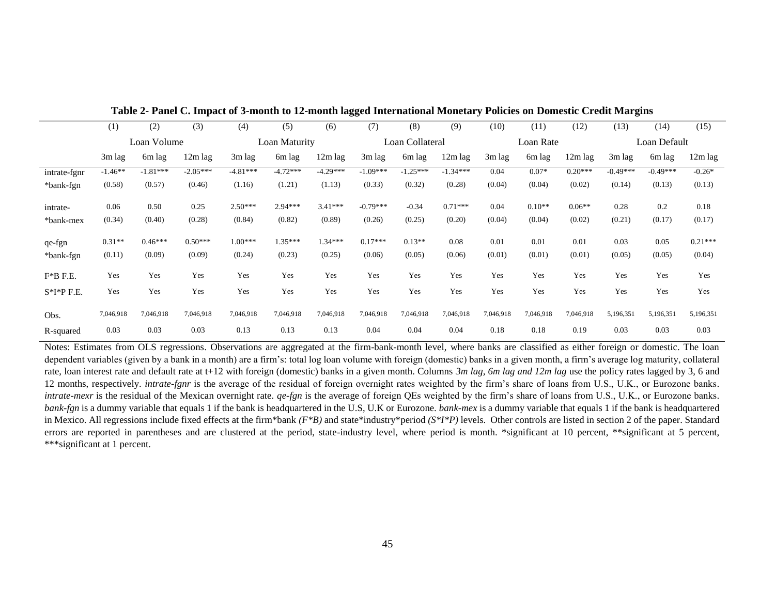|              | (1)       | (2)         | (3)        | (4)        | (5)           | (6)        | (7)        | (8)             | (9)        | (10)      | (11)      | (12)      | (13)       | (14)         | (15)      |
|--------------|-----------|-------------|------------|------------|---------------|------------|------------|-----------------|------------|-----------|-----------|-----------|------------|--------------|-----------|
|              |           | Loan Volume |            |            | Loan Maturity |            |            | Loan Collateral |            |           | Loan Rate |           |            | Loan Default |           |
|              | 3m lag    | 6m lag      | 12m lag    | 3m lag     | 6m lag        | 12m lag    | 3m lag     | 6m lag          | 12m lag    | 3m lag    | 6m lag    | 12m lag   | 3m lag     | 6m lag       | 12m lag   |
| intrate-fgnr | $-1.46**$ | $-1.81***$  | $-2.05***$ | $-4.81***$ | $-4.72***$    | $-4.29***$ | $-1.09***$ | $-1.25***$      | $-1.34***$ | 0.04      | $0.07*$   | $0.20***$ | $-0.49***$ | $-0.49***$   | $-0.26*$  |
| *bank-fgn    | (0.58)    | (0.57)      | (0.46)     | (1.16)     | (1.21)        | (1.13)     | (0.33)     | (0.32)          | (0.28)     | (0.04)    | (0.04)    | (0.02)    | (0.14)     | (0.13)       | (0.13)    |
| intrate-     | 0.06      | 0.50        | 0.25       | $2.50***$  | 2.94***       | $3.41***$  | $-0.79***$ | $-0.34$         | $0.71***$  | 0.04      | $0.10**$  | $0.06**$  | 0.28       | 0.2          | 0.18      |
| *bank-mex    | (0.34)    | (0.40)      | (0.28)     | (0.84)     | (0.82)        | (0.89)     | (0.26)     | (0.25)          | (0.20)     | (0.04)    | (0.04)    | (0.02)    | (0.21)     | (0.17)       | (0.17)    |
| qe-fgn       | $0.31**$  | $0.46***$   | $0.50***$  | 1.00***    | $1.35***$     | 1.34***    | $0.17***$  | $0.13**$        | 0.08       | 0.01      | 0.01      | 0.01      | 0.03       | 0.05         | $0.21***$ |
| *bank-fgn    | (0.11)    | (0.09)      | (0.09)     | (0.24)     | (0.23)        | (0.25)     | (0.06)     | (0.05)          | (0.06)     | (0.01)    | (0.01)    | (0.01)    | (0.05)     | (0.05)       | (0.04)    |
| $F*B$ F.E.   | Yes       | Yes         | Yes        | Yes        | Yes           | Yes        | Yes        | Yes             | Yes        | Yes       | Yes       | Yes       | Yes        | Yes          | Yes       |
| $S*I*P$ F.E. | Yes       | Yes         | Yes        | Yes        | Yes           | Yes        | Yes        | Yes             | Yes        | Yes       | Yes       | Yes       | Yes        | Yes          | Yes       |
| Obs.         | 7,046,918 | 7,046,918   | 7,046,918  | 7,046,918  | 7,046,918     | 7,046,918  | 7,046,918  | 7,046,918       | 7,046,918  | 7,046,918 | 7,046,918 | 7,046,918 | 5,196,351  | 5,196,351    | 5,196,351 |
| R-squared    | 0.03      | 0.03        | 0.03       | 0.13       | 0.13          | 0.13       | 0.04       | 0.04            | 0.04       | 0.18      | 0.18      | 0.19      | 0.03       | 0.03         | 0.03      |

**Table 2- Panel C. Impact of 3-month to 12-month lagged International Monetary Policies on Domestic Credit Margins**

Notes: Estimates from OLS regressions. Observations are aggregated at the firm-bank-month level, where banks are classified as either foreign or domestic. The loan dependent variables (given by a bank in a month) are a firm's: total log loan volume with foreign (domestic) banks in a given month, a firm's average log maturity, collateral rate, loan interest rate and default rate at t+12 with foreign (domestic) banks in a given month. Columns *3m lag, 6m lag and 12m lag* use the policy rates lagged by 3, 6 and 12 months, respectively. *intrate-fgnr* is the average of the residual of foreign overnight rates weighted by the firm's share of loans from U.S., U.K., or Eurozone banks*. intrate-mexr* is the residual of the Mexican overnight rate. *qe-fgn* is the average of foreign QEs weighted by the firm's share of loans from U.S., U.K., or Eurozone banks. *bank-fgn* is a dummy variable that equals 1 if the bank is headquartered in the U.S, U.K or Eurozone. *bank-mex* is a dummy variable that equals 1 if the bank is headquartered in Mexico. All regressions include fixed effects at the firm\*bank *(F\*B)* and state\*industry\*period *(S\*I\*P)* levels. Other controls are listed in section 2 of the paper. Standard errors are reported in parentheses and are clustered at the period, state-industry level, where period is month. \*significant at 10 percent, \*\*significant at 5 percent, \*\*\*significant at 1 percent.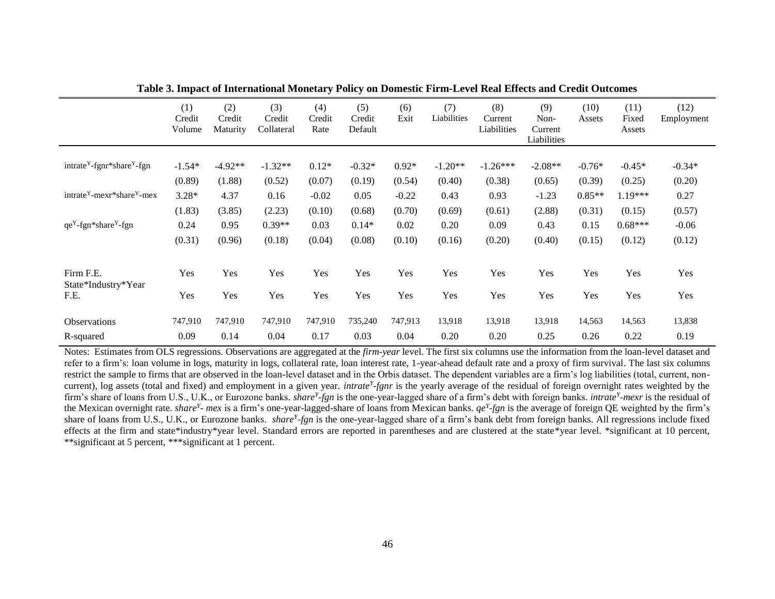|                                              | (1)<br>Credit<br>Volume | (2)<br>Credit<br>Maturity | (3)<br>Credit<br>Collateral | (4)<br>Credit<br>Rate | (5)<br>Credit<br>Default | (6)<br>Exit | (7)<br>Liabilities | (8)<br>Current<br>Liabilities | (9)<br>Non-<br>Current<br>Liabilities | (10)<br>Assets | (11)<br>Fixed<br>Assets | (12)<br>Employment |
|----------------------------------------------|-------------------------|---------------------------|-----------------------------|-----------------------|--------------------------|-------------|--------------------|-------------------------------|---------------------------------------|----------------|-------------------------|--------------------|
| $intracteY$ -fgnr*share <sup>Y</sup> -fgn    | $-1.54*$                | $-4.92**$                 | $-1.32**$                   | $0.12*$               | $-0.32*$                 | $0.92*$     | $-1.20**$          | $-1.26***$                    | $-2.08**$                             | $-0.76*$       | $-0.45*$                | $-0.34*$           |
|                                              | (0.89)                  | (1.88)                    | (0.52)                      | (0.07)                | (0.19)                   | (0.54)      | (0.40)             | (0.38)                        | (0.65)                                | (0.39)         | (0.25)                  | (0.20)             |
| $intracteY$ -mexr*share <sup>Y</sup> -mex    | $3.28*$                 | 4.37                      | 0.16                        | $-0.02$               | 0.05                     | $-0.22$     | 0.43               | 0.93                          | $-1.23$                               | $0.85**$       | 1.19***                 | 0.27               |
|                                              | (1.83)                  | (3.85)                    | (2.23)                      | (0.10)                | (0.68)                   | (0.70)      | (0.69)             | (0.61)                        | (2.88)                                | (0.31)         | (0.15)                  | (0.57)             |
| qe <sup>Y</sup> -fgn*share <sup>Y</sup> -fgn | 0.24                    | 0.95                      | $0.39**$                    | 0.03                  | $0.14*$                  | 0.02        | 0.20               | 0.09                          | 0.43                                  | 0.15           | $0.68***$               | $-0.06$            |
|                                              | (0.31)                  | (0.96)                    | (0.18)                      | (0.04)                | (0.08)                   | (0.10)      | (0.16)             | (0.20)                        | (0.40)                                | (0.15)         | (0.12)                  | (0.12)             |
| Firm F.E.<br>State*Industry*Year             | Yes                     | Yes                       | Yes                         | Yes                   | Yes                      | Yes         | Yes                | Yes                           | Yes                                   | Yes            | Yes                     | Yes                |
| F.E.                                         | Yes                     | Yes                       | Yes                         | Yes                   | Yes                      | Yes         | Yes                | Yes                           | Yes                                   | Yes            | Yes                     | Yes                |
| <b>Observations</b>                          | 747,910                 | 747,910                   | 747,910                     | 747,910               | 735,240                  | 747,913     | 13,918             | 13,918                        | 13,918                                | 14,563         | 14,563                  | 13,838             |
| R-squared                                    | 0.09                    | 0.14                      | 0.04                        | 0.17                  | 0.03                     | 0.04        | 0.20               | 0.20                          | 0.25                                  | 0.26           | 0.22                    | 0.19               |

**Table 3. Impact of International Monetary Policy on Domestic Firm-Level Real Effects and Credit Outcomes**

Notes: Estimates from OLS regressions. Observations are aggregated at the *firm-year* level. The first six columns use the information from the loan-level dataset and refer to a firm's: loan volume in logs, maturity in logs, collateral rate, loan interest rate, 1-year-ahead default rate and a proxy of firm survival. The last six columns restrict the sample to firms that are observed in the loan-level dataset and in the Orbis dataset. The dependent variables are a firm's log liabilities (total, current, noncurrent), log assets (total and fixed) and employment in a given year. *intrate<sup>Y</sup> -fgnr* is the yearly average of the residual of foreign overnight rates weighted by the firm's share of loans from U.S., U.K., or Eurozone banks*. share<sup>Y</sup> -fgn* is the one-year-lagged share of a firm's debt with foreign banks. *intrate<sup>Y</sup> -mexr* is the residual of the Mexican overnight rate*. share<sup>Y</sup> - mex* is a firm's one-year-lagged-share of loans from Mexican banks*. qe<sup>Y</sup> -fgn* is the average of foreign QE weighted by the firm's share of loans from U.S., U.K., or Eurozone banks. *share<sup>y</sup>-fgn* is the one-year-lagged share of a firm's bank debt from foreign banks. All regressions include fixed effects at the firm and state\*industry\*year level. Standard errors are reported in parentheses and are clustered at the state\*year level. \*significant at 10 percent, \*\*significant at 5 percent, \*\*\*significant at 1 percent.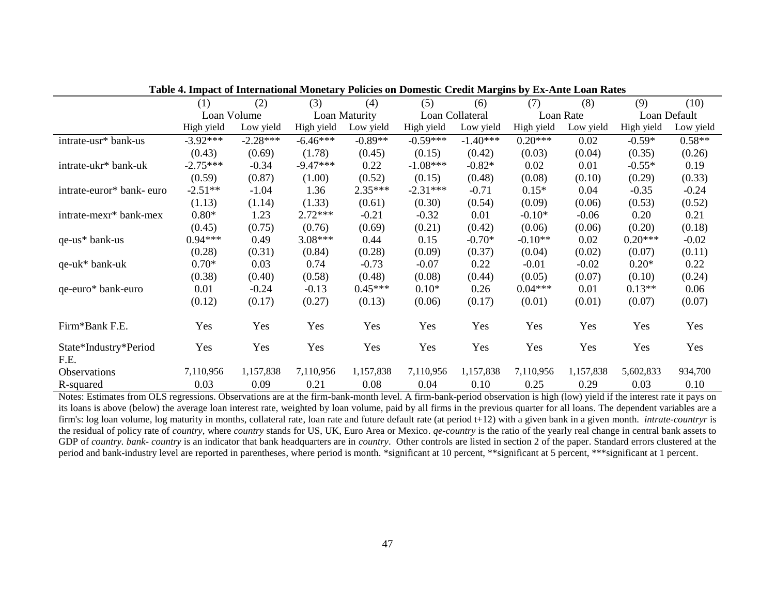| Table 7. Hilpact of Hitchnational Monctary I uncles on Domestic Create Margins by EX-Ante Loan Kates |             |            |            |               |            |                 |            |           |            |              |  |
|------------------------------------------------------------------------------------------------------|-------------|------------|------------|---------------|------------|-----------------|------------|-----------|------------|--------------|--|
|                                                                                                      | (1)         | (2)        | (3)        | (4)           | (5)        | (6)             | (7)        | (8)       | (9)        | (10)         |  |
|                                                                                                      | Loan Volume |            |            | Loan Maturity |            | Loan Collateral |            | Loan Rate |            | Loan Default |  |
|                                                                                                      | High yield  | Low yield  | High yield | Low yield     | High yield | Low yield       | High yield | Low yield | High yield | Low yield    |  |
| intrate-usr* bank-us                                                                                 | $-3.92***$  | $-2.28***$ | $-6.46***$ | $-0.89**$     | $-0.59***$ | $-1.40***$      | $0.20***$  | 0.02      | $-0.59*$   | $0.58**$     |  |
|                                                                                                      | (0.43)      | (0.69)     | (1.78)     | (0.45)        | (0.15)     | (0.42)          | (0.03)     | (0.04)    | (0.35)     | (0.26)       |  |
| intrate-ukr* bank-uk                                                                                 | $-2.75***$  | $-0.34$    | $-9.47***$ | 0.22          | $-1.08***$ | $-0.82*$        | 0.02       | 0.01      | $-0.55*$   | 0.19         |  |
|                                                                                                      | (0.59)      | (0.87)     | (1.00)     | (0.52)        | (0.15)     | (0.48)          | (0.08)     | (0.10)    | (0.29)     | (0.33)       |  |
| intrate-euror* bank- euro                                                                            | $-2.51**$   | $-1.04$    | 1.36       | 2.35***       | $-2.31***$ | $-0.71$         | $0.15*$    | 0.04      | $-0.35$    | $-0.24$      |  |
|                                                                                                      | (1.13)      | (1.14)     | (1.33)     | (0.61)        | (0.30)     | (0.54)          | (0.09)     | (0.06)    | (0.53)     | (0.52)       |  |
| intrate-mexr* bank-mex                                                                               | $0.80*$     | 1.23       | $2.72***$  | $-0.21$       | $-0.32$    | 0.01            | $-0.10*$   | $-0.06$   | 0.20       | 0.21         |  |
|                                                                                                      | (0.45)      | (0.75)     | (0.76)     | (0.69)        | (0.21)     | (0.42)          | (0.06)     | (0.06)    | (0.20)     | (0.18)       |  |
| qe-us* bank-us                                                                                       | $0.94***$   | 0.49       | $3.08***$  | 0.44          | 0.15       | $-0.70*$        | $-0.10**$  | 0.02      | $0.20***$  | $-0.02$      |  |
|                                                                                                      | (0.28)      | (0.31)     | (0.84)     | (0.28)        | (0.09)     | (0.37)          | (0.04)     | (0.02)    | (0.07)     | (0.11)       |  |
| $qe$ -uk* bank-uk                                                                                    | $0.70*$     | 0.03       | 0.74       | $-0.73$       | $-0.07$    | 0.22            | $-0.01$    | $-0.02$   | $0.20*$    | 0.22         |  |
|                                                                                                      | (0.38)      | (0.40)     | (0.58)     | (0.48)        | (0.08)     | (0.44)          | (0.05)     | (0.07)    | (0.10)     | (0.24)       |  |
| qe-euro* bank-euro                                                                                   | 0.01        | $-0.24$    | $-0.13$    | $0.45***$     | $0.10*$    | 0.26            | $0.04***$  | 0.01      | $0.13**$   | 0.06         |  |
|                                                                                                      | (0.12)      | (0.17)     | (0.27)     | (0.13)        | (0.06)     | (0.17)          | (0.01)     | (0.01)    | (0.07)     | (0.07)       |  |
| Firm*Bank F.E.                                                                                       | Yes         | Yes        | Yes        | Yes           | Yes        | Yes             | Yes        | Yes       | Yes        | Yes          |  |
| State*Industry*Period<br>F.E.                                                                        | Yes         | Yes        | Yes        | Yes           | Yes        | Yes             | Yes        | Yes       | Yes        | Yes          |  |
| <b>Observations</b>                                                                                  | 7,110,956   | 1,157,838  | 7,110,956  | 1,157,838     | 7,110,956  | 1,157,838       | 7,110,956  | 1,157,838 | 5,602,833  | 934,700      |  |
| R-squared                                                                                            | 0.03        | 0.09       | 0.21       | 0.08          | 0.04       | 0.10            | 0.25       | 0.29      | 0.03       | 0.10         |  |

**Table 4. Impact of International Monetary Policies on Domestic Credit Margins by Ex-Ante Loan Rates** 

Notes: Estimates from OLS regressions. Observations are at the firm-bank-month level. A firm-bank-period observation is high (low) yield if the interest rate it pays on its loans is above (below) the average loan interest rate, weighted by loan volume, paid by all firms in the previous quarter for all loans. The dependent variables are a firm's: log loan volume, log maturity in months, collateral rate, loan rate and future default rate (at period t+12) with a given bank in a given month. *intrate-countryr* is the residual of policy rate of *country*, where *country* stands for US, UK, Euro Area or Mexico. *qe-country* is the ratio of the yearly real change in central bank assets to GDP of *country. bank- country* is an indicator that bank headquarters are in *country*. Other controls are listed in section 2 of the paper. Standard errors clustered at the period and bank-industry level are reported in parentheses, where period is month. \*significant at 10 percent, \*\*significant at 5 percent, \*\*\*significant at 1 percent.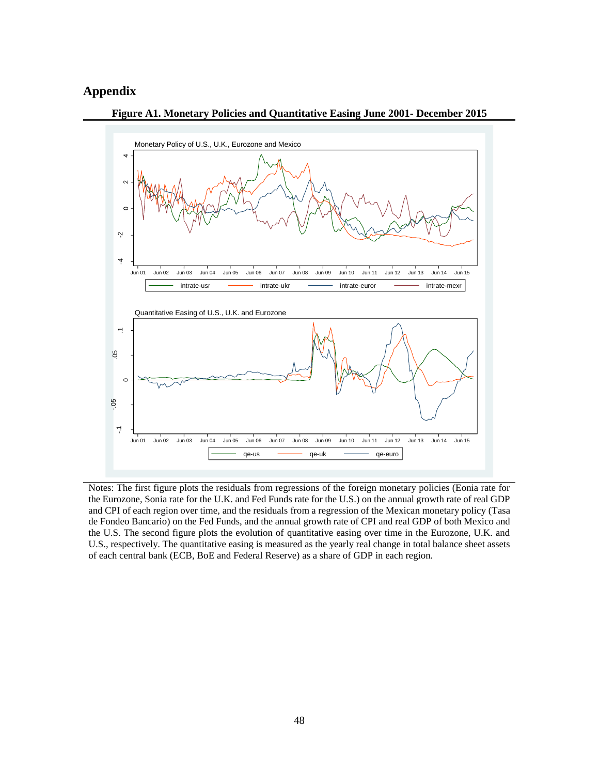# **Appendix**



**Figure A1. Monetary Policies and Quantitative Easing June 2001- December 2015**

Notes: The first figure plots the residuals from regressions of the foreign monetary policies (Eonia rate for the Eurozone, Sonia rate for the U.K. and Fed Funds rate for the U.S.) on the annual growth rate of real GDP and CPI of each region over time, and the residuals from a regression of the Mexican monetary policy (Tasa de Fondeo Bancario) on the Fed Funds, and the annual growth rate of CPI and real GDP of both Mexico and the U.S. The second figure plots the evolution of quantitative easing over time in the Eurozone, U.K. and U.S., respectively. The quantitative easing is measured as the yearly real change in total balance sheet assets of each central bank (ECB, BoE and Federal Reserve) as a share of GDP in each region.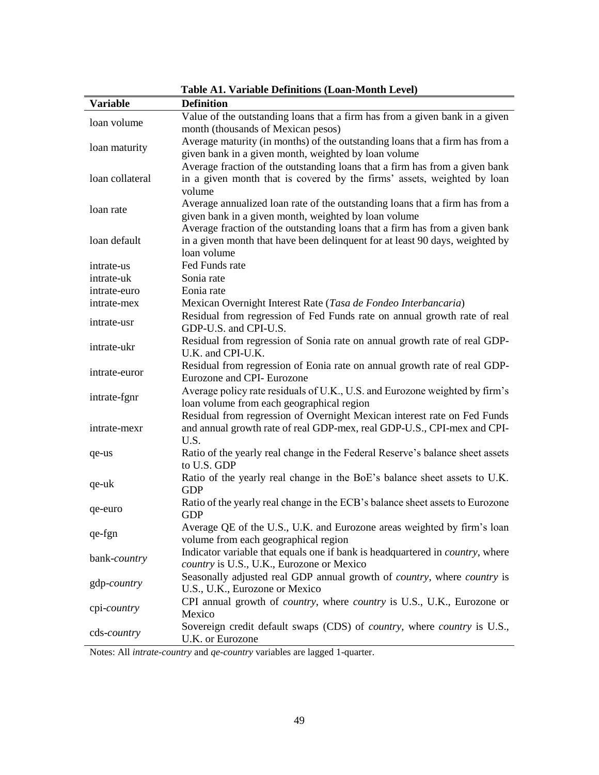|                     | <b>Table A1. Variable Definitions (Loan-Month Level)</b>                               |  |  |  |  |  |
|---------------------|----------------------------------------------------------------------------------------|--|--|--|--|--|
| <b>Variable</b>     | <b>Definition</b>                                                                      |  |  |  |  |  |
| loan volume         | Value of the outstanding loans that a firm has from a given bank in a given            |  |  |  |  |  |
|                     | month (thousands of Mexican pesos)                                                     |  |  |  |  |  |
|                     | Average maturity (in months) of the outstanding loans that a firm has from a           |  |  |  |  |  |
| loan maturity       | given bank in a given month, weighted by loan volume                                   |  |  |  |  |  |
|                     | Average fraction of the outstanding loans that a firm has from a given bank            |  |  |  |  |  |
| loan collateral     | in a given month that is covered by the firms' assets, weighted by loan                |  |  |  |  |  |
|                     | volume                                                                                 |  |  |  |  |  |
| loan rate           | Average annualized loan rate of the outstanding loans that a firm has from a           |  |  |  |  |  |
|                     | given bank in a given month, weighted by loan volume                                   |  |  |  |  |  |
|                     | Average fraction of the outstanding loans that a firm has from a given bank            |  |  |  |  |  |
| loan default        | in a given month that have been delinquent for at least 90 days, weighted by           |  |  |  |  |  |
|                     | loan volume                                                                            |  |  |  |  |  |
| intrate-us          | Fed Funds rate                                                                         |  |  |  |  |  |
| intrate-uk          | Sonia rate                                                                             |  |  |  |  |  |
| intrate-euro        | Eonia rate                                                                             |  |  |  |  |  |
| intrate-mex         | Mexican Overnight Interest Rate (Tasa de Fondeo Interbancaria)                         |  |  |  |  |  |
| intrate-usr         | Residual from regression of Fed Funds rate on annual growth rate of real               |  |  |  |  |  |
|                     | GDP-U.S. and CPI-U.S.                                                                  |  |  |  |  |  |
| intrate-ukr         | Residual from regression of Sonia rate on annual growth rate of real GDP-              |  |  |  |  |  |
|                     | U.K. and CPI-U.K.                                                                      |  |  |  |  |  |
| intrate-euror       | Residual from regression of Eonia rate on annual growth rate of real GDP-              |  |  |  |  |  |
|                     | Eurozone and CPI- Eurozone                                                             |  |  |  |  |  |
| intrate-fgnr        | Average policy rate residuals of U.K., U.S. and Eurozone weighted by firm's            |  |  |  |  |  |
|                     | loan volume from each geographical region                                              |  |  |  |  |  |
|                     | Residual from regression of Overnight Mexican interest rate on Fed Funds               |  |  |  |  |  |
| intrate-mexr        | and annual growth rate of real GDP-mex, real GDP-U.S., CPI-mex and CPI-                |  |  |  |  |  |
|                     | U.S.                                                                                   |  |  |  |  |  |
| qe-us               | Ratio of the yearly real change in the Federal Reserve's balance sheet assets          |  |  |  |  |  |
|                     | to U.S. GDP                                                                            |  |  |  |  |  |
| qe-uk               | Ratio of the yearly real change in the BoE's balance sheet assets to U.K.              |  |  |  |  |  |
|                     | <b>GDP</b>                                                                             |  |  |  |  |  |
| qe-euro             | Ratio of the yearly real change in the ECB's balance sheet assets to Eurozone          |  |  |  |  |  |
|                     | <b>GDP</b><br>Average QE of the U.S., U.K. and Eurozone areas weighted by firm's loan  |  |  |  |  |  |
| qe-fgn              | volume from each geographical region                                                   |  |  |  |  |  |
|                     | Indicator variable that equals one if bank is headquartered in country, where          |  |  |  |  |  |
| bank-country        | country is U.S., U.K., Eurozone or Mexico                                              |  |  |  |  |  |
|                     | Seasonally adjusted real GDP annual growth of <i>country</i> , where <i>country</i> is |  |  |  |  |  |
| gdp-country         | U.S., U.K., Eurozone or Mexico                                                         |  |  |  |  |  |
|                     | CPI annual growth of <i>country</i> , where <i>country</i> is U.S., U.K., Eurozone or  |  |  |  |  |  |
| cpi- <i>country</i> | Mexico                                                                                 |  |  |  |  |  |
|                     | Sovereign credit default swaps (CDS) of <i>country</i> , where <i>country</i> is U.S., |  |  |  |  |  |
| cds- <i>country</i> | U.K. or Eurozone                                                                       |  |  |  |  |  |
|                     |                                                                                        |  |  |  |  |  |

Notes: All *intrate-country* and *qe-country* variables are lagged 1-quarter.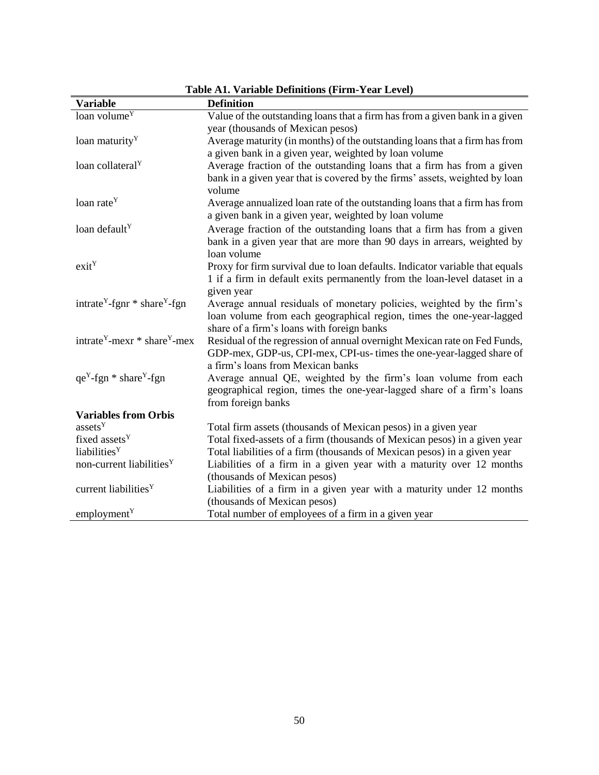|                                                                                  | Table AT. Valiable Definitions (Firm-Teal Level)                             |
|----------------------------------------------------------------------------------|------------------------------------------------------------------------------|
| Variable                                                                         | <b>Definition</b>                                                            |
| loan volume <sup>Y</sup>                                                         | Value of the outstanding loans that a firm has from a given bank in a given  |
|                                                                                  | year (thousands of Mexican pesos)                                            |
| loan maturity <sup>Y</sup>                                                       | Average maturity (in months) of the outstanding loans that a firm has from   |
|                                                                                  | a given bank in a given year, weighted by loan volume                        |
| loan collateral <sup>Y</sup>                                                     | Average fraction of the outstanding loans that a firm has from a given       |
|                                                                                  | bank in a given year that is covered by the firms' assets, weighted by loan  |
|                                                                                  | volume                                                                       |
| loan rate <sup>Y</sup>                                                           | Average annualized loan rate of the outstanding loans that a firm has from   |
|                                                                                  | a given bank in a given year, weighted by loan volume                        |
| loan default <sup>Y</sup>                                                        | Average fraction of the outstanding loans that a firm has from a given       |
|                                                                                  | bank in a given year that are more than 90 days in arrears, weighted by      |
|                                                                                  | loan volume                                                                  |
| exit <sup>Y</sup>                                                                | Proxy for firm survival due to loan defaults. Indicator variable that equals |
|                                                                                  | 1 if a firm in default exits permanently from the loan-level dataset in a    |
|                                                                                  | given year                                                                   |
| intrate <sup>Y</sup> -fgnr $*$ share <sup>Y</sup> -fgn                           | Average annual residuals of monetary policies, weighted by the firm's        |
|                                                                                  | loan volume from each geographical region, times the one-year-lagged         |
|                                                                                  | share of a firm's loans with foreign banks                                   |
| intrate <sup><math>Y</math></sup> -mexr $*$ share <sup><math>Y</math></sup> -mex | Residual of the regression of annual overnight Mexican rate on Fed Funds,    |
|                                                                                  | GDP-mex, GDP-us, CPI-mex, CPI-us- times the one-year-lagged share of         |
|                                                                                  | a firm's loans from Mexican banks                                            |
| $qe^{Y}$ -fgn * share <sup>Y</sup> -fgn                                          | Average annual QE, weighted by the firm's loan volume from each              |
|                                                                                  | geographical region, times the one-year-lagged share of a firm's loans       |
|                                                                                  | from foreign banks                                                           |
| <b>Variables from Orbis</b>                                                      |                                                                              |
| assets <sup>Y</sup>                                                              | Total firm assets (thousands of Mexican pesos) in a given year               |
| fixed assets <sup>Y</sup>                                                        | Total fixed-assets of a firm (thousands of Mexican pesos) in a given year    |
| liabilities <sup>Y</sup>                                                         | Total liabilities of a firm (thousands of Mexican pesos) in a given year     |
| non-current liabilities <sup>Y</sup>                                             | Liabilities of a firm in a given year with a maturity over 12 months         |
|                                                                                  | (thousands of Mexican pesos)                                                 |
| current liabilities <sup>Y</sup>                                                 | Liabilities of a firm in a given year with a maturity under 12 months        |
|                                                                                  | (thousands of Mexican pesos)                                                 |
| employment <sup>Y</sup>                                                          | Total number of employees of a firm in a given year                          |

## **Table A1. Variable Definitions (Firm-Year Level)**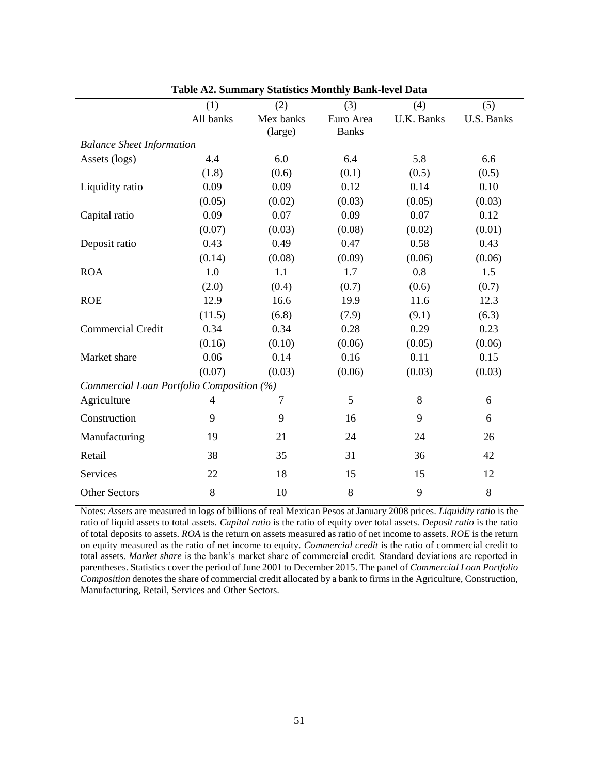|                                           | (1)       | (2)       | (3)          | (4)               | (5)        |
|-------------------------------------------|-----------|-----------|--------------|-------------------|------------|
|                                           | All banks | Mex banks | Euro Area    | <b>U.K. Banks</b> | U.S. Banks |
|                                           |           | (large)   | <b>Banks</b> |                   |            |
| <b>Balance Sheet Information</b>          |           |           |              |                   |            |
| Assets (logs)                             | 4.4       | 6.0       | 6.4          | 5.8               | 6.6        |
|                                           | (1.8)     | (0.6)     | (0.1)        | (0.5)             | (0.5)      |
| Liquidity ratio                           | 0.09      | 0.09      | 0.12         | 0.14              | 0.10       |
|                                           | (0.05)    | (0.02)    | (0.03)       | (0.05)            | (0.03)     |
| Capital ratio                             | 0.09      | 0.07      | 0.09         | 0.07              | 0.12       |
|                                           | (0.07)    | (0.03)    | (0.08)       | (0.02)            | (0.01)     |
| Deposit ratio                             | 0.43      | 0.49      | 0.47         | 0.58              | 0.43       |
|                                           | (0.14)    | (0.08)    | (0.09)       | (0.06)            | (0.06)     |
| <b>ROA</b>                                | 1.0       | 1.1       | 1.7          | 0.8               | 1.5        |
|                                           | (2.0)     | (0.4)     | (0.7)        | (0.6)             | (0.7)      |
| <b>ROE</b>                                | 12.9      | 16.6      | 19.9         | 11.6              | 12.3       |
|                                           | (11.5)    | (6.8)     | (7.9)        | (9.1)             | (6.3)      |
| <b>Commercial Credit</b>                  | 0.34      | 0.34      | 0.28         | 0.29              | 0.23       |
|                                           | (0.16)    | (0.10)    | (0.06)       | (0.05)            | (0.06)     |
| Market share                              | 0.06      | 0.14      | 0.16         | 0.11              | 0.15       |
|                                           | (0.07)    | (0.03)    | (0.06)       | (0.03)            | (0.03)     |
| Commercial Loan Portfolio Composition (%) |           |           |              |                   |            |
| Agriculture                               | 4         | 7         | 5            | 8                 | 6          |
| Construction                              | 9         | 9         | 16           | 9                 | 6          |
| Manufacturing                             | 19        | 21        | 24           | 24                | 26         |
| Retail                                    | 38        | 35        | 31           | 36                | 42         |
| Services                                  | 22        | 18        | 15           | 15                | 12         |
| <b>Other Sectors</b>                      | $\,8\,$   | 10        | $8\,$        | 9                 | $8\,$      |

**Table A2. Summary Statistics Monthly Bank-level Data** 

Notes: *Assets* are measured in logs of billions of real Mexican Pesos at January 2008 prices. *Liquidity ratio* is the ratio of liquid assets to total assets. *Capital ratio* is the ratio of equity over total assets. *Deposit ratio* is the ratio of total deposits to assets. *ROA* is the return on assets measured as ratio of net income to assets. *ROE* is the return on equity measured as the ratio of net income to equity. *Commercial credit* is the ratio of commercial credit to total assets. *Market share* is the bank's market share of commercial credit. Standard deviations are reported in parentheses. Statistics cover the period of June 2001 to December 2015. The panel of *Commercial Loan Portfolio Composition* denotes the share of commercial credit allocated by a bank to firms in the Agriculture, Construction, Manufacturing, Retail, Services and Other Sectors.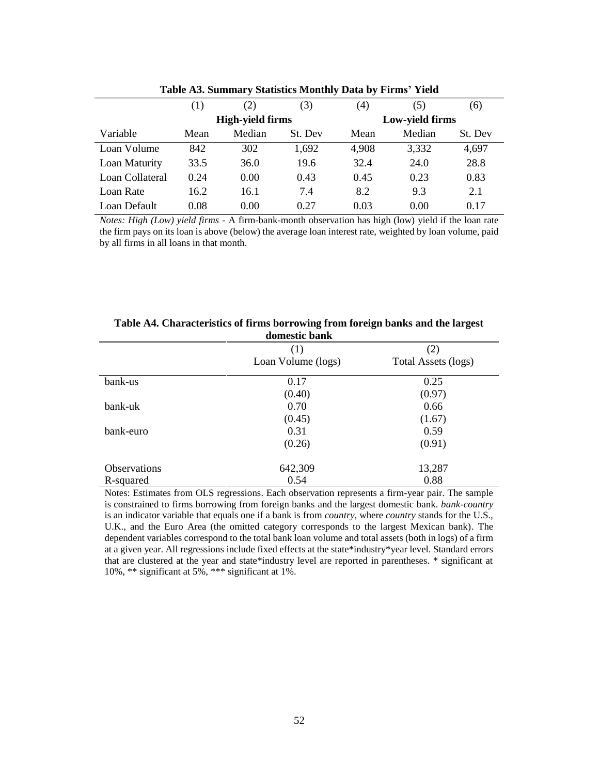|                 | (1)  | (2)                     | (3)     | (4)   | (5)             | (6)     |
|-----------------|------|-------------------------|---------|-------|-----------------|---------|
|                 |      | <b>High-yield firms</b> |         |       | Low-yield firms |         |
| Variable        | Mean | Median                  | St. Dev | Mean  | Median          | St. Dev |
| Loan Volume     | 842  | 302                     | 1,692   | 4,908 | 3,332           | 4,697   |
| Loan Maturity   | 33.5 | 36.0                    | 19.6    | 32.4  | 24.0            | 28.8    |
| Loan Collateral | 0.24 | 0.00                    | 0.43    | 0.45  | 0.23            | 0.83    |
| Loan Rate       | 16.2 | 16.1                    | 7.4     | 8.2   | 9.3             | 2.1     |
| Loan Default    | 0.08 | 0.00                    | 0.27    | 0.03  | 0.00            | 0.17    |

**Table A3. Summary Statistics Monthly Data by Firms' Yield**

*Notes: High (Low) yield firms -* A firm-bank-month observation has high (low) yield if the loan rate the firm pays on its loan is above (below) the average loan interest rate, weighted by loan volume, paid by all firms in all loans in that month.

| uvilitstit valin    |                    |                     |  |  |  |  |  |  |  |
|---------------------|--------------------|---------------------|--|--|--|--|--|--|--|
|                     | (1)                | (2)                 |  |  |  |  |  |  |  |
|                     | Loan Volume (logs) | Total Assets (logs) |  |  |  |  |  |  |  |
| bank-us             | 0.17               | 0.25                |  |  |  |  |  |  |  |
|                     | (0.40)             | (0.97)              |  |  |  |  |  |  |  |
| bank-uk             | 0.70               | 0.66                |  |  |  |  |  |  |  |
|                     | (0.45)             | (1.67)              |  |  |  |  |  |  |  |
| bank-euro           | 0.31               | 0.59                |  |  |  |  |  |  |  |
|                     | (0.26)             | (0.91)              |  |  |  |  |  |  |  |
| <b>Observations</b> | 642,309            | 13,287              |  |  |  |  |  |  |  |
| R-squared           | 0.54               | 0.88                |  |  |  |  |  |  |  |

**Table A4. Characteristics of firms borrowing from foreign banks and the largest domestic bank**

Notes: Estimates from OLS regressions. Each observation represents a firm-year pair. The sample is constrained to firms borrowing from foreign banks and the largest domestic bank. *bank-country* is an indicator variable that equals one if a bank is from *country,* where *country* stands for the U.S., U.K., and the Euro Area (the omitted category corresponds to the largest Mexican bank). The dependent variables correspond to the total bank loan volume and total assets (both in logs) of a firm at a given year. All regressions include fixed effects at the state\*industry\*year level. Standard errors that are clustered at the year and state\*industry level are reported in parentheses. \* significant at 10%, \*\* significant at 5%, \*\*\* significant at 1%.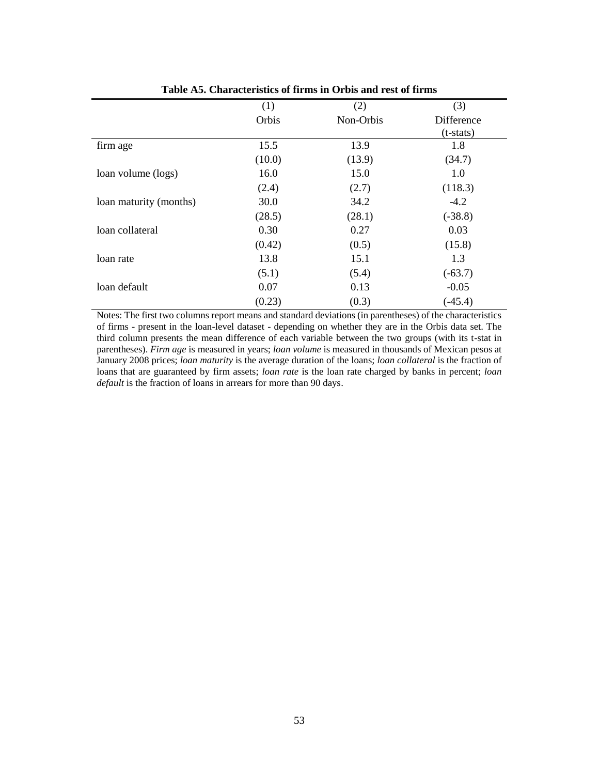|                        | (1)    | (2)       | (3)         |
|------------------------|--------|-----------|-------------|
|                        | Orbis  | Non-Orbis | Difference  |
|                        |        |           | $(t-stats)$ |
| firm age               | 15.5   | 13.9      | 1.8         |
|                        | (10.0) | (13.9)    | (34.7)      |
| loan volume (logs)     | 16.0   | 15.0      | 1.0         |
|                        | (2.4)  | (2.7)     | (118.3)     |
| loan maturity (months) | 30.0   | 34.2      | $-4.2$      |
|                        | (28.5) | (28.1)    | $(-38.8)$   |
| loan collateral        | 0.30   | 0.27      | 0.03        |
|                        | (0.42) | (0.5)     | (15.8)      |
| loan rate              | 13.8   | 15.1      | 1.3         |
|                        | (5.1)  | (5.4)     | $(-63.7)$   |
| loan default           | 0.07   | 0.13      | $-0.05$     |
|                        | (0.23) | (0.3)     | $(-45.4)$   |

**Table A5. Characteristics of firms in Orbis and rest of firms**

Notes: The first two columns report means and standard deviations (in parentheses) of the characteristics of firms - present in the loan-level dataset - depending on whether they are in the Orbis data set. The third column presents the mean difference of each variable between the two groups (with its t-stat in parentheses). *Firm age* is measured in years; *loan volume* is measured in thousands of Mexican pesos at January 2008 prices; *loan maturity* is the average duration of the loans; *loan collateral* is the fraction of loans that are guaranteed by firm assets; *loan rate* is the loan rate charged by banks in percent; *loan default* is the fraction of loans in arrears for more than 90 days.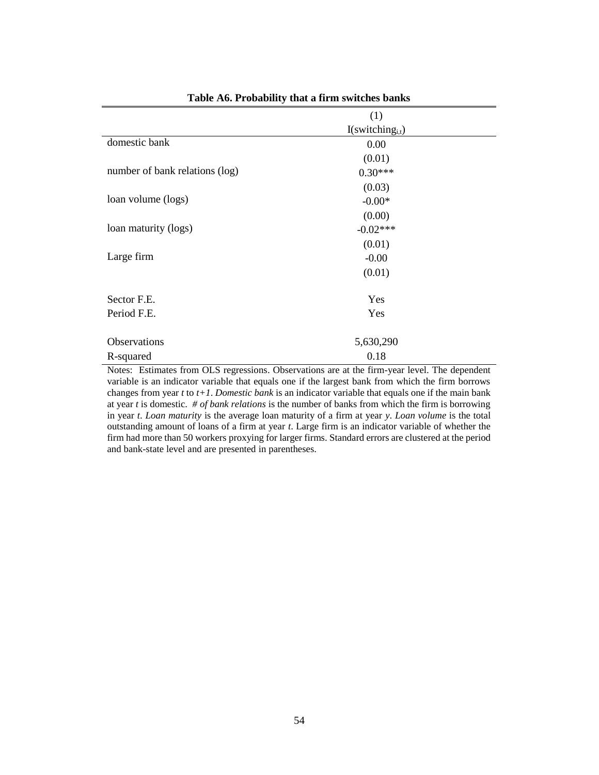|                                | (1)                             |  |
|--------------------------------|---------------------------------|--|
|                                | $I$ (switching <sub>i,t</sub> ) |  |
| domestic bank                  | 0.00                            |  |
|                                | (0.01)                          |  |
| number of bank relations (log) | $0.30***$                       |  |
|                                | (0.03)                          |  |
| loan volume (logs)             | $-0.00*$                        |  |
|                                | (0.00)                          |  |
| loan maturity (logs)           | $-0.02***$                      |  |
|                                | (0.01)                          |  |
| Large firm                     | $-0.00$                         |  |
|                                | (0.01)                          |  |
| Sector F.E.                    | Yes                             |  |
| Period F.E.                    | Yes                             |  |
| Observations                   | 5,630,290                       |  |
| R-squared                      | 0.18                            |  |

**Table A6. Probability that a firm switches banks**

Notes: Estimates from OLS regressions. Observations are at the firm-year level. The dependent variable is an indicator variable that equals one if the largest bank from which the firm borrows changes from year *t* to *t+1*. *Domestic bank* is an indicator variable that equals one if the main bank at year *t* is domestic. *# of bank relations* is the number of banks from which the firm is borrowing in year *t*. *Loan maturity* is the average loan maturity of a firm at year *y*. *Loan volume* is the total outstanding amount of loans of a firm at year *t*. Large firm is an indicator variable of whether the firm had more than 50 workers proxying for larger firms. Standard errors are clustered at the period and bank-state level and are presented in parentheses.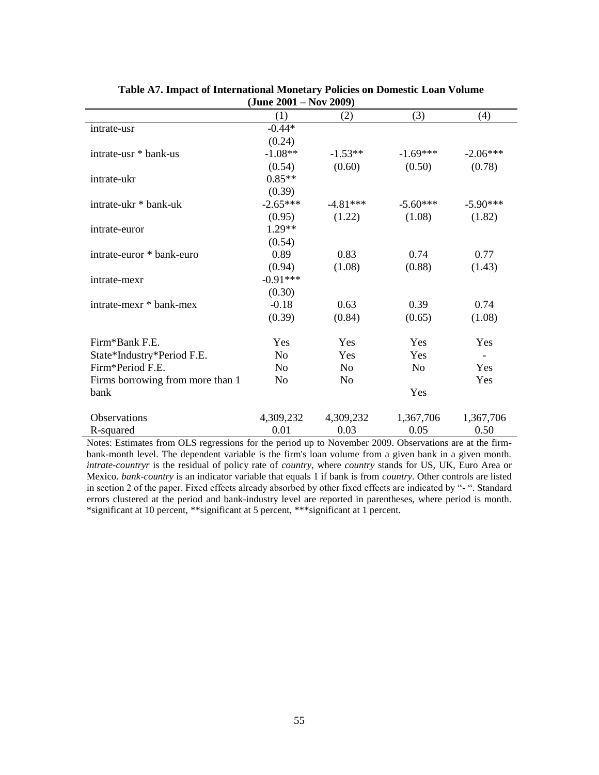| (JUNE 2001 – INOV 2009)          |                |                |                |                          |  |  |  |  |  |  |
|----------------------------------|----------------|----------------|----------------|--------------------------|--|--|--|--|--|--|
|                                  | (1)            | (2)            | (3)            | (4)                      |  |  |  |  |  |  |
| intrate-usr                      | $-0.44*$       |                |                |                          |  |  |  |  |  |  |
|                                  | (0.24)         |                |                |                          |  |  |  |  |  |  |
| intrate-usr * bank-us            | $-1.08**$      | $-1.53**$      | $-1.69***$     | $-2.06***$               |  |  |  |  |  |  |
|                                  | (0.54)         | (0.60)         | (0.50)         | (0.78)                   |  |  |  |  |  |  |
| intrate-ukr                      | $0.85**$       |                |                |                          |  |  |  |  |  |  |
|                                  | (0.39)         |                |                |                          |  |  |  |  |  |  |
| intrate-ukr * bank-uk            | $-2.65***$     | $-4.81***$     | $-5.60***$     | $-5.90***$               |  |  |  |  |  |  |
|                                  | (0.95)         | (1.22)         | (1.08)         | (1.82)                   |  |  |  |  |  |  |
| intrate-euror                    | $1.29**$       |                |                |                          |  |  |  |  |  |  |
|                                  | (0.54)         |                |                |                          |  |  |  |  |  |  |
| intrate-euror * bank-euro        | 0.89           | 0.83           | 0.74           | 0.77                     |  |  |  |  |  |  |
|                                  | (0.94)         | (1.08)         | (0.88)         | (1.43)                   |  |  |  |  |  |  |
| intrate-mexr                     | $-0.91***$     |                |                |                          |  |  |  |  |  |  |
|                                  | (0.30)         |                |                |                          |  |  |  |  |  |  |
| intrate-mexr * bank-mex          | $-0.18$        | 0.63           | 0.39           | 0.74                     |  |  |  |  |  |  |
|                                  | (0.39)         | (0.84)         | (0.65)         | (1.08)                   |  |  |  |  |  |  |
| Firm*Bank F.E.                   | Yes            | <b>Yes</b>     | Yes            | Yes                      |  |  |  |  |  |  |
| State*Industry*Period F.E.       | N <sub>o</sub> | Yes            | Yes            | $\overline{\phantom{a}}$ |  |  |  |  |  |  |
| Firm*Period F.E.                 | N <sub>o</sub> | N <sub>0</sub> | N <sub>0</sub> | Yes                      |  |  |  |  |  |  |
| Firms borrowing from more than 1 | N <sub>o</sub> | N <sub>o</sub> |                | Yes                      |  |  |  |  |  |  |
| bank                             |                |                | Yes            |                          |  |  |  |  |  |  |
| <b>Observations</b>              | 4,309,232      | 4,309,232      | 1,367,706      | 1,367,706                |  |  |  |  |  |  |
| R-squared                        | 0.01           | 0.03           | 0.05           | 0.50                     |  |  |  |  |  |  |
|                                  |                |                |                |                          |  |  |  |  |  |  |

#### **Table A7. Impact of International Monetary Policies on Domestic Loan Volume (June 2001 – Nov 2009)**

Notes: Estimates from OLS regressions for the period up to November 2009. Observations are at the firmbank-month level. The dependent variable is the firm's loan volume from a given bank in a given month. *intrate-countryr* is the residual of policy rate of *country*, where *country* stands for US, UK, Euro Area or Mexico. *bank-country* is an indicator variable that equals 1 if bank is from *country*. Other controls are listed in section 2 of the paper. Fixed effects already absorbed by other fixed effects are indicated by "- ". Standard errors clustered at the period and bank-industry level are reported in parentheses, where period is month. \*significant at 10 percent, \*\*significant at 5 percent, \*\*\*significant at 1 percent.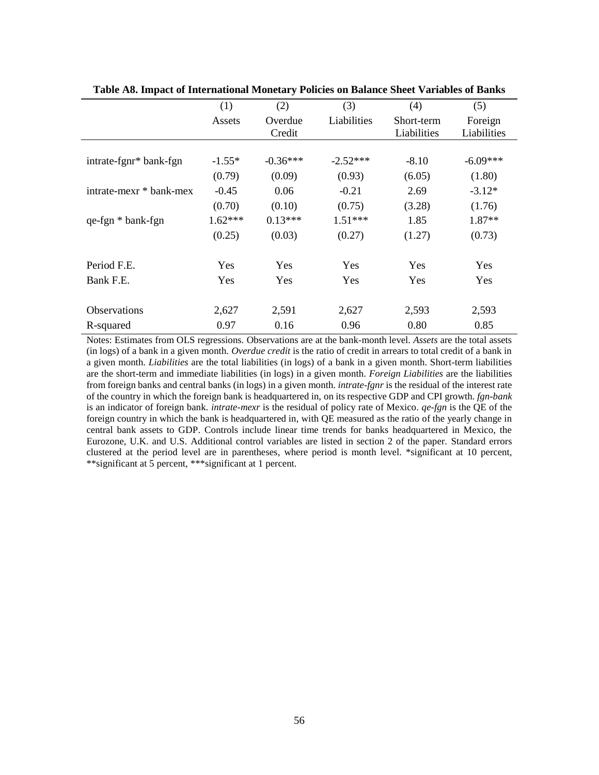|                         | (1)       | (2)        | (3)         | (4)         | (5)         |
|-------------------------|-----------|------------|-------------|-------------|-------------|
|                         | Assets    | Overdue    | Liabilities | Short-term  | Foreign     |
|                         |           | Credit     |             | Liabilities | Liabilities |
|                         |           |            |             |             |             |
| intrate-fgnr* bank-fgn  | $-1.55*$  | $-0.36***$ | $-2.52***$  | $-8.10$     | $-6.09***$  |
|                         | (0.79)    | (0.09)     | (0.93)      | (6.05)      | (1.80)      |
| intrate-mexr * bank-mex | $-0.45$   | 0.06       | $-0.21$     | 2.69        | $-3.12*$    |
|                         | (0.70)    | (0.10)     | (0.75)      | (3.28)      | (1.76)      |
| qe-fgn * bank-fgn       | $1.62***$ | $0.13***$  | $1.51***$   | 1.85        | $1.87**$    |
|                         | (0.25)    | (0.03)     | (0.27)      | (1.27)      | (0.73)      |
|                         |           |            |             |             |             |
| Period F.E.             | Yes       | Yes        | Yes         | Yes         | Yes         |
| Bank F.E.               | Yes       | Yes        | Yes         | Yes         | Yes         |
|                         |           |            |             |             |             |
| <b>Observations</b>     | 2,627     | 2,591      | 2,627       | 2,593       | 2,593       |
| R-squared               | 0.97      | 0.16       | 0.96        | 0.80        | 0.85        |

**Table A8. Impact of International Monetary Policies on Balance Sheet Variables of Banks**

Notes: Estimates from OLS regressions. Observations are at the bank-month level. *Assets* are the total assets (in logs) of a bank in a given month. *Overdue credit* is the ratio of credit in arrears to total credit of a bank in a given month. *Liabilities* are the total liabilities (in logs) of a bank in a given month. Short-term liabilities are the short-term and immediate liabilities (in logs) in a given month. *Foreign Liabilities* are the liabilities from foreign banks and central banks (in logs) in a given month. *intrate-fgnr* is the residual of the interest rate of the country in which the foreign bank is headquartered in, on its respective GDP and CPI growth. *fgn-bank* is an indicator of foreign bank*. intrate-mexr* is the residual of policy rate of Mexico. *qe-fgn* is the QE of the foreign country in which the bank is headquartered in, with QE measured as the ratio of the yearly change in central bank assets to GDP. Controls include linear time trends for banks headquartered in Mexico, the Eurozone, U.K. and U.S. Additional control variables are listed in section 2 of the paper. Standard errors clustered at the period level are in parentheses, where period is month level. \*significant at 10 percent, \*\*significant at 5 percent, \*\*\*significant at 1 percent.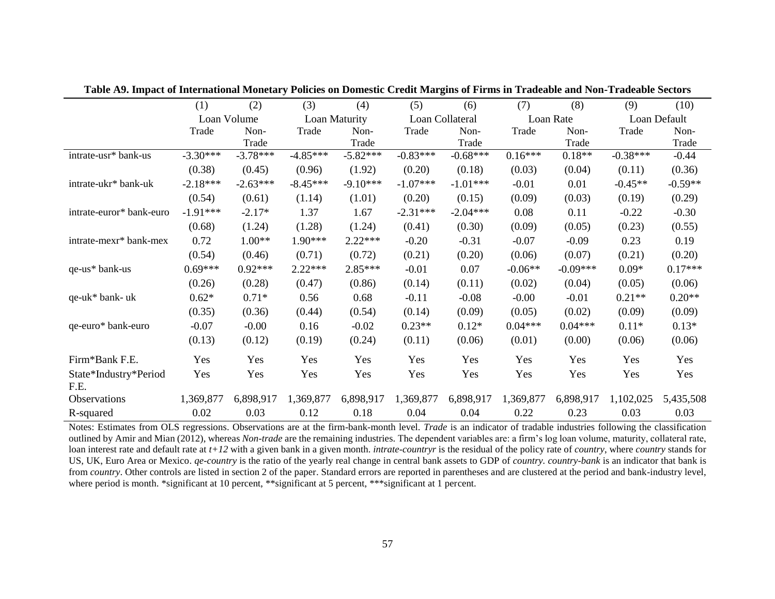|                               | (1)        | (2)         | (3)        | (4)           | (5)        | (6)             | (7)       | (8)        | (9)        | (10)         |
|-------------------------------|------------|-------------|------------|---------------|------------|-----------------|-----------|------------|------------|--------------|
|                               |            | Loan Volume |            | Loan Maturity |            | Loan Collateral |           | Loan Rate  |            | Loan Default |
|                               | Trade      | Non-        | Trade      | Non-          | Trade      | Non-            | Trade     | Non-       | Trade      | Non-         |
|                               |            | Trade       |            | Trade         |            | Trade           |           | Trade      |            | Trade        |
| intrate-usr* bank-us          | $-3.30***$ | $-3.78***$  | $-4.85***$ | $-5.82***$    | $-0.83***$ | $-0.68***$      | $0.16***$ | $0.18**$   | $-0.38***$ | $-0.44$      |
|                               | (0.38)     | (0.45)      | (0.96)     | (1.92)        | (0.20)     | (0.18)          | (0.03)    | (0.04)     | (0.11)     | (0.36)       |
| intrate-ukr* bank-uk          | $-2.18***$ | $-2.63***$  | $-8.45***$ | $-9.10***$    | $-1.07***$ | $-1.01***$      | $-0.01$   | 0.01       | $-0.45**$  | $-0.59**$    |
|                               | (0.54)     | (0.61)      | (1.14)     | (1.01)        | (0.20)     | (0.15)          | (0.09)    | (0.03)     | (0.19)     | (0.29)       |
| intrate-euror* bank-euro      | $-1.91***$ | $-2.17*$    | 1.37       | 1.67          | $-2.31***$ | $-2.04***$      | 0.08      | 0.11       | $-0.22$    | $-0.30$      |
|                               | (0.68)     | (1.24)      | (1.28)     | (1.24)        | (0.41)     | (0.30)          | (0.09)    | (0.05)     | (0.23)     | (0.55)       |
| intrate-mexr* bank-mex        | 0.72       | $1.00**$    | 1.90***    | $2.22***$     | $-0.20$    | $-0.31$         | $-0.07$   | $-0.09$    | 0.23       | 0.19         |
|                               | (0.54)     | (0.46)      | (0.71)     | (0.72)        | (0.21)     | (0.20)          | (0.06)    | (0.07)     | (0.21)     | (0.20)       |
| qe-us* bank-us                | $0.69***$  | $0.92***$   | $2.22***$  | $2.85***$     | $-0.01$    | 0.07            | $-0.06**$ | $-0.09***$ | $0.09*$    | $0.17***$    |
|                               | (0.26)     | (0.28)      | (0.47)     | (0.86)        | (0.14)     | (0.11)          | (0.02)    | (0.04)     | (0.05)     | (0.06)       |
| qe-uk* bank- uk               | $0.62*$    | $0.71*$     | 0.56       | 0.68          | $-0.11$    | $-0.08$         | $-0.00$   | $-0.01$    | $0.21**$   | $0.20**$     |
|                               | (0.35)     | (0.36)      | (0.44)     | (0.54)        | (0.14)     | (0.09)          | (0.05)    | (0.02)     | (0.09)     | (0.09)       |
| qe-euro* bank-euro            | $-0.07$    | $-0.00$     | 0.16       | $-0.02$       | $0.23**$   | $0.12*$         | $0.04***$ | $0.04***$  | $0.11*$    | $0.13*$      |
|                               | (0.13)     | (0.12)      | (0.19)     | (0.24)        | (0.11)     | (0.06)          | (0.01)    | (0.00)     | (0.06)     | (0.06)       |
| Firm*Bank F.E.                | Yes        | Yes         | Yes        | Yes           | Yes        | Yes             | Yes       | Yes        | Yes        | Yes          |
| State*Industry*Period<br>F.E. | Yes        | Yes         | Yes        | Yes           | Yes        | Yes             | Yes       | Yes        | Yes        | Yes          |
| Observations                  | 1,369,877  | 6,898,917   | 1,369,877  | 6,898,917     | 1,369,877  | 6,898,917       | 1,369,877 | 6,898,917  | 1,102,025  | 5,435,508    |
| R-squared                     | 0.02       | 0.03        | 0.12       | 0.18          | 0.04       | 0.04            | 0.22      | 0.23       | 0.03       | 0.03         |

**Table A9. Impact of International Monetary Policies on Domestic Credit Margins of Firms in Tradeable and Non-Tradeable Sectors**

Notes: Estimates from OLS regressions. Observations are at the firm-bank-month level. *Trade* is an indicator of tradable industries following the classification outlined by Amir and Mian (2012), whereas *Non-trade* are the remaining industries. The dependent variables are: a firm's log loan volume, maturity, collateral rate, loan interest rate and default rate at  $t+12$  with a given bank in a given month. *intrate-countryr* is the residual of the policy rate of *country*, where *country* stands for US, UK, Euro Area or Mexico. *qe-country* is the ratio of the yearly real change in central bank assets to GDP of *country. country-bank* is an indicator that bank is from *country*. Other controls are listed in section 2 of the paper. Standard errors are reported in parentheses and are clustered at the period and bank-industry level, where period is month. \*significant at 10 percent, \*\*significant at 5 percent, \*\*\*significant at 1 percent.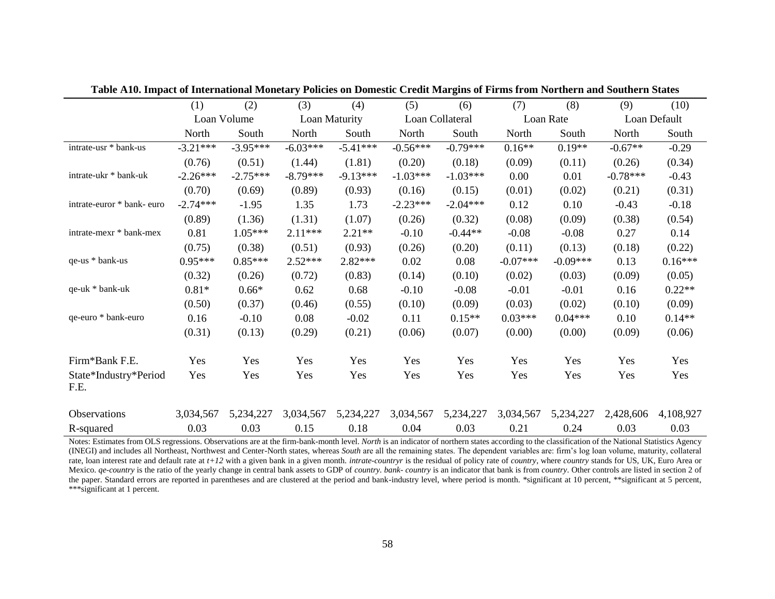|                               | (1)        | (2)         | (3)        | (4)           | (5)        | (6)             | (7)        | (8)        | (9)        | (10)         |
|-------------------------------|------------|-------------|------------|---------------|------------|-----------------|------------|------------|------------|--------------|
|                               |            | Loan Volume |            | Loan Maturity |            | Loan Collateral |            | Loan Rate  |            | Loan Default |
|                               | North      | South       | North      | South         | North      | South           | North      | South      | North      | South        |
| intrate-usr * bank-us         | $-3.21***$ | $-3.95***$  | $-6.03***$ | $-5.41***$    | $-0.56***$ | $-0.79***$      | $0.16**$   | $0.19**$   | $-0.67**$  | $-0.29$      |
|                               | (0.76)     | (0.51)      | (1.44)     | (1.81)        | (0.20)     | (0.18)          | (0.09)     | (0.11)     | (0.26)     | (0.34)       |
| intrate-ukr * bank-uk         | $-2.26***$ | $-2.75***$  | $-8.79***$ | $-9.13***$    | $-1.03***$ | $-1.03***$      | 0.00       | 0.01       | $-0.78***$ | $-0.43$      |
|                               | (0.70)     | (0.69)      | (0.89)     | (0.93)        | (0.16)     | (0.15)          | (0.01)     | (0.02)     | (0.21)     | (0.31)       |
| intrate-euror * bank- euro    | $-2.74***$ | $-1.95$     | 1.35       | 1.73          | $-2.23***$ | $-2.04***$      | 0.12       | 0.10       | $-0.43$    | $-0.18$      |
|                               | (0.89)     | (1.36)      | (1.31)     | (1.07)        | (0.26)     | (0.32)          | (0.08)     | (0.09)     | (0.38)     | (0.54)       |
| intrate-mexr * bank-mex       | 0.81       | $1.05***$   | $2.11***$  | $2.21**$      | $-0.10$    | $-0.44**$       | $-0.08$    | $-0.08$    | 0.27       | 0.14         |
|                               | (0.75)     | (0.38)      | (0.51)     | (0.93)        | (0.26)     | (0.20)          | (0.11)     | (0.13)     | (0.18)     | (0.22)       |
| qe-us * bank-us               | $0.95***$  | $0.85***$   | $2.52***$  | $2.82***$     | 0.02       | 0.08            | $-0.07***$ | $-0.09***$ | 0.13       | $0.16***$    |
|                               | (0.32)     | (0.26)      | (0.72)     | (0.83)        | (0.14)     | (0.10)          | (0.02)     | (0.03)     | (0.09)     | (0.05)       |
| qe-uk * bank-uk               | $0.81*$    | $0.66*$     | 0.62       | 0.68          | $-0.10$    | $-0.08$         | $-0.01$    | $-0.01$    | 0.16       | $0.22**$     |
|                               | (0.50)     | (0.37)      | (0.46)     | (0.55)        | (0.10)     | (0.09)          | (0.03)     | (0.02)     | (0.10)     | (0.09)       |
| qe-euro * bank-euro           | 0.16       | $-0.10$     | 0.08       | $-0.02$       | 0.11       | $0.15**$        | $0.03***$  | $0.04***$  | 0.10       | $0.14**$     |
|                               | (0.31)     | (0.13)      | (0.29)     | (0.21)        | (0.06)     | (0.07)          | (0.00)     | (0.00)     | (0.09)     | (0.06)       |
| Firm*Bank F.E.                | Yes        | Yes         | Yes        | Yes           | Yes        | Yes             | Yes        | Yes        | Yes        | Yes          |
| State*Industry*Period<br>F.E. | Yes        | Yes         | Yes        | Yes           | Yes        | Yes             | Yes        | Yes        | Yes        | Yes          |
| Observations                  | 3,034,567  | 5,234,227   | 3,034,567  | 5,234,227     | 3,034,567  | 5,234,227       | 3,034,567  | 5,234,227  | 2,428,606  | 4,108,927    |
| R-squared                     | 0.03       | 0.03        | 0.15       | 0.18          | 0.04       | 0.03            | 0.21       | 0.24       | 0.03       | 0.03         |

**Table A10. Impact of International Monetary Policies on Domestic Credit Margins of Firms from Northern and Southern States**

Notes: Estimates from OLS regressions. Observations are at the firm-bank-month level. *North* is an indicator of northern states according to the classification of the National Statistics Agency (INEGI) and includes all Northeast, Northwest and Center-North states, whereas *South* are all the remaining states. The dependent variables are: firm's log loan volume, maturity, collateral rate, loan interest rate and default rate at *t+12* with a given bank in a given month. *intrate-country* is the residual of policy rate of *country*, where *country* stands for US, UK, Euro Area or Mexico. qe-country is the ratio of the yearly change in central bank assets to GDP of country. bank- country is an indicator that bank is from country. Other controls are listed in section 2 of the paper. Standard errors are reported in parentheses and are clustered at the period and bank-industry level, where period is month. \*significant at 10 percent, \*\*significant at 5 percent, \*\*\*significant at 1 percent.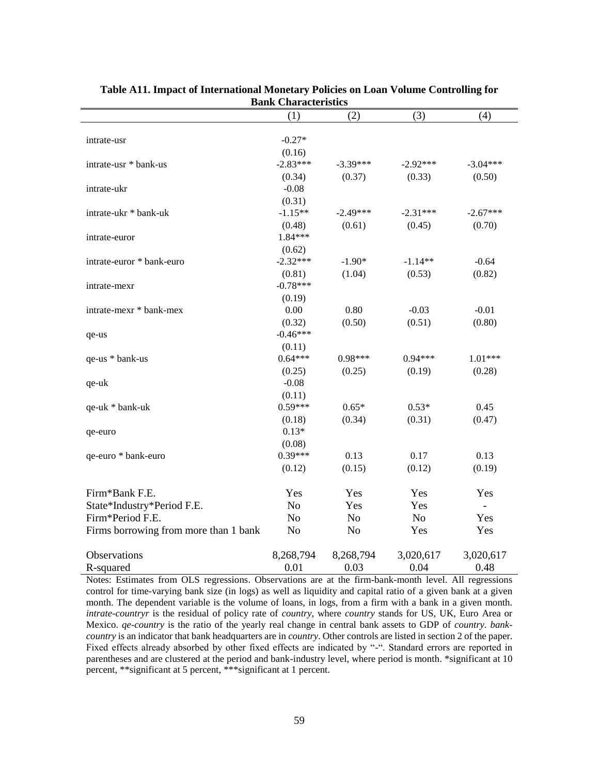|                                       | (1)            | (2)            | (3)        | (4)        |  |  |
|---------------------------------------|----------------|----------------|------------|------------|--|--|
| intrate-usr                           | $-0.27*$       |                |            |            |  |  |
|                                       | (0.16)         |                |            |            |  |  |
| intrate-usr * bank-us                 | $-2.83***$     | $-3.39***$     | $-2.92***$ | $-3.04***$ |  |  |
|                                       | (0.34)         | (0.37)         | (0.33)     | (0.50)     |  |  |
| intrate-ukr                           | $-0.08$        |                |            |            |  |  |
|                                       | (0.31)         |                |            |            |  |  |
| intrate-ukr * bank-uk                 | $-1.15**$      | $-2.49***$     | $-2.31***$ | $-2.67***$ |  |  |
|                                       | (0.48)         | (0.61)         | (0.45)     | (0.70)     |  |  |
| intrate-euror                         | 1.84***        |                |            |            |  |  |
|                                       | (0.62)         |                |            |            |  |  |
| intrate-euror * bank-euro             | $-2.32***$     | $-1.90*$       | $-1.14**$  | $-0.64$    |  |  |
|                                       | (0.81)         | (1.04)         | (0.53)     | (0.82)     |  |  |
| intrate-mexr                          | $-0.78***$     |                |            |            |  |  |
|                                       | (0.19)         |                |            |            |  |  |
| intrate-mexr * bank-mex               | $0.00\,$       | 0.80           | $-0.03$    | $-0.01$    |  |  |
|                                       | (0.32)         | (0.50)         | (0.51)     | (0.80)     |  |  |
| qe-us                                 | $-0.46***$     |                |            |            |  |  |
|                                       | (0.11)         |                |            |            |  |  |
| qe-us * bank-us                       | $0.64***$      | 0.98***        | $0.94***$  | $1.01***$  |  |  |
|                                       | (0.25)         | (0.25)         | (0.19)     | (0.28)     |  |  |
| qe-uk                                 | $-0.08$        |                |            |            |  |  |
|                                       | (0.11)         |                |            |            |  |  |
| qe-uk * bank-uk                       | $0.59***$      | $0.65*$        | $0.53*$    | 0.45       |  |  |
|                                       | (0.18)         | (0.34)         | (0.31)     | (0.47)     |  |  |
| qe-euro                               | $0.13*$        |                |            |            |  |  |
|                                       | (0.08)         |                |            |            |  |  |
| qe-euro * bank-euro                   | $0.39***$      | 0.13           | 0.17       | 0.13       |  |  |
|                                       | (0.12)         | (0.15)         | (0.12)     | (0.19)     |  |  |
| Firm*Bank F.E.                        | Yes            | Yes            | Yes        | Yes        |  |  |
| State*Industry*Period F.E.            | N <sub>o</sub> | Yes            | Yes        | $\equiv$   |  |  |
| Firm*Period F.E.                      | N <sub>o</sub> | N <sub>o</sub> | No         | Yes        |  |  |
| Firms borrowing from more than 1 bank | No             | N <sub>o</sub> | Yes        | Yes        |  |  |
| Observations                          | 8,268,794      | 8,268,794      | 3,020,617  | 3,020,617  |  |  |
| R-squared                             | 0.01           | 0.03           | 0.04       | 0.48       |  |  |

#### **Table A11. Impact of International Monetary Policies on Loan Volume Controlling for Bank Characteristics**

Notes: Estimates from OLS regressions. Observations are at the firm-bank-month level. All regressions control for time-varying bank size (in logs) as well as liquidity and capital ratio of a given bank at a given month. The dependent variable is the volume of loans, in logs, from a firm with a bank in a given month. *intrate-countryr* is the residual of policy rate of *country*, where *country* stands for US, UK, Euro Area or Mexico. *qe-country* is the ratio of the yearly real change in central bank assets to GDP of *country. bankcountry* is an indicator that bank headquarters are in *country*. Other controls are listed in section 2 of the paper. Fixed effects already absorbed by other fixed effects are indicated by "-". Standard errors are reported in parentheses and are clustered at the period and bank-industry level, where period is month. \*significant at 10 percent, \*\*significant at 5 percent, \*\*\*significant at 1 percent.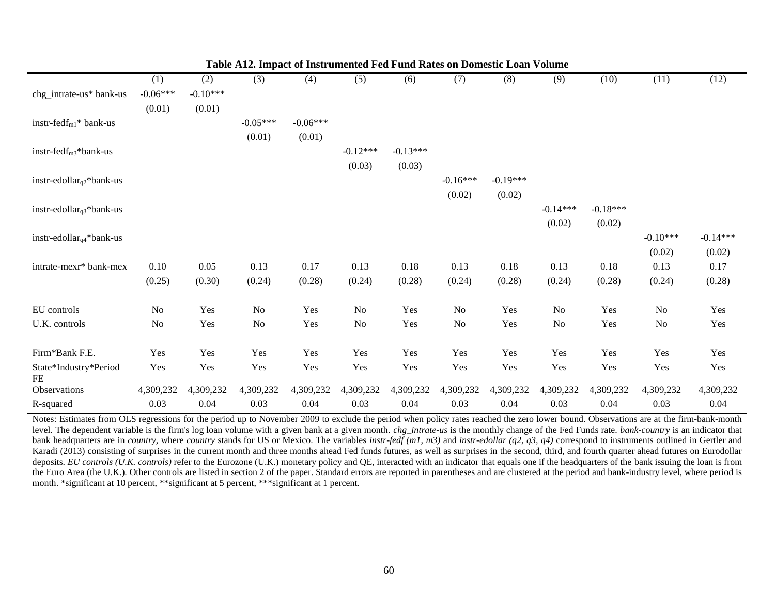|                                      | (1)            | (2)        | (3)        | (4)        | (5)        | (6)        | (7)        | (8)        | (9)            | (10)       | (11)       | (12)       |
|--------------------------------------|----------------|------------|------------|------------|------------|------------|------------|------------|----------------|------------|------------|------------|
| chg_intrate-us* bank-us              | $-0.06***$     | $-0.10***$ |            |            |            |            |            |            |                |            |            |            |
|                                      | (0.01)         | (0.01)     |            |            |            |            |            |            |                |            |            |            |
| instr-fed $f_{m1}$ * bank-us         |                |            | $-0.05***$ | $-0.06***$ |            |            |            |            |                |            |            |            |
|                                      |                |            | (0.01)     | (0.01)     |            |            |            |            |                |            |            |            |
| instr-fedf <sub>m3</sub> *bank-us    |                |            |            |            | $-0.12***$ | $-0.13***$ |            |            |                |            |            |            |
|                                      |                |            |            |            | (0.03)     | (0.03)     |            |            |                |            |            |            |
| instr-edollar <sub>q2</sub> *bank-us |                |            |            |            |            |            | $-0.16***$ | $-0.19***$ |                |            |            |            |
|                                      |                |            |            |            |            |            | (0.02)     | (0.02)     |                |            |            |            |
| instr-edollar <sub>q3</sub> *bank-us |                |            |            |            |            |            |            |            | $-0.14***$     | $-0.18***$ |            |            |
|                                      |                |            |            |            |            |            |            |            | (0.02)         | (0.02)     |            |            |
| instr-edollar $_{q4}$ *bank-us       |                |            |            |            |            |            |            |            |                |            | $-0.10***$ | $-0.14***$ |
|                                      |                |            |            |            |            |            |            |            |                |            | (0.02)     | (0.02)     |
| intrate-mexr* bank-mex               | 0.10           | $0.05\,$   | 0.13       | 0.17       | 0.13       | 0.18       | 0.13       | 0.18       | 0.13           | 0.18       | 0.13       | $0.17\,$   |
|                                      | (0.25)         | (0.30)     | (0.24)     | (0.28)     | (0.24)     | (0.28)     | (0.24)     | (0.28)     | (0.24)         | (0.28)     | (0.24)     | (0.28)     |
|                                      |                |            |            |            |            |            |            |            |                |            |            |            |
| EU controls                          | N <sub>o</sub> | Yes        | No         | Yes        | No         | Yes        | No         | Yes        | N <sub>o</sub> | Yes        | No         | Yes        |
| U.K. controls                        | N <sub>0</sub> | Yes        | $\rm No$   | Yes        | $\rm No$   | Yes        | $\rm No$   | Yes        | N <sub>o</sub> | Yes        | $\rm No$   | Yes        |
|                                      |                |            |            |            |            |            |            |            |                |            |            |            |
| Firm*Bank F.E.                       | Yes            | Yes        | Yes        | Yes        | Yes        | Yes        | Yes        | Yes        | Yes            | Yes        | Yes        | Yes        |
| State*Industry*Period<br>FE          | Yes            | Yes        | Yes        | Yes        | Yes        | Yes        | Yes        | Yes        | Yes            | Yes        | Yes        | Yes        |
| Observations                         | 4,309,232      | 4,309,232  | 4,309,232  | 4,309,232  | 4,309,232  | 4,309,232  | 4,309,232  | 4,309,232  | 4,309,232      | 4,309,232  | 4,309,232  | 4,309,232  |
| R-squared                            | 0.03           | 0.04       | 0.03       | 0.04       | 0.03       | 0.04       | 0.03       | 0.04       | 0.03           | 0.04       | 0.03       | 0.04       |

Notes: Estimates from OLS regressions for the period up to November 2009 to exclude the period when policy rates reached the zero lower bound. Observations are at the firm-bank-month level. The dependent variable is the firm's log loan volume with a given bank at a given month*. chg\_intrate-us* is the monthly change of the Fed Funds rate. *bank-country* is an indicator that bank headquarters are in *country*, where *country* stands for US or Mexico. The variables *instr-fedf (m1, m3)* and *instr-edollar (q2, q3, q4)* correspond to instruments outlined in Gertler and Karadi (2013) consisting of surprises in the current month and three months ahead Fed funds futures, as well as surprises in the second, third, and fourth quarter ahead futures on Eurodollar deposits. *EU controls* (U.K. controls) refer to the Eurozone (U.K.) monetary policy and QE, interacted with an indicator that equals one if the headquarters of the bank issuing the loan is from the Euro Area (the U.K.). Other controls are listed in section 2 of the paper. Standard errors are reported in parentheses and are clustered at the period and bank-industry level, where period is month. \*significant at 10 percent, \*\*significant at 5 percent, \*\*\*significant at 1 percent.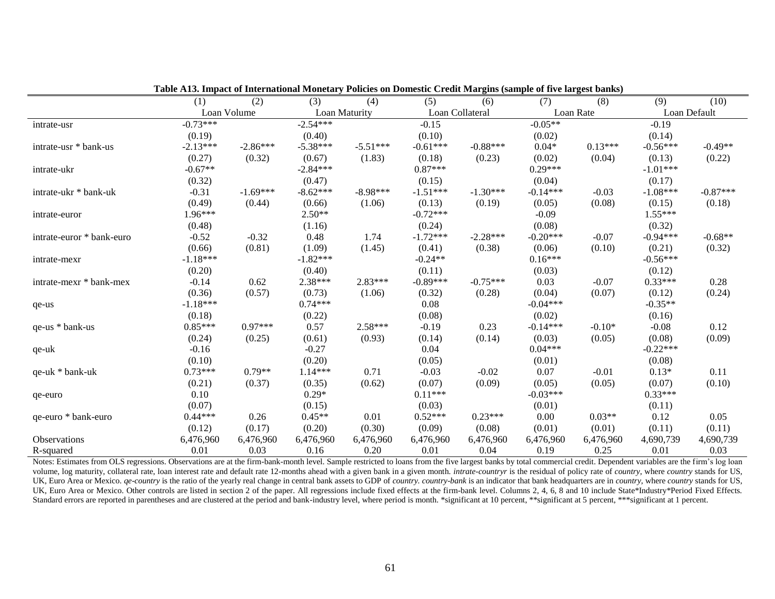|                           | (1)        | (2)         | (3)           | (4)        | (5)        | (6)             | (7)        | (8)       | (9)        | (10)         |
|---------------------------|------------|-------------|---------------|------------|------------|-----------------|------------|-----------|------------|--------------|
|                           |            | Loan Volume | Loan Maturity |            |            | Loan Collateral |            | Loan Rate |            | Loan Default |
| intrate-usr               | $-0.73***$ |             | $-2.54***$    |            | $-0.15$    |                 | $-0.05**$  |           | $-0.19$    |              |
|                           | (0.19)     |             | (0.40)        |            | (0.10)     |                 | (0.02)     |           | (0.14)     |              |
| intrate-usr * bank-us     | $-2.13***$ | $-2.86***$  | $-5.38***$    | $-5.51***$ | $-0.61***$ | $-0.88***$      | $0.04*$    | $0.13***$ | $-0.56***$ | $-0.49**$    |
|                           | (0.27)     | (0.32)      | (0.67)        | (1.83)     | (0.18)     | (0.23)          | (0.02)     | (0.04)    | (0.13)     | (0.22)       |
| intrate-ukr               | $-0.67**$  |             | $-2.84***$    |            | $0.87***$  |                 | $0.29***$  |           | $-1.01***$ |              |
|                           | (0.32)     |             | (0.47)        |            | (0.15)     |                 | (0.04)     |           | (0.17)     |              |
| intrate-ukr * bank-uk     | $-0.31$    | $-1.69***$  | $-8.62***$    | $-8.98***$ | $-1.51***$ | $-1.30***$      | $-0.14***$ | $-0.03$   | $-1.08***$ | $-0.87***$   |
|                           | (0.49)     | (0.44)      | (0.66)        | (1.06)     | (0.13)     | (0.19)          | (0.05)     | (0.08)    | (0.15)     | (0.18)       |
| intrate-euror             | 1.96***    |             | $2.50**$      |            | $-0.72***$ |                 | $-0.09$    |           | 1.55***    |              |
|                           | (0.48)     |             | (1.16)        |            | (0.24)     |                 | (0.08)     |           | (0.32)     |              |
| intrate-euror * bank-euro | $-0.52$    | $-0.32$     | 0.48          | 1.74       | $-1.72***$ | $-2.28***$      | $-0.20***$ | $-0.07$   | $-0.94***$ | $-0.68**$    |
|                           | (0.66)     | (0.81)      | (1.09)        | (1.45)     | (0.41)     | (0.38)          | (0.06)     | (0.10)    | (0.21)     | (0.32)       |
| intrate-mexr              | $-1.18***$ |             | $-1.82***$    |            | $-0.24**$  |                 | $0.16***$  |           | $-0.56***$ |              |
|                           | (0.20)     |             | (0.40)        |            | (0.11)     |                 | (0.03)     |           | (0.12)     |              |
| intrate-mexr * bank-mex   | $-0.14$    | 0.62        | 2.38***       | 2.83***    | $-0.89***$ | $-0.75***$      | 0.03       | $-0.07$   | $0.33***$  | 0.28         |
|                           | (0.36)     | (0.57)      | (0.73)        | (1.06)     | (0.32)     | (0.28)          | (0.04)     | (0.07)    | (0.12)     | (0.24)       |
| qe-us                     | $-1.18***$ |             | $0.74***$     |            | 0.08       |                 | $-0.04***$ |           | $-0.35**$  |              |
|                           | (0.18)     |             | (0.22)        |            | (0.08)     |                 | (0.02)     |           | (0.16)     |              |
| qe-us * bank-us           | $0.85***$  | $0.97***$   | 0.57          | 2.58***    | $-0.19$    | 0.23            | $-0.14***$ | $-0.10*$  | $-0.08$    | 0.12         |
|                           | (0.24)     | (0.25)      | (0.61)        | (0.93)     | (0.14)     | (0.14)          | (0.03)     | (0.05)    | (0.08)     | (0.09)       |
| qe-uk                     | $-0.16$    |             | $-0.27$       |            | 0.04       |                 | $0.04***$  |           | $-0.22***$ |              |
|                           | (0.10)     |             | (0.20)        |            | (0.05)     |                 | (0.01)     |           | (0.08)     |              |
| qe-uk * bank-uk           | $0.73***$  | $0.79**$    | 1.14***       | 0.71       | $-0.03$    | $-0.02$         | 0.07       | $-0.01$   | $0.13*$    | 0.11         |
|                           | (0.21)     | (0.37)      | (0.35)        | (0.62)     | (0.07)     | (0.09)          | (0.05)     | (0.05)    | (0.07)     | (0.10)       |
| qe-euro                   | 0.10       |             | $0.29*$       |            | $0.11***$  |                 | $-0.03***$ |           | $0.33***$  |              |
|                           | (0.07)     |             | (0.15)        |            | (0.03)     |                 | (0.01)     |           | (0.11)     |              |
| qe-euro * bank-euro       | $0.44***$  | 0.26        | $0.45**$      | 0.01       | $0.52***$  | $0.23***$       | 0.00       | $0.03**$  | 0.12       | 0.05         |
|                           | (0.12)     | (0.17)      | (0.20)        | (0.30)     | (0.09)     | (0.08)          | (0.01)     | (0.01)    | (0.11)     | (0.11)       |
| <b>Observations</b>       | 6,476,960  | 6,476,960   | 6,476,960     | 6,476,960  | 6,476,960  | 6,476,960       | 6,476,960  | 6,476,960 | 4,690,739  | 4,690,739    |
| R-squared                 | 0.01       | 0.03        | 0.16          | 0.20       | 0.01       | 0.04            | 0.19       | 0.25      | 0.01       | 0.03         |

**Table A13. Impact of International Monetary Policies on Domestic Credit Margins (sample of five largest banks)**

Notes: Estimates from OLS regressions. Observations are at the firm-bank-month level. Sample restricted to loans from the five largest banks by total commercial credit. Dependent variables are the firm's log loan volume, log maturity, collateral rate, loan interest rate and default rate 12-months ahead with a given bank in a given month. intrate-countryr is the residual of policy rate of country, where country stands for US, UK, Euro Area or Mexico. *ge-country* is the ratio of the yearly real change in central bank assets to GDP of *country. country-bank* is an indicator that bank headquarters are in *country*, where *country* stands for US, UK, Euro Area or Mexico. Other controls are listed in section 2 of the paper. All regressions include fixed effects at the firm-bank level. Columns 2, 4, 6, 8 and 10 include State\*Industry\*Period Fixed Effects. Standard errors are reported in parentheses and are clustered at the period and bank-industry level, where period is month. \*significant at 10 percent, \*\*significant at 5 percent, \*\*\*significant at 1 percent.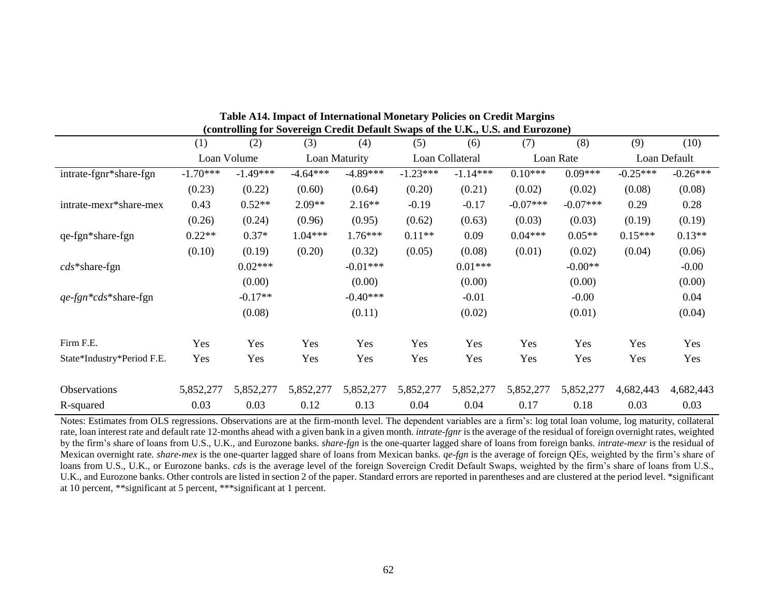|                            | (1)        | (2)         | (3)        | (4)           | (5)        | (6)             | (7)        | (8)        | (9)        | (10)         |  |
|----------------------------|------------|-------------|------------|---------------|------------|-----------------|------------|------------|------------|--------------|--|
|                            |            | Loan Volume |            | Loan Maturity |            | Loan Collateral |            | Loan Rate  |            | Loan Default |  |
| intrate-fgnr*share-fgn     | $-1.70***$ | $-1.49***$  | $-4.64***$ | $-4.89***$    | $-1.23***$ | $-1.14***$      | $0.10***$  | $0.09***$  | $-0.25***$ | $-0.26***$   |  |
|                            | (0.23)     | (0.22)      | (0.60)     | (0.64)        | (0.20)     | (0.21)          | (0.02)     | (0.02)     | (0.08)     | (0.08)       |  |
| intrate-mexr*share-mex     | 0.43       | $0.52**$    | $2.09**$   | $2.16**$      | $-0.19$    | $-0.17$         | $-0.07***$ | $-0.07***$ | 0.29       | 0.28         |  |
|                            | (0.26)     | (0.24)      | (0.96)     | (0.95)        | (0.62)     | (0.63)          | (0.03)     | (0.03)     | (0.19)     | (0.19)       |  |
| qe-fgn*share-fgn           | $0.22**$   | $0.37*$     | $1.04***$  | 1.76***       | $0.11**$   | 0.09            | $0.04***$  | $0.05**$   | $0.15***$  | $0.13**$     |  |
|                            | (0.10)     | (0.19)      | (0.20)     | (0.32)        | (0.05)     | (0.08)          | (0.01)     | (0.02)     | (0.04)     | (0.06)       |  |
| $\textit{cds}$ *share-fgn  |            | $0.02***$   |            | $-0.01***$    |            | $0.01***$       |            | $-0.00**$  |            | $-0.00$      |  |
|                            |            | (0.00)      |            | (0.00)        |            | (0.00)          |            | (0.00)     |            | (0.00)       |  |
| qe-fgn*cds*share-fgn       |            | $-0.17**$   |            | $-0.40***$    |            | $-0.01$         |            | $-0.00$    |            | 0.04         |  |
|                            |            | (0.08)      |            | (0.11)        |            | (0.02)          |            | (0.01)     |            | (0.04)       |  |
| Firm F.E.                  | Yes        | Yes         | Yes        | Yes           | Yes        | Yes             | Yes        | Yes        | Yes        | Yes          |  |
| State*Industry*Period F.E. | Yes        | Yes         | Yes        | Yes           | Yes        | Yes             | Yes        | Yes        | Yes        | Yes          |  |
| <b>Observations</b>        | 5,852,277  | 5,852,277   | 5,852,277  | 5,852,277     | 5,852,277  | 5,852,277       | 5,852,277  | 5,852,277  | 4,682,443  | 4,682,443    |  |
| R-squared                  | 0.03       | 0.03        | 0.12       | 0.13          | 0.04       | 0.04            | 0.17       | 0.18       | 0.03       | 0.03         |  |

**Table A14. Impact of International Monetary Policies on Credit Margins (controlling for Sovereign Credit Default Swaps of the U.K., U.S. and Eurozone)**

Notes: Estimates from OLS regressions. Observations are at the firm-month level. The dependent variables are a firm's: log total loan volume, log maturity, collateral rate, loan interest rate and default rate 12-months ahead with a given bank in a given month. *intrate-fgnr* is the average of the residual of foreign overnight rates, weighted by the firm's share of loans from U.S., U.K., and Eurozone banks. *share-fgn* is the one-quarter lagged share of loans from foreign banks*. intrate-mexr* is the residual of Mexican overnight rate. *share-mex* is the one-quarter lagged share of loans from Mexican banks. *qe-fgn* is the average of foreign QEs, weighted by the firm's share of loans from U.S., U.K., or Eurozone banks. *cds* is the average level of the foreign Sovereign Credit Default Swaps, weighted by the firm's share of loans from U.S., U.K., and Eurozone banks. Other controls are listed in section 2 of the paper. Standard errors are reported in parentheses and are clustered at the period level. \*significant at 10 percent, \*\*significant at 5 percent, \*\*\*significant at 1 percent.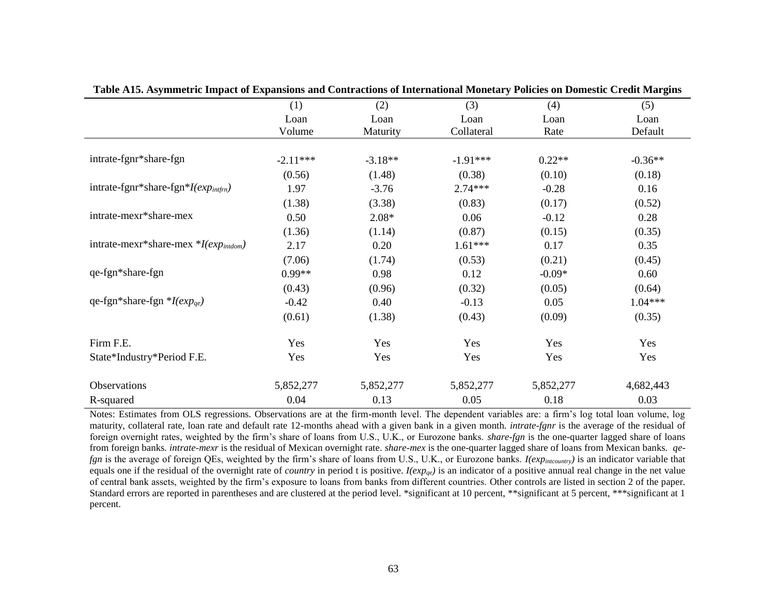| was treed by minimize amplied of Expansions and Contractions of International Profession Domestic Create Pain | (1)            | (2)              | (3)                | (4)          | (5)             |
|---------------------------------------------------------------------------------------------------------------|----------------|------------------|--------------------|--------------|-----------------|
|                                                                                                               | Loan<br>Volume | Loan<br>Maturity | Loan<br>Collateral | Loan<br>Rate | Loan<br>Default |
|                                                                                                               |                |                  |                    |              |                 |
| intrate-fgnr*share-fgn                                                                                        | $-2.11***$     | $-3.18**$        | $-1.91***$         | $0.22**$     | $-0.36**$       |
|                                                                                                               | (0.56)         | (1.48)           | (0.38)             | (0.10)       | (0.18)          |
| intrate-fgnr*share-fgn* $I(exp_{intfrn})$                                                                     | 1.97           | $-3.76$          | $2.74***$          | $-0.28$      | 0.16            |
|                                                                                                               | (1.38)         | (3.38)           | (0.83)             | (0.17)       | (0.52)          |
| intrate-mexr*share-mex                                                                                        | 0.50           | $2.08*$          | 0.06               | $-0.12$      | 0.28            |
|                                                                                                               | (1.36)         | (1.14)           | (0.87)             | (0.15)       | (0.35)          |
| intrate-mexr*share-mex *I(exp <sub>intdom</sub> )                                                             | 2.17           | 0.20             | $1.61***$          | 0.17         | 0.35            |
|                                                                                                               | (7.06)         | (1.74)           | (0.53)             | (0.21)       | (0.45)          |
| qe-fgn*share-fgn                                                                                              | $0.99**$       | 0.98             | 0.12               | $-0.09*$     | 0.60            |
|                                                                                                               | (0.43)         | (0.96)           | (0.32)             | (0.05)       | (0.64)          |
| qe-fgn*share-fgn * $I(exp_{qe})$                                                                              | $-0.42$        | 0.40             | $-0.13$            | 0.05         | $1.04***$       |
|                                                                                                               | (0.61)         | (1.38)           | (0.43)             | (0.09)       | (0.35)          |
| Firm F.E.                                                                                                     | Yes            | Yes              | Yes                | Yes          | Yes             |
| State*Industry*Period F.E.                                                                                    | Yes            | Yes              | Yes                | Yes          | Yes             |
| Observations                                                                                                  | 5,852,277      | 5,852,277        | 5,852,277          | 5,852,277    | 4,682,443       |
| R-squared                                                                                                     | 0.04           | 0.13             | 0.05               | 0.18         | 0.03            |

**Table A15. Asymmetric Impact of Expansions and Contractions of International Monetary Policies on Domestic Credit Margins**

Notes: Estimates from OLS regressions. Observations are at the firm-month level. The dependent variables are: a firm's log total loan volume, log maturity, collateral rate, loan rate and default rate 12-months ahead with a given bank in a given month. *intrate-fgnr* is the average of the residual of foreign overnight rates, weighted by the firm's share of loans from U.S., U.K., or Eurozone banks. *share-fgn* is the one-quarter lagged share of loans from foreign banks*. intrate-mexr* is the residual of Mexican overnight rate. *share-mex* is the one-quarter lagged share of loans from Mexican banks. *qefgn* is the average of foreign QEs, weighted by the firm's share of loans from U.S., U.K., or Eurozone banks. *I(expintcountry)* is an indicator variable that equals one if the residual of the overnight rate of *country* in period t is positive.  $I(exp_{ge})$  is an indicator of a positive annual real change in the net value of central bank assets, weighted by the firm's exposure to loans from banks from different countries. Other controls are listed in section 2 of the paper. Standard errors are reported in parentheses and are clustered at the period level. \*significant at 10 percent, \*\*significant at 5 percent, \*\*\*significant at 1 percent.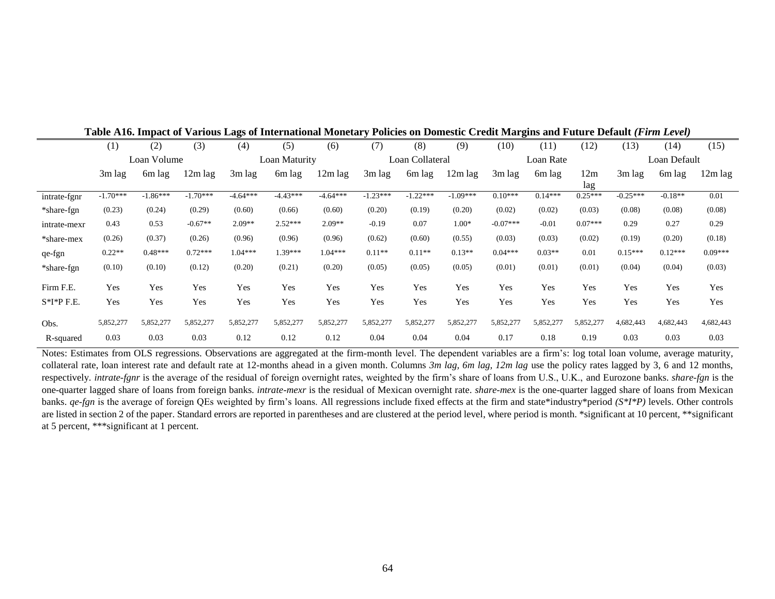|              | 011010<br><b>UMACOUL</b><br>Crean <b>Bruggers</b> and |             |            |            |               |            |                 |            |            |            |           |              |            |           |           |
|--------------|-------------------------------------------------------|-------------|------------|------------|---------------|------------|-----------------|------------|------------|------------|-----------|--------------|------------|-----------|-----------|
|              | (1)                                                   | (2)         | (3)        | (4)        | (5)           | (6)        | (7)             | (8)        | (9)        | (10)       | (11)      | (12)         | (13)       | (14)      | (15)      |
|              |                                                       | Loan Volume |            |            | Loan Maturity |            | Loan Collateral |            | Loan Rate  |            |           | Loan Default |            |           |           |
|              | 3m lag                                                | 6m lag      | $12m$ lag  | $3m$ lag   | 6m lag        | 12m lag    | 3m lag          | 6m lag     | $12m$ lag  | $3m$ lag   | 6m lag    | 12m          | $3m$ lag   | 6m lag    | 12m lag   |
|              |                                                       |             |            |            |               |            |                 |            |            |            |           | lag          |            |           |           |
| intrate-fgnr | $-1.70***$                                            | $-1.86***$  | $-1.70***$ | $-4.64***$ | $-4.43***$    | $-4.64***$ | $-1.23***$      | $-1.22***$ | $-1.09***$ | $0.10***$  | $0.14***$ | $0.25***$    | $-0.25***$ | $-0.18**$ | 0.01      |
| *share-fgn   | (0.23)                                                | (0.24)      | (0.29)     | (0.60)     | (0.66)        | (0.60)     | (0.20)          | (0.19)     | (0.20)     | (0.02)     | (0.02)    | (0.03)       | (0.08)     | (0.08)    | (0.08)    |
| intrate-mexr | 0.43                                                  | 0.53        | $-0.67**$  | $2.09**$   | $2.52***$     | $2.09**$   | $-0.19$         | 0.07       | $1.00*$    | $-0.07***$ | $-0.01$   | $0.07***$    | 0.29       | 0.27      | 0.29      |
| *share-mex   | (0.26)                                                | (0.37)      | (0.26)     | (0.96)     | (0.96)        | (0.96)     | (0.62)          | (0.60)     | (0.55)     | (0.03)     | (0.03)    | (0.02)       | (0.19)     | (0.20)    | (0.18)    |
| qe-fgn       | $0.22**$                                              | $0.48***$   | $0.72***$  | $1.04***$  | $1.39***$     | $1.04***$  | $0.11**$        | $0.11**$   | $0.13**$   | $0.04***$  | $0.03**$  | 0.01         | $0.15***$  | $0.12***$ | $0.09***$ |
| *share-fgn   | (0.10)                                                | (0.10)      | (0.12)     | (0.20)     | (0.21)        | (0.20)     | (0.05)          | (0.05)     | (0.05)     | (0.01)     | (0.01)    | (0.01)       | (0.04)     | (0.04)    | (0.03)    |
| Firm F.E.    | Yes                                                   | Yes         | Yes        | Yes        | Yes           | Yes        | Yes             | Yes        | Yes        | Yes        | Yes       | Yes          | Yes        | Yes       | Yes       |
|              |                                                       |             |            |            |               |            |                 |            |            |            |           |              |            |           |           |
| $S*I*P$ F.E. | Yes                                                   | Yes         | Yes        | Yes        | Yes           | Yes        | Yes             | Yes        | Yes        | Yes        | Yes       | Yes          | Yes        | Yes       | Yes       |
| Obs.         | 5,852,277                                             | 5,852,277   | 5,852,277  | 5,852,277  | 5,852,277     | 5,852,277  | 5,852,277       | 5,852,277  | 5,852,277  | 5,852,277  | 5,852,277 | 5,852,277    | 4,682,443  | 4,682,443 | 4,682,443 |
| R-squared    | 0.03                                                  | 0.03        | 0.03       | 0.12       | 0.12          | 0.12       | 0.04            | 0.04       | 0.04       | 0.17       | 0.18      | 0.19         | 0.03       | 0.03      | 0.03      |

**Table A16. Impact of Various Lags of International Monetary Policies on Domestic Credit Margins and Future Default** *(Firm Level)*

Notes: Estimates from OLS regressions. Observations are aggregated at the firm-month level. The dependent variables are a firm's: log total loan volume, average maturity, collateral rate, loan interest rate and default rate at 12-months ahead in a given month. Columns *3m lag, 6m lag, 12m lag* use the policy rates lagged by 3, 6 and 12 months, respectively. *intrate-fgnr* is the average of the residual of foreign overnight rates, weighted by the firm's share of loans from U.S., U.K., and Eurozone banks. *share-fgn* is the one-quarter lagged share of loans from foreign banks*. intrate-mexr* is the residual of Mexican overnight rate. *share-mex* is the one-quarter lagged share of loans from Mexican banks. *qe-fgn* is the average of foreign QEs weighted by firm's loans. All regressions include fixed effects at the firm and state\*industry\*period *(S\*I\*P)* levels. Other controls are listed in section 2 of the paper. Standard errors are reported in parentheses and are clustered at the period level, where period is month. \*significant at 10 percent, \*\*significant at 5 percent, \*\*\*significant at 1 percent.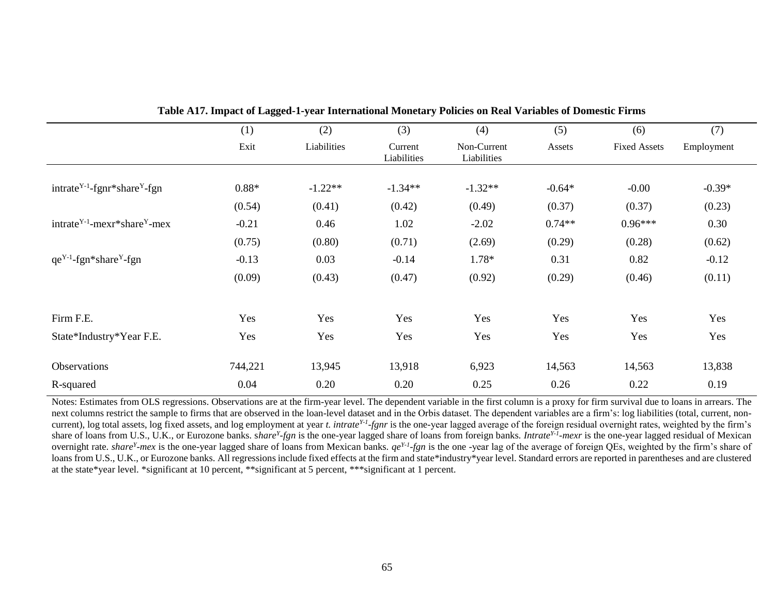|                                                                                | (1)     | (2)         | (3)                    | (4)                        | (5)      | (6)                 | (7)        |
|--------------------------------------------------------------------------------|---------|-------------|------------------------|----------------------------|----------|---------------------|------------|
|                                                                                | Exit    | Liabilities | Current<br>Liabilities | Non-Current<br>Liabilities | Assets   | <b>Fixed Assets</b> | Employment |
|                                                                                |         |             |                        |                            |          |                     |            |
| intrate <sup>Y-1</sup> -fgnr*share <sup>Y</sup> -fgn                           | $0.88*$ | $-1.22**$   | $-1.34**$              | $-1.32**$                  | $-0.64*$ | $-0.00$             | $-0.39*$   |
|                                                                                | (0.54)  | (0.41)      | (0.42)                 | (0.49)                     | (0.37)   | (0.37)              | (0.23)     |
| intrate <sup><math>Y-1</math></sup> -mexr*share <sup><math>Y</math></sup> -mex | $-0.21$ | 0.46        | 1.02                   | $-2.02$                    | $0.74**$ | $0.96***$           | 0.30       |
|                                                                                | (0.75)  | (0.80)      | (0.71)                 | (2.69)                     | (0.29)   | (0.28)              | (0.62)     |
| $qe^{Y-1}$ -fgn*share <sup>Y</sup> -fgn                                        | $-0.13$ | 0.03        | $-0.14$                | 1.78*                      | 0.31     | 0.82                | $-0.12$    |
|                                                                                | (0.09)  | (0.43)      | (0.47)                 | (0.92)                     | (0.29)   | (0.46)              | (0.11)     |
|                                                                                |         |             |                        |                            |          |                     |            |
| Firm F.E.                                                                      | Yes     | Yes         | Yes                    | Yes                        | Yes      | Yes                 | Yes        |
| State*Industry*Year F.E.                                                       | Yes     | Yes         | Yes                    | Yes                        | Yes      | Yes                 | Yes        |
| Observations                                                                   | 744,221 | 13,945      | 13,918                 | 6,923                      | 14,563   | 14,563              | 13,838     |
| R-squared                                                                      | 0.04    | 0.20        | 0.20                   | 0.25                       | 0.26     | 0.22                | 0.19       |

|  |  | Table A17. Impact of Lagged-1-year International Monetary Policies on Real Variables of Domestic Firms |  |  |  |
|--|--|--------------------------------------------------------------------------------------------------------|--|--|--|
|  |  |                                                                                                        |  |  |  |

Notes: Estimates from OLS regressions. Observations are at the firm-year level. The dependent variable in the first column is a proxy for firm survival due to loans in arrears. The next columns restrict the sample to firms that are observed in the loan-level dataset and in the Orbis dataset. The dependent variables are a firm's: log liabilities (total, current, noncurrent), log total assets, log fixed assets, and log employment at year *t. intrate*<sup>Y-1</sup>-fgnr is the one-year lagged average of the foreign residual overnight rates, weighted by the firm's share of loans from U.S., U.K., or Eurozone banks. share<sup>y</sup>-fgn is the one-year lagged share of loans from foreign banks. *Intrate<sup>Y-1</sup>-mexr* is the one-year lagged residual of Mexican overnight rate. *share<sup>Y</sup>-mex* is the one-year lagged share of loans from Mexican banks.  $qe^{Y}$ -*fgn* is the one-year lag of the average of foreign QEs, weighted by the firm's share of loans from U.S., U.K., or Eurozone banks. All regressions include fixed effects at the firm and state\*industry\*year level. Standard errors are reported in parentheses and are clustered at the state\*year level. \*significant at 10 percent, \*\*significant at 5 percent, \*\*\*significant at 1 percent.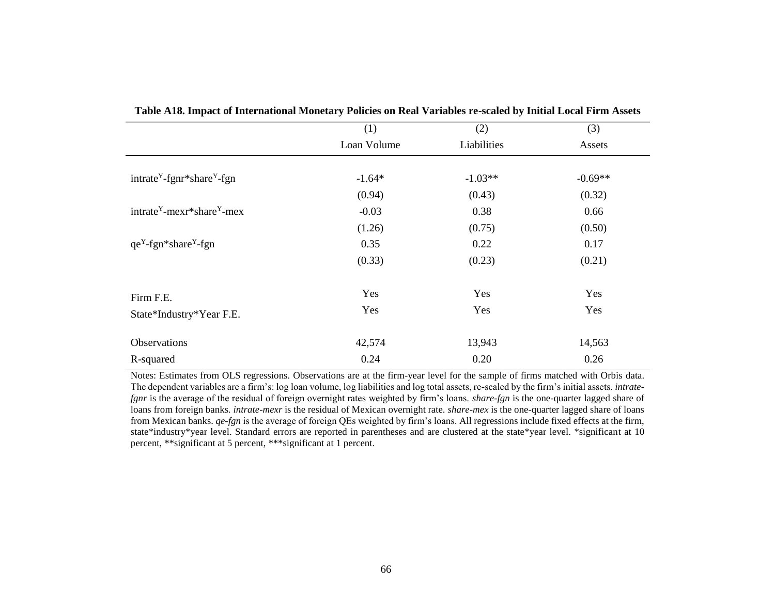| (1)         | (2)         | (3)       |
|-------------|-------------|-----------|
| Loan Volume | Liabilities | Assets    |
|             |             |           |
| $-1.64*$    | $-1.03**$   | $-0.69**$ |
| (0.94)      | (0.43)      | (0.32)    |
| $-0.03$     | 0.38        | 0.66      |
| (1.26)      | (0.75)      | (0.50)    |
| 0.35        | 0.22        | 0.17      |
| (0.33)      | (0.23)      | (0.21)    |
| Yes         | Yes         | Yes       |
| Yes         | Yes         | Yes       |
| 42,574      | 13,943      | 14,563    |
| 0.24        | 0.20        | 0.26      |
|             |             |           |

**Table A18. Impact of International Monetary Policies on Real Variables re-scaled by Initial Local Firm Assets**

Notes: Estimates from OLS regressions. Observations are at the firm-year level for the sample of firms matched with Orbis data. The dependent variables are a firm's: log loan volume, log liabilities and log total assets, re-scaled by the firm's initial assets. *intratefgnr* is the average of the residual of foreign overnight rates weighted by firm's loans. *share-fgn* is the one-quarter lagged share of loans from foreign banks*. intrate-mexr* is the residual of Mexican overnight rate. *share-mex* is the one-quarter lagged share of loans from Mexican banks. *qe-fgn* is the average of foreign QEs weighted by firm's loans. All regressions include fixed effects at the firm, state\*industry\*year level. Standard errors are reported in parentheses and are clustered at the state\*year level. \*significant at 10 percent, \*\*significant at 5 percent, \*\*\*significant at 1 percent.